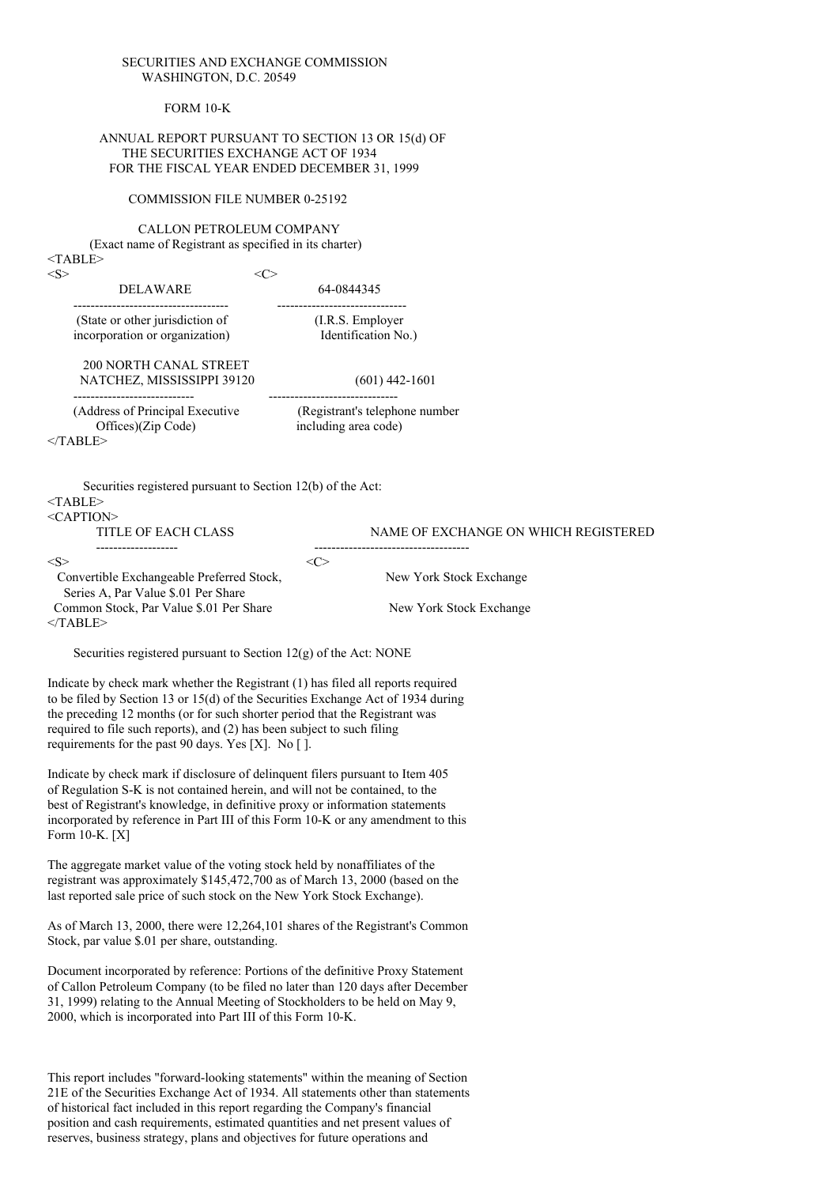#### SECURITIES AND EXCHANGE COMMISSION WASHINGTON, D.C. 20549

FORM 10-K

#### ANNUAL REPORT PURSUANT TO SECTION 13 OR 15(d) OF THE SECURITIES EXCHANGE ACT OF 1934 FOR THE FISCAL YEAR ENDED DECEMBER 31, 1999

### COMMISSION FILE NUMBER 0-25192

CALLON PETROLEUM COMPANY (Exact name of Registrant as specified in its charter) <TABLE>

| $<\!\!S\!\!>$ | $<\!\!C\!\!>$                                                                                                                                                                                                                                                                                                                                                                        |                                                                         |                                      |
|---------------|--------------------------------------------------------------------------------------------------------------------------------------------------------------------------------------------------------------------------------------------------------------------------------------------------------------------------------------------------------------------------------------|-------------------------------------------------------------------------|--------------------------------------|
|               | DELAWARE<br>-----------------------------------                                                                                                                                                                                                                                                                                                                                      | 64-0844345                                                              |                                      |
|               | (State or other jurisdiction of<br>incorporation or organization)                                                                                                                                                                                                                                                                                                                    | ----------------------------<br>(I.R.S. Employer<br>Identification No.) |                                      |
|               | <b>200 NORTH CANAL STREET</b><br>NATCHEZ, MISSISSIPPI 39120<br>--------------------------                                                                                                                                                                                                                                                                                            | $(601)$ 442-1601                                                        |                                      |
|               | (Address of Principal Executive (Registrant's telephone number<br>Offices)(Zip Code)<br>$<$ TABLE>                                                                                                                                                                                                                                                                                   | -------------------------------<br>including area code)                 |                                      |
|               | Securities registered pursuant to Section 12(b) of the Act:<br>$<$ TABLE><br><caption></caption>                                                                                                                                                                                                                                                                                     |                                                                         |                                      |
|               | TITLE OF EACH CLASS                                                                                                                                                                                                                                                                                                                                                                  |                                                                         | NAME OF EXCHANGE ON WHICH REGISTERED |
| <s></s>       |                                                                                                                                                                                                                                                                                                                                                                                      | $<\infty$                                                               |                                      |
|               | Convertible Exchangeable Preferred Stock,<br>Series A, Par Value \$.01 Per Share                                                                                                                                                                                                                                                                                                     |                                                                         | New York Stock Exchange              |
|               | Common Stock, Par Value \$.01 Per Share<br>$<$ TABLE>                                                                                                                                                                                                                                                                                                                                |                                                                         | New York Stock Exchange              |
|               | Securities registered pursuant to Section $12(g)$ of the Act: NONE                                                                                                                                                                                                                                                                                                                   |                                                                         |                                      |
|               | Indicate by check mark whether the Registrant (1) has filed all reports required<br>to be filed by Section 13 or 15(d) of the Securities Exchange Act of 1934 during<br>the preceding 12 months (or for such shorter period that the Registrant was<br>required to file such reports), and (2) has been subject to such filing<br>requirements for the past 90 days. Yes [X]. No []. |                                                                         |                                      |
|               | Indicate by check mark if disclosure of delinquent filers pursuant to Item 405<br>of Regulation S-K is not contained herein, and will not be contained, to the<br>best of Registrant's knowledge, in definitive proxy or information statements<br>incorporated by reference in Part III of this Form 10-K or any amendment to this<br>Form 10-K. [X]                                |                                                                         |                                      |
|               | The aggregate market value of the voting stock held by nonaffiliates of the                                                                                                                                                                                                                                                                                                          |                                                                         |                                      |

registrant was approximately \$145,472,700 as of March 13, 2000 (based on the last reported sale price of such stock on the New York Stock Exchange).

As of March 13, 2000, there were 12,264,101 shares of the Registrant's Common Stock, par value \$.01 per share, outstanding.

Document incorporated by reference: Portions of the definitive Proxy Statement of Callon Petroleum Company (to be filed no later than 120 days after December 31, 1999) relating to the Annual Meeting of Stockholders to be held on May 9, 2000, which is incorporated into Part III of this Form 10-K.

This report includes "forward-looking statements" within the meaning of Section 21E of the Securities Exchange Act of 1934. All statements other than statements of historical fact included in this report regarding the Company's financial position and cash requirements, estimated quantities and net present values of reserves, business strategy, plans and objectives for future operations and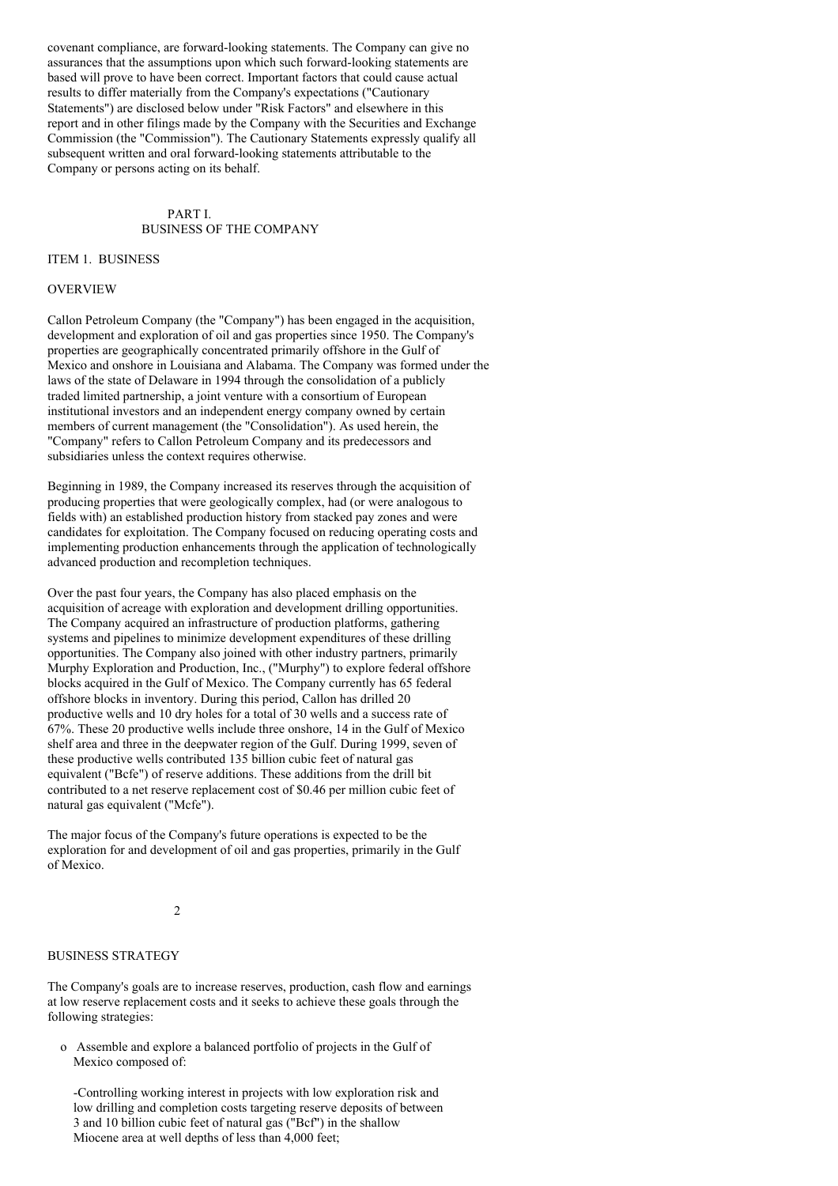covenant compliance, are forward-looking statements. The Company can give no assurances that the assumptions upon which such forward-looking statements are based will prove to have been correct. Important factors that could cause actual results to differ materially from the Company's expectations ("Cautionary Statements") are disclosed below under "Risk Factors" and elsewhere in this report and in other filings made by the Company with the Securities and Exchange Commission (the "Commission"). The Cautionary Statements expressly qualify all subsequent written and oral forward-looking statements attributable to the Company or persons acting on its behalf.

### PART I. BUSINESS OF THE COMPANY

ITEM 1. BUSINESS

#### **OVERVIEW**

Callon Petroleum Company (the "Company") has been engaged in the acquisition, development and exploration of oil and gas properties since 1950. The Company's properties are geographically concentrated primarily offshore in the Gulf of Mexico and onshore in Louisiana and Alabama. The Company was formed under the laws of the state of Delaware in 1994 through the consolidation of a publicly traded limited partnership, a joint venture with a consortium of European institutional investors and an independent energy company owned by certain members of current management (the "Consolidation"). As used herein, the "Company" refers to Callon Petroleum Company and its predecessors and subsidiaries unless the context requires otherwise.

Beginning in 1989, the Company increased its reserves through the acquisition of producing properties that were geologically complex, had (or were analogous to fields with) an established production history from stacked pay zones and were candidates for exploitation. The Company focused on reducing operating costs and implementing production enhancements through the application of technologically advanced production and recompletion techniques.

Over the past four years, the Company has also placed emphasis on the acquisition of acreage with exploration and development drilling opportunities. The Company acquired an infrastructure of production platforms, gathering systems and pipelines to minimize development expenditures of these drilling opportunities. The Company also joined with other industry partners, primarily Murphy Exploration and Production, Inc., ("Murphy") to explore federal offshore blocks acquired in the Gulf of Mexico. The Company currently has 65 federal offshore blocks in inventory. During this period, Callon has drilled 20 productive wells and 10 dry holes for a total of 30 wells and a success rate of 67%. These 20 productive wells include three onshore, 14 in the Gulf of Mexico shelf area and three in the deepwater region of the Gulf. During 1999, seven of these productive wells contributed 135 billion cubic feet of natural gas equivalent ("Bcfe") of reserve additions. These additions from the drill bit contributed to a net reserve replacement cost of \$0.46 per million cubic feet of natural gas equivalent ("Mcfe").

The major focus of the Company's future operations is expected to be the exploration for and development of oil and gas properties, primarily in the Gulf of Mexico.

#### $\overline{2}$

#### BUSINESS STRATEGY

The Company's goals are to increase reserves, production, cash flow and earnings at low reserve replacement costs and it seeks to achieve these goals through the following strategies:

o Assemble and explore a balanced portfolio of projects in the Gulf of Mexico composed of:

-Controlling working interest in projects with low exploration risk and low drilling and completion costs targeting reserve deposits of between 3 and 10 billion cubic feet of natural gas ("Bcf") in the shallow Miocene area at well depths of less than 4,000 feet;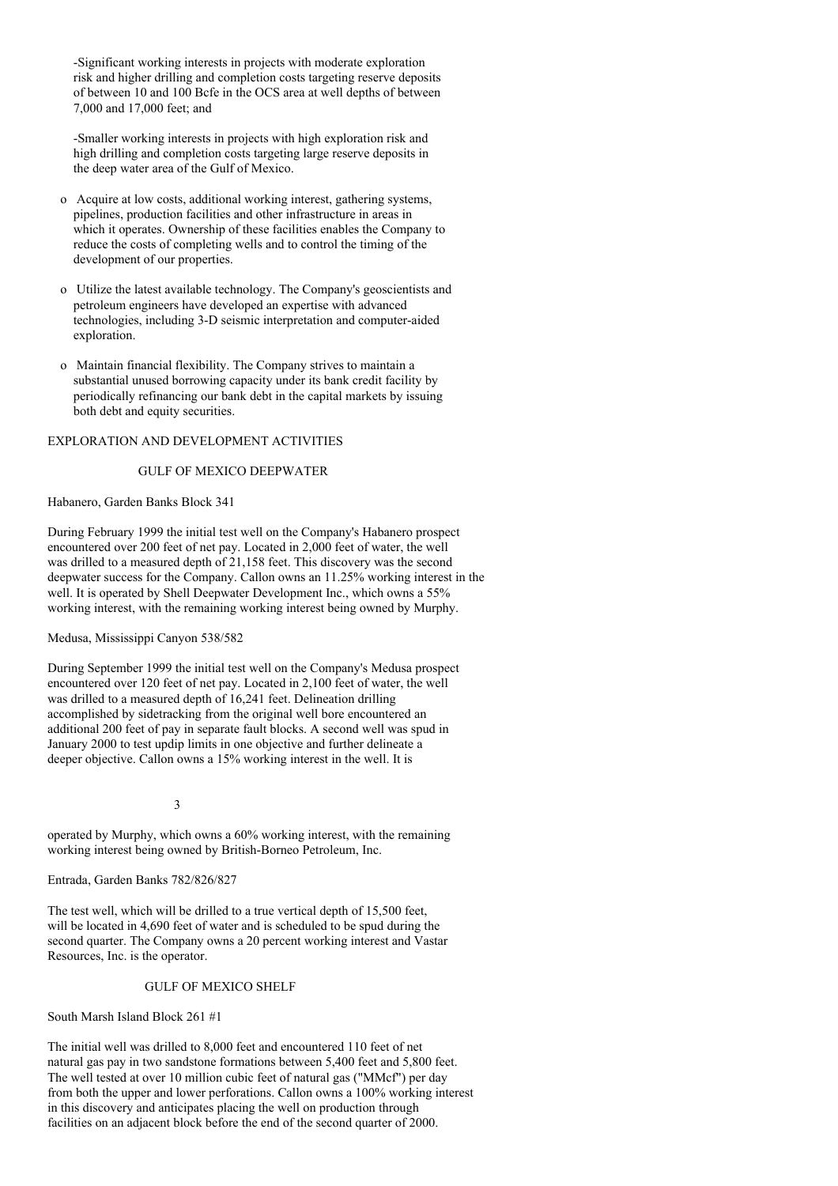-Significant working interests in projects with moderate exploration risk and higher drilling and completion costs targeting reserve deposits of between 10 and 100 Bcfe in the OCS area at well depths of between 7,000 and 17,000 feet; and

-Smaller working interests in projects with high exploration risk and high drilling and completion costs targeting large reserve deposits in the deep water area of the Gulf of Mexico.

- o Acquire at low costs, additional working interest, gathering systems, pipelines, production facilities and other infrastructure in areas in which it operates. Ownership of these facilities enables the Company to reduce the costs of completing wells and to control the timing of the development of our properties.
- o Utilize the latest available technology. The Company's geoscientists and petroleum engineers have developed an expertise with advanced technologies, including 3-D seismic interpretation and computer-aided exploration.
- o Maintain financial flexibility. The Company strives to maintain a substantial unused borrowing capacity under its bank credit facility by periodically refinancing our bank debt in the capital markets by issuing both debt and equity securities.

### EXPLORATION AND DEVELOPMENT ACTIVITIES

## GULF OF MEXICO DEEPWATER

### Habanero, Garden Banks Block 341

During February 1999 the initial test well on the Company's Habanero prospect encountered over 200 feet of net pay. Located in 2,000 feet of water, the well was drilled to a measured depth of 21,158 feet. This discovery was the second deepwater success for the Company. Callon owns an 11.25% working interest in the well. It is operated by Shell Deepwater Development Inc., which owns a 55% working interest, with the remaining working interest being owned by Murphy.

## Medusa, Mississippi Canyon 538/582

During September 1999 the initial test well on the Company's Medusa prospect encountered over 120 feet of net pay. Located in 2,100 feet of water, the well was drilled to a measured depth of 16,241 feet. Delineation drilling accomplished by sidetracking from the original well bore encountered an additional 200 feet of pay in separate fault blocks. A second well was spud in January 2000 to test updip limits in one objective and further delineate a deeper objective. Callon owns a 15% working interest in the well. It is

3

operated by Murphy, which owns a 60% working interest, with the remaining working interest being owned by British-Borneo Petroleum, Inc.

### Entrada, Garden Banks 782/826/827

The test well, which will be drilled to a true vertical depth of 15,500 feet, will be located in 4,690 feet of water and is scheduled to be spud during the second quarter. The Company owns a 20 percent working interest and Vastar Resources, Inc. is the operator.

### GULF OF MEXICO SHELF

South Marsh Island Block 261 #1

The initial well was drilled to 8,000 feet and encountered 110 feet of net natural gas pay in two sandstone formations between 5,400 feet and 5,800 feet. The well tested at over 10 million cubic feet of natural gas ("MMcf") per day from both the upper and lower perforations. Callon owns a 100% working interest in this discovery and anticipates placing the well on production through facilities on an adjacent block before the end of the second quarter of 2000.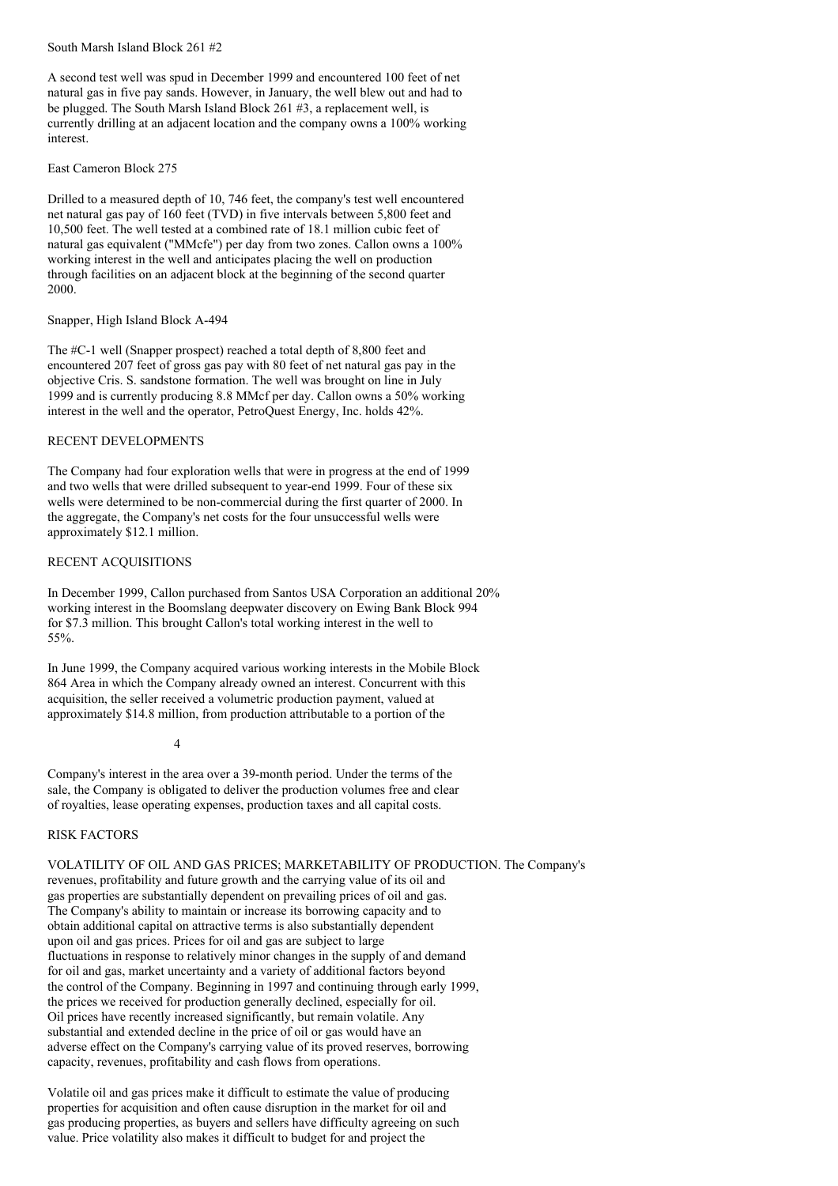South Marsh Island Block 261 #2

A second test well was spud in December 1999 and encountered 100 feet of net natural gas in five pay sands. However, in January, the well blew out and had to be plugged. The South Marsh Island Block 261 #3, a replacement well, is currently drilling at an adjacent location and the company owns a 100% working interest.

East Cameron Block 275

Drilled to a measured depth of 10, 746 feet, the company's test well encountered net natural gas pay of 160 feet (TVD) in five intervals between 5,800 feet and 10,500 feet. The well tested at a combined rate of 18.1 million cubic feet of natural gas equivalent ("MMcfe") per day from two zones. Callon owns a 100% working interest in the well and anticipates placing the well on production through facilities on an adjacent block at the beginning of the second quarter 2000.

Snapper, High Island Block A-494

The #C-1 well (Snapper prospect) reached a total depth of 8,800 feet and encountered 207 feet of gross gas pay with 80 feet of net natural gas pay in the objective Cris. S. sandstone formation. The well was brought on line in July 1999 and is currently producing 8.8 MMcf per day. Callon owns a 50% working interest in the well and the operator, PetroQuest Energy, Inc. holds 42%.

## RECENT DEVELOPMENTS

The Company had four exploration wells that were in progress at the end of 1999 and two wells that were drilled subsequent to year-end 1999. Four of these six wells were determined to be non-commercial during the first quarter of 2000. In the aggregate, the Company's net costs for the four unsuccessful wells were approximately \$12.1 million.

### RECENT ACQUISITIONS

In December 1999, Callon purchased from Santos USA Corporation an additional 20% working interest in the Boomslang deepwater discovery on Ewing Bank Block 994 for \$7.3 million. This brought Callon's total working interest in the well to 55%.

In June 1999, the Company acquired various working interests in the Mobile Block 864 Area in which the Company already owned an interest. Concurrent with this acquisition, the seller received a volumetric production payment, valued at approximately \$14.8 million, from production attributable to a portion of the

4

Company's interest in the area over a 39-month period. Under the terms of the sale, the Company is obligated to deliver the production volumes free and clear of royalties, lease operating expenses, production taxes and all capital costs.

### RISK FACTORS

VOLATILITY OF OIL AND GAS PRICES; MARKETABILITY OF PRODUCTION. The Company's revenues, profitability and future growth and the carrying value of its oil and gas properties are substantially dependent on prevailing prices of oil and gas. The Company's ability to maintain or increase its borrowing capacity and to obtain additional capital on attractive terms is also substantially dependent upon oil and gas prices. Prices for oil and gas are subject to large fluctuations in response to relatively minor changes in the supply of and demand for oil and gas, market uncertainty and a variety of additional factors beyond the control of the Company. Beginning in 1997 and continuing through early 1999, the prices we received for production generally declined, especially for oil. Oil prices have recently increased significantly, but remain volatile. Any substantial and extended decline in the price of oil or gas would have an adverse effect on the Company's carrying value of its proved reserves, borrowing capacity, revenues, profitability and cash flows from operations.

Volatile oil and gas prices make it difficult to estimate the value of producing properties for acquisition and often cause disruption in the market for oil and gas producing properties, as buyers and sellers have difficulty agreeing on such value. Price volatility also makes it difficult to budget for and project the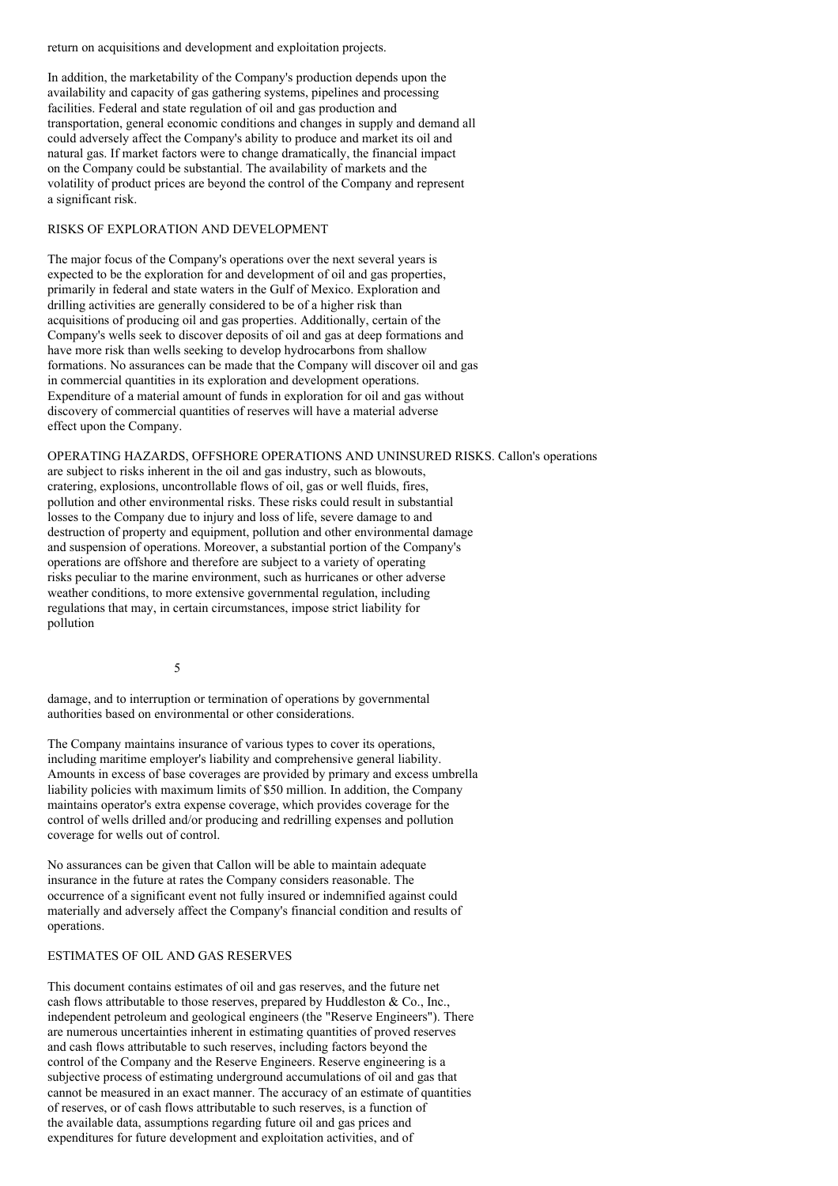return on acquisitions and development and exploitation projects.

In addition, the marketability of the Company's production depends upon the availability and capacity of gas gathering systems, pipelines and processing facilities. Federal and state regulation of oil and gas production and transportation, general economic conditions and changes in supply and demand all could adversely affect the Company's ability to produce and market its oil and natural gas. If market factors were to change dramatically, the financial impact on the Company could be substantial. The availability of markets and the volatility of product prices are beyond the control of the Company and represent a significant risk.

#### RISKS OF EXPLORATION AND DEVELOPMENT

The major focus of the Company's operations over the next several years is expected to be the exploration for and development of oil and gas properties, primarily in federal and state waters in the Gulf of Mexico. Exploration and drilling activities are generally considered to be of a higher risk than acquisitions of producing oil and gas properties. Additionally, certain of the Company's wells seek to discover deposits of oil and gas at deep formations and have more risk than wells seeking to develop hydrocarbons from shallow formations. No assurances can be made that the Company will discover oil and gas in commercial quantities in its exploration and development operations. Expenditure of a material amount of funds in exploration for oil and gas without discovery of commercial quantities of reserves will have a material adverse effect upon the Company.

OPERATING HAZARDS, OFFSHORE OPERATIONS AND UNINSURED RISKS. Callon's operations are subject to risks inherent in the oil and gas industry, such as blowouts, cratering, explosions, uncontrollable flows of oil, gas or well fluids, fires, pollution and other environmental risks. These risks could result in substantial losses to the Company due to injury and loss of life, severe damage to and destruction of property and equipment, pollution and other environmental damage and suspension of operations. Moreover, a substantial portion of the Company's operations are offshore and therefore are subject to a variety of operating risks peculiar to the marine environment, such as hurricanes or other adverse weather conditions, to more extensive governmental regulation, including regulations that may, in certain circumstances, impose strict liability for pollution

5

damage, and to interruption or termination of operations by governmental authorities based on environmental or other considerations.

The Company maintains insurance of various types to cover its operations, including maritime employer's liability and comprehensive general liability. Amounts in excess of base coverages are provided by primary and excess umbrella liability policies with maximum limits of \$50 million. In addition, the Company maintains operator's extra expense coverage, which provides coverage for the control of wells drilled and/or producing and redrilling expenses and pollution coverage for wells out of control.

No assurances can be given that Callon will be able to maintain adequate insurance in the future at rates the Company considers reasonable. The occurrence of a significant event not fully insured or indemnified against could materially and adversely affect the Company's financial condition and results of operations.

### ESTIMATES OF OIL AND GAS RESERVES

This document contains estimates of oil and gas reserves, and the future net cash flows attributable to those reserves, prepared by Huddleston & Co., Inc., independent petroleum and geological engineers (the "Reserve Engineers"). There are numerous uncertainties inherent in estimating quantities of proved reserves and cash flows attributable to such reserves, including factors beyond the control of the Company and the Reserve Engineers. Reserve engineering is a subjective process of estimating underground accumulations of oil and gas that cannot be measured in an exact manner. The accuracy of an estimate of quantities of reserves, or of cash flows attributable to such reserves, is a function of the available data, assumptions regarding future oil and gas prices and expenditures for future development and exploitation activities, and of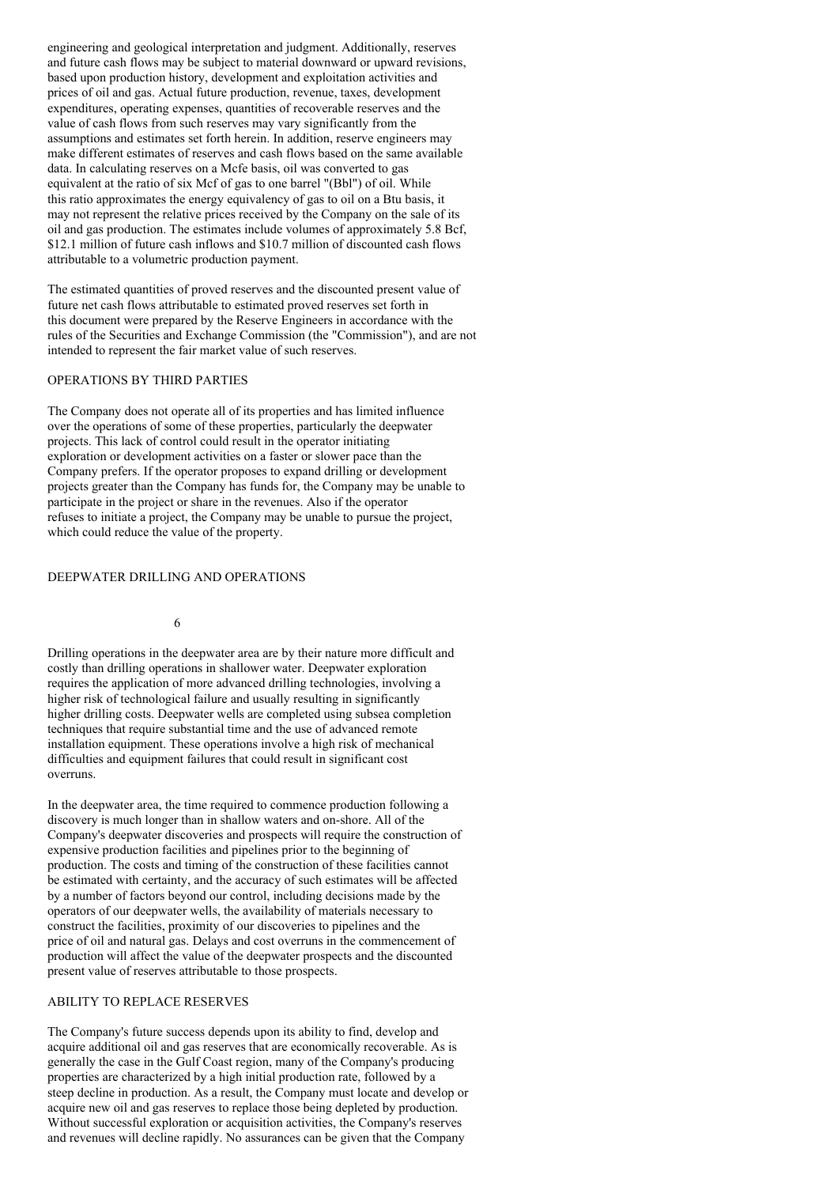engineering and geological interpretation and judgment. Additionally, reserves and future cash flows may be subject to material downward or upward revisions, based upon production history, development and exploitation activities and prices of oil and gas. Actual future production, revenue, taxes, development expenditures, operating expenses, quantities of recoverable reserves and the value of cash flows from such reserves may vary significantly from the assumptions and estimates set forth herein. In addition, reserve engineers may make different estimates of reserves and cash flows based on the same available data. In calculating reserves on a Mcfe basis, oil was converted to gas equivalent at the ratio of six Mcf of gas to one barrel "(Bbl") of oil. While this ratio approximates the energy equivalency of gas to oil on a Btu basis, it may not represent the relative prices received by the Company on the sale of its oil and gas production. The estimates include volumes of approximately 5.8 Bcf, \$12.1 million of future cash inflows and \$10.7 million of discounted cash flows attributable to a volumetric production payment.

The estimated quantities of proved reserves and the discounted present value of future net cash flows attributable to estimated proved reserves set forth in this document were prepared by the Reserve Engineers in accordance with the rules of the Securities and Exchange Commission (the "Commission"), and are not intended to represent the fair market value of such reserves.

## OPERATIONS BY THIRD PARTIES

The Company does not operate all of its properties and has limited influence over the operations of some of these properties, particularly the deepwater projects. This lack of control could result in the operator initiating exploration or development activities on a faster or slower pace than the Company prefers. If the operator proposes to expand drilling or development projects greater than the Company has funds for, the Company may be unable to participate in the project or share in the revenues. Also if the operator refuses to initiate a project, the Company may be unable to pursue the project, which could reduce the value of the property.

### DEEPWATER DRILLING AND OPERATIONS

6

Drilling operations in the deepwater area are by their nature more difficult and costly than drilling operations in shallower water. Deepwater exploration requires the application of more advanced drilling technologies, involving a higher risk of technological failure and usually resulting in significantly higher drilling costs. Deepwater wells are completed using subsea completion techniques that require substantial time and the use of advanced remote installation equipment. These operations involve a high risk of mechanical difficulties and equipment failures that could result in significant cost overruns.

In the deepwater area, the time required to commence production following a discovery is much longer than in shallow waters and on-shore. All of the Company's deepwater discoveries and prospects will require the construction of expensive production facilities and pipelines prior to the beginning of production. The costs and timing of the construction of these facilities cannot be estimated with certainty, and the accuracy of such estimates will be affected by a number of factors beyond our control, including decisions made by the operators of our deepwater wells, the availability of materials necessary to construct the facilities, proximity of our discoveries to pipelines and the price of oil and natural gas. Delays and cost overruns in the commencement of production will affect the value of the deepwater prospects and the discounted present value of reserves attributable to those prospects.

### ABILITY TO REPLACE RESERVES

The Company's future success depends upon its ability to find, develop and acquire additional oil and gas reserves that are economically recoverable. As is generally the case in the Gulf Coast region, many of the Company's producing properties are characterized by a high initial production rate, followed by a steep decline in production. As a result, the Company must locate and develop or acquire new oil and gas reserves to replace those being depleted by production. Without successful exploration or acquisition activities, the Company's reserves and revenues will decline rapidly. No assurances can be given that the Company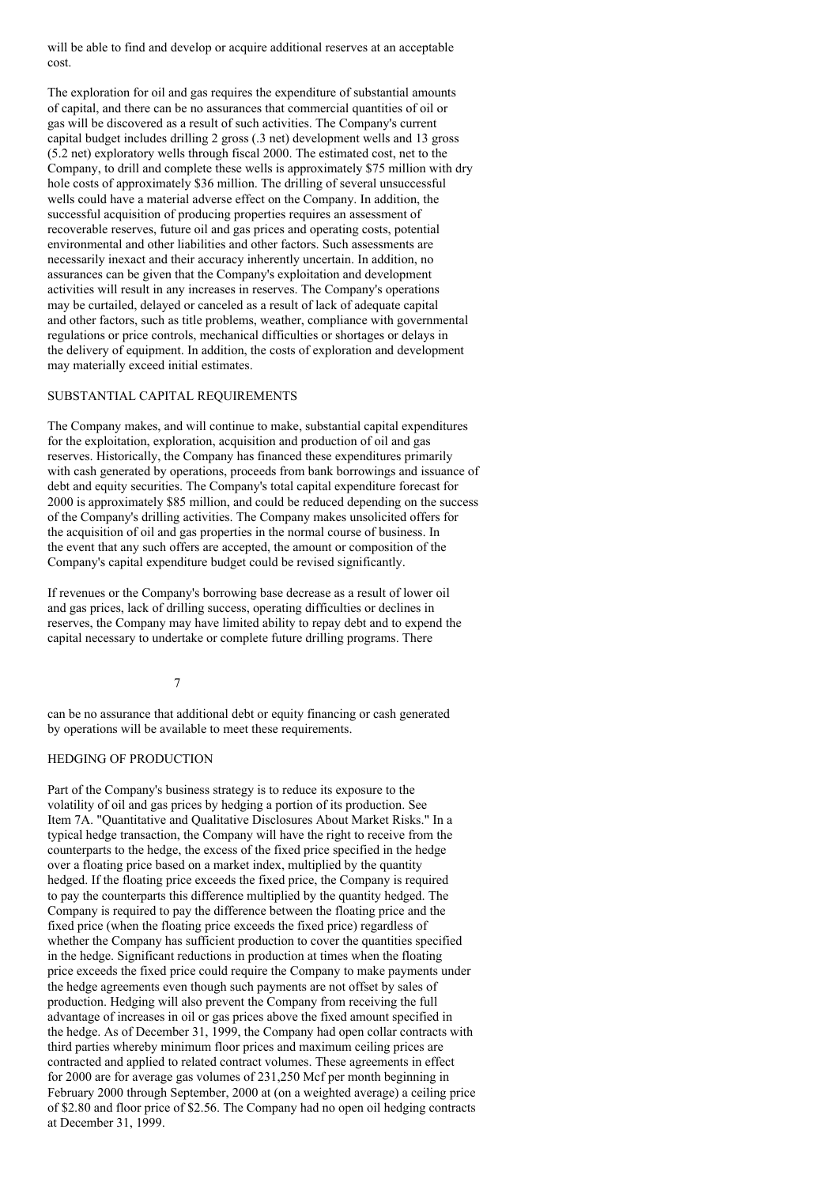will be able to find and develop or acquire additional reserves at an acceptable cost.

The exploration for oil and gas requires the expenditure of substantial amounts of capital, and there can be no assurances that commercial quantities of oil or gas will be discovered as a result of such activities. The Company's current capital budget includes drilling 2 gross (.3 net) development wells and 13 gross (5.2 net) exploratory wells through fiscal 2000. The estimated cost, net to the Company, to drill and complete these wells is approximately \$75 million with dry hole costs of approximately \$36 million. The drilling of several unsuccessful wells could have a material adverse effect on the Company. In addition, the successful acquisition of producing properties requires an assessment of recoverable reserves, future oil and gas prices and operating costs, potential environmental and other liabilities and other factors. Such assessments are necessarily inexact and their accuracy inherently uncertain. In addition, no assurances can be given that the Company's exploitation and development activities will result in any increases in reserves. The Company's operations may be curtailed, delayed or canceled as a result of lack of adequate capital and other factors, such as title problems, weather, compliance with governmental regulations or price controls, mechanical difficulties or shortages or delays in the delivery of equipment. In addition, the costs of exploration and development may materially exceed initial estimates.

#### SUBSTANTIAL CAPITAL REQUIREMENTS

The Company makes, and will continue to make, substantial capital expenditures for the exploitation, exploration, acquisition and production of oil and gas reserves. Historically, the Company has financed these expenditures primarily with cash generated by operations, proceeds from bank borrowings and issuance of debt and equity securities. The Company's total capital expenditure forecast for 2000 is approximately \$85 million, and could be reduced depending on the success of the Company's drilling activities. The Company makes unsolicited offers for the acquisition of oil and gas properties in the normal course of business. In the event that any such offers are accepted, the amount or composition of the Company's capital expenditure budget could be revised significantly.

If revenues or the Company's borrowing base decrease as a result of lower oil and gas prices, lack of drilling success, operating difficulties or declines in reserves, the Company may have limited ability to repay debt and to expend the capital necessary to undertake or complete future drilling programs. There

7

can be no assurance that additional debt or equity financing or cash generated by operations will be available to meet these requirements.

## HEDGING OF PRODUCTION

Part of the Company's business strategy is to reduce its exposure to the volatility of oil and gas prices by hedging a portion of its production. See Item 7A. "Quantitative and Qualitative Disclosures About Market Risks." In a typical hedge transaction, the Company will have the right to receive from the counterparts to the hedge, the excess of the fixed price specified in the hedge over a floating price based on a market index, multiplied by the quantity hedged. If the floating price exceeds the fixed price, the Company is required to pay the counterparts this difference multiplied by the quantity hedged. The Company is required to pay the difference between the floating price and the fixed price (when the floating price exceeds the fixed price) regardless of whether the Company has sufficient production to cover the quantities specified in the hedge. Significant reductions in production at times when the floating price exceeds the fixed price could require the Company to make payments under the hedge agreements even though such payments are not offset by sales of production. Hedging will also prevent the Company from receiving the full advantage of increases in oil or gas prices above the fixed amount specified in the hedge. As of December 31, 1999, the Company had open collar contracts with third parties whereby minimum floor prices and maximum ceiling prices are contracted and applied to related contract volumes. These agreements in effect for 2000 are for average gas volumes of 231,250 Mcf per month beginning in February 2000 through September, 2000 at (on a weighted average) a ceiling price of \$2.80 and floor price of \$2.56. The Company had no open oil hedging contracts at December 31, 1999.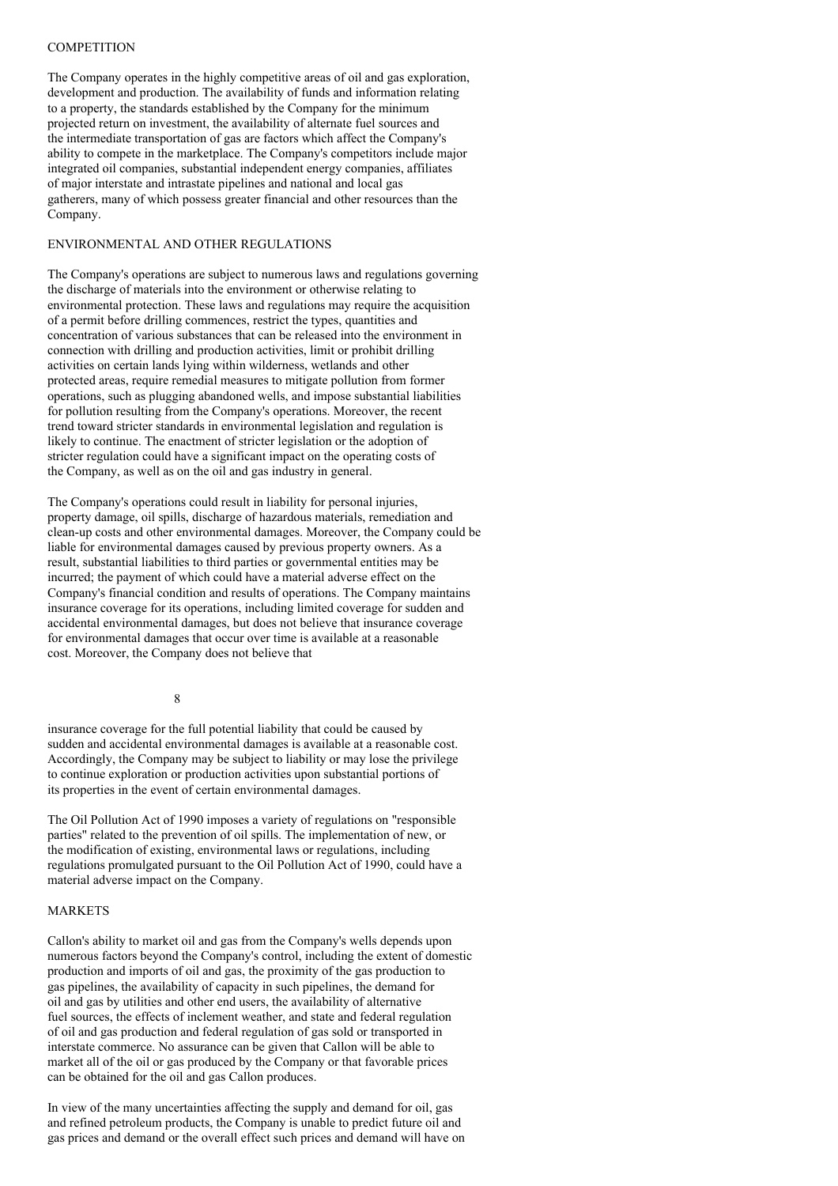#### **COMPETITION**

The Company operates in the highly competitive areas of oil and gas exploration, development and production. The availability of funds and information relating to a property, the standards established by the Company for the minimum projected return on investment, the availability of alternate fuel sources and the intermediate transportation of gas are factors which affect the Company's ability to compete in the marketplace. The Company's competitors include major integrated oil companies, substantial independent energy companies, affiliates of major interstate and intrastate pipelines and national and local gas gatherers, many of which possess greater financial and other resources than the Company.

### ENVIRONMENTAL AND OTHER REGULATIONS

The Company's operations are subject to numerous laws and regulations governing the discharge of materials into the environment or otherwise relating to environmental protection. These laws and regulations may require the acquisition of a permit before drilling commences, restrict the types, quantities and concentration of various substances that can be released into the environment in connection with drilling and production activities, limit or prohibit drilling activities on certain lands lying within wilderness, wetlands and other protected areas, require remedial measures to mitigate pollution from former operations, such as plugging abandoned wells, and impose substantial liabilities for pollution resulting from the Company's operations. Moreover, the recent trend toward stricter standards in environmental legislation and regulation is likely to continue. The enactment of stricter legislation or the adoption of stricter regulation could have a significant impact on the operating costs of the Company, as well as on the oil and gas industry in general.

The Company's operations could result in liability for personal injuries, property damage, oil spills, discharge of hazardous materials, remediation and clean-up costs and other environmental damages. Moreover, the Company could be liable for environmental damages caused by previous property owners. As a result, substantial liabilities to third parties or governmental entities may be incurred; the payment of which could have a material adverse effect on the Company's financial condition and results of operations. The Company maintains insurance coverage for its operations, including limited coverage for sudden and accidental environmental damages, but does not believe that insurance coverage for environmental damages that occur over time is available at a reasonable cost. Moreover, the Company does not believe that

8

insurance coverage for the full potential liability that could be caused by sudden and accidental environmental damages is available at a reasonable cost. Accordingly, the Company may be subject to liability or may lose the privilege to continue exploration or production activities upon substantial portions of its properties in the event of certain environmental damages.

The Oil Pollution Act of 1990 imposes a variety of regulations on "responsible parties" related to the prevention of oil spills. The implementation of new, or the modification of existing, environmental laws or regulations, including regulations promulgated pursuant to the Oil Pollution Act of 1990, could have a material adverse impact on the Company.

#### MARKETS

Callon's ability to market oil and gas from the Company's wells depends upon numerous factors beyond the Company's control, including the extent of domestic production and imports of oil and gas, the proximity of the gas production to gas pipelines, the availability of capacity in such pipelines, the demand for oil and gas by utilities and other end users, the availability of alternative fuel sources, the effects of inclement weather, and state and federal regulation of oil and gas production and federal regulation of gas sold or transported in interstate commerce. No assurance can be given that Callon will be able to market all of the oil or gas produced by the Company or that favorable prices can be obtained for the oil and gas Callon produces.

In view of the many uncertainties affecting the supply and demand for oil, gas and refined petroleum products, the Company is unable to predict future oil and gas prices and demand or the overall effect such prices and demand will have on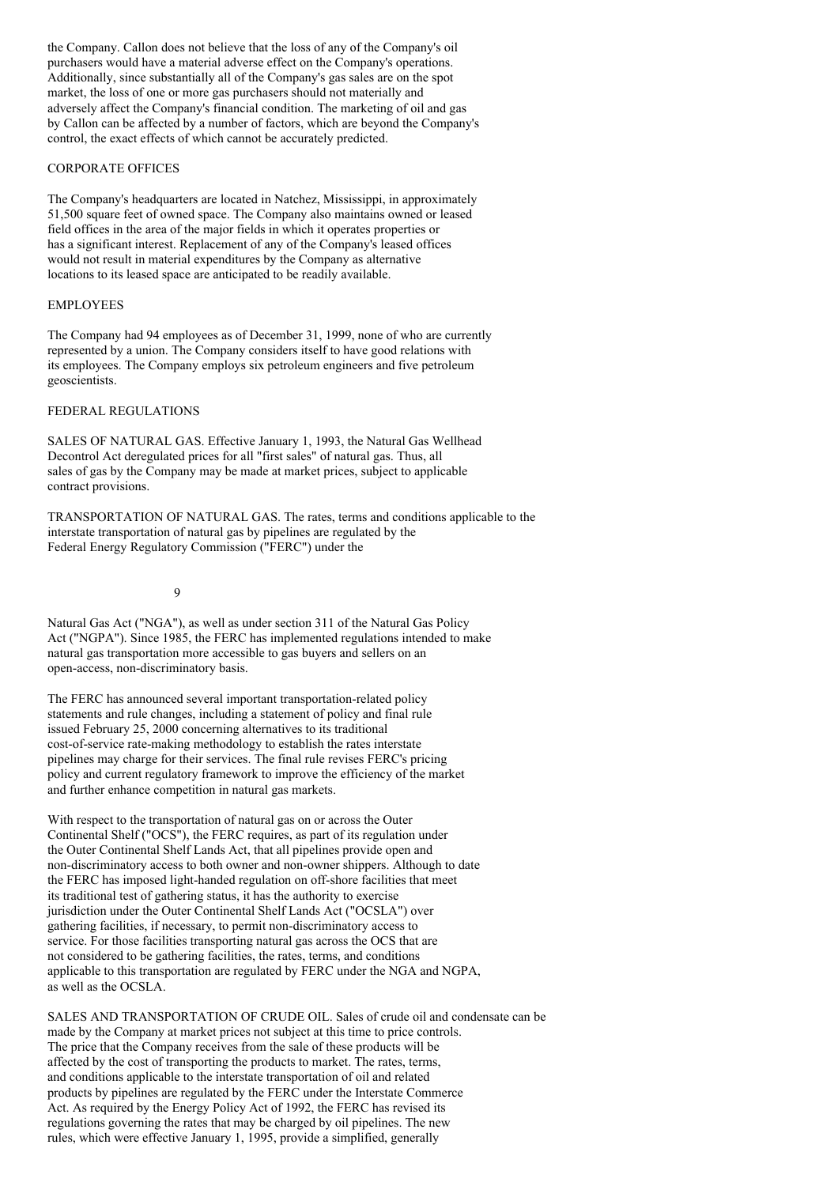the Company. Callon does not believe that the loss of any of the Company's oil purchasers would have a material adverse effect on the Company's operations. Additionally, since substantially all of the Company's gas sales are on the spot market, the loss of one or more gas purchasers should not materially and adversely affect the Company's financial condition. The marketing of oil and gas by Callon can be affected by a number of factors, which are beyond the Company's control, the exact effects of which cannot be accurately predicted.

#### CORPORATE OFFICES

The Company's headquarters are located in Natchez, Mississippi, in approximately 51,500 square feet of owned space. The Company also maintains owned or leased field offices in the area of the major fields in which it operates properties or has a significant interest. Replacement of any of the Company's leased offices would not result in material expenditures by the Company as alternative locations to its leased space are anticipated to be readily available.

#### EMPLOYEES

The Company had 94 employees as of December 31, 1999, none of who are currently represented by a union. The Company considers itself to have good relations with its employees. The Company employs six petroleum engineers and five petroleum geoscientists.

### FEDERAL REGULATIONS

SALES OF NATURAL GAS. Effective January 1, 1993, the Natural Gas Wellhead Decontrol Act deregulated prices for all "first sales" of natural gas. Thus, all sales of gas by the Company may be made at market prices, subject to applicable contract provisions.

TRANSPORTATION OF NATURAL GAS. The rates, terms and conditions applicable to the interstate transportation of natural gas by pipelines are regulated by the Federal Energy Regulatory Commission ("FERC") under the

9

Natural Gas Act ("NGA"), as well as under section 311 of the Natural Gas Policy Act ("NGPA"). Since 1985, the FERC has implemented regulations intended to make natural gas transportation more accessible to gas buyers and sellers on an open-access, non-discriminatory basis.

The FERC has announced several important transportation-related policy statements and rule changes, including a statement of policy and final rule issued February 25, 2000 concerning alternatives to its traditional cost-of-service rate-making methodology to establish the rates interstate pipelines may charge for their services. The final rule revises FERC's pricing policy and current regulatory framework to improve the efficiency of the market and further enhance competition in natural gas markets.

With respect to the transportation of natural gas on or across the Outer Continental Shelf ("OCS"), the FERC requires, as part of its regulation under the Outer Continental Shelf Lands Act, that all pipelines provide open and non-discriminatory access to both owner and non-owner shippers. Although to date the FERC has imposed light-handed regulation on off-shore facilities that meet its traditional test of gathering status, it has the authority to exercise jurisdiction under the Outer Continental Shelf Lands Act ("OCSLA") over gathering facilities, if necessary, to permit non-discriminatory access to service. For those facilities transporting natural gas across the OCS that are not considered to be gathering facilities, the rates, terms, and conditions applicable to this transportation are regulated by FERC under the NGA and NGPA, as well as the OCSLA.

SALES AND TRANSPORTATION OF CRUDE OIL. Sales of crude oil and condensate can be made by the Company at market prices not subject at this time to price controls. The price that the Company receives from the sale of these products will be affected by the cost of transporting the products to market. The rates, terms, and conditions applicable to the interstate transportation of oil and related products by pipelines are regulated by the FERC under the Interstate Commerce Act. As required by the Energy Policy Act of 1992, the FERC has revised its regulations governing the rates that may be charged by oil pipelines. The new rules, which were effective January 1, 1995, provide a simplified, generally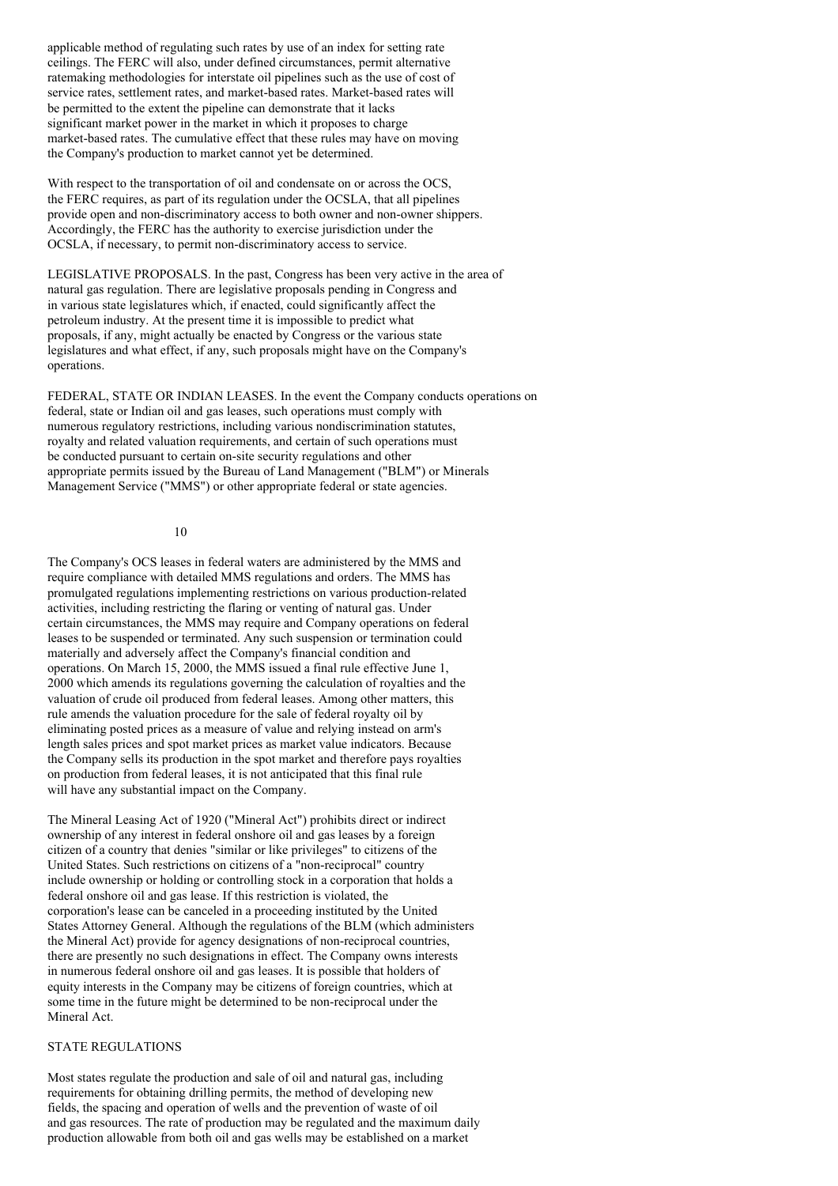applicable method of regulating such rates by use of an index for setting rate ceilings. The FERC will also, under defined circumstances, permit alternative ratemaking methodologies for interstate oil pipelines such as the use of cost of service rates, settlement rates, and market-based rates. Market-based rates will be permitted to the extent the pipeline can demonstrate that it lacks significant market power in the market in which it proposes to charge market-based rates. The cumulative effect that these rules may have on moving the Company's production to market cannot yet be determined.

With respect to the transportation of oil and condensate on or across the OCS, the FERC requires, as part of its regulation under the OCSLA, that all pipelines provide open and non-discriminatory access to both owner and non-owner shippers. Accordingly, the FERC has the authority to exercise jurisdiction under the OCSLA, if necessary, to permit non-discriminatory access to service.

LEGISLATIVE PROPOSALS. In the past, Congress has been very active in the area of natural gas regulation. There are legislative proposals pending in Congress and in various state legislatures which, if enacted, could significantly affect the petroleum industry. At the present time it is impossible to predict what proposals, if any, might actually be enacted by Congress or the various state legislatures and what effect, if any, such proposals might have on the Company's operations.

FEDERAL, STATE OR INDIAN LEASES. In the event the Company conducts operations on federal, state or Indian oil and gas leases, such operations must comply with numerous regulatory restrictions, including various nondiscrimination statutes, royalty and related valuation requirements, and certain of such operations must be conducted pursuant to certain on-site security regulations and other appropriate permits issued by the Bureau of Land Management ("BLM") or Minerals Management Service ("MMS") or other appropriate federal or state agencies.

### 10

The Company's OCS leases in federal waters are administered by the MMS and require compliance with detailed MMS regulations and orders. The MMS has promulgated regulations implementing restrictions on various production-related activities, including restricting the flaring or venting of natural gas. Under certain circumstances, the MMS may require and Company operations on federal leases to be suspended or terminated. Any such suspension or termination could materially and adversely affect the Company's financial condition and operations. On March 15, 2000, the MMS issued a final rule effective June 1, 2000 which amends its regulations governing the calculation of royalties and the valuation of crude oil produced from federal leases. Among other matters, this rule amends the valuation procedure for the sale of federal royalty oil by eliminating posted prices as a measure of value and relying instead on arm's length sales prices and spot market prices as market value indicators. Because the Company sells its production in the spot market and therefore pays royalties on production from federal leases, it is not anticipated that this final rule will have any substantial impact on the Company.

The Mineral Leasing Act of 1920 ("Mineral Act") prohibits direct or indirect ownership of any interest in federal onshore oil and gas leases by a foreign citizen of a country that denies "similar or like privileges" to citizens of the United States. Such restrictions on citizens of a "non-reciprocal" country include ownership or holding or controlling stock in a corporation that holds a federal onshore oil and gas lease. If this restriction is violated, the corporation's lease can be canceled in a proceeding instituted by the United States Attorney General. Although the regulations of the BLM (which administers the Mineral Act) provide for agency designations of non-reciprocal countries, there are presently no such designations in effect. The Company owns interests in numerous federal onshore oil and gas leases. It is possible that holders of equity interests in the Company may be citizens of foreign countries, which at some time in the future might be determined to be non-reciprocal under the Mineral Act.

### STATE REGULATIONS

Most states regulate the production and sale of oil and natural gas, including requirements for obtaining drilling permits, the method of developing new fields, the spacing and operation of wells and the prevention of waste of oil and gas resources. The rate of production may be regulated and the maximum daily production allowable from both oil and gas wells may be established on a market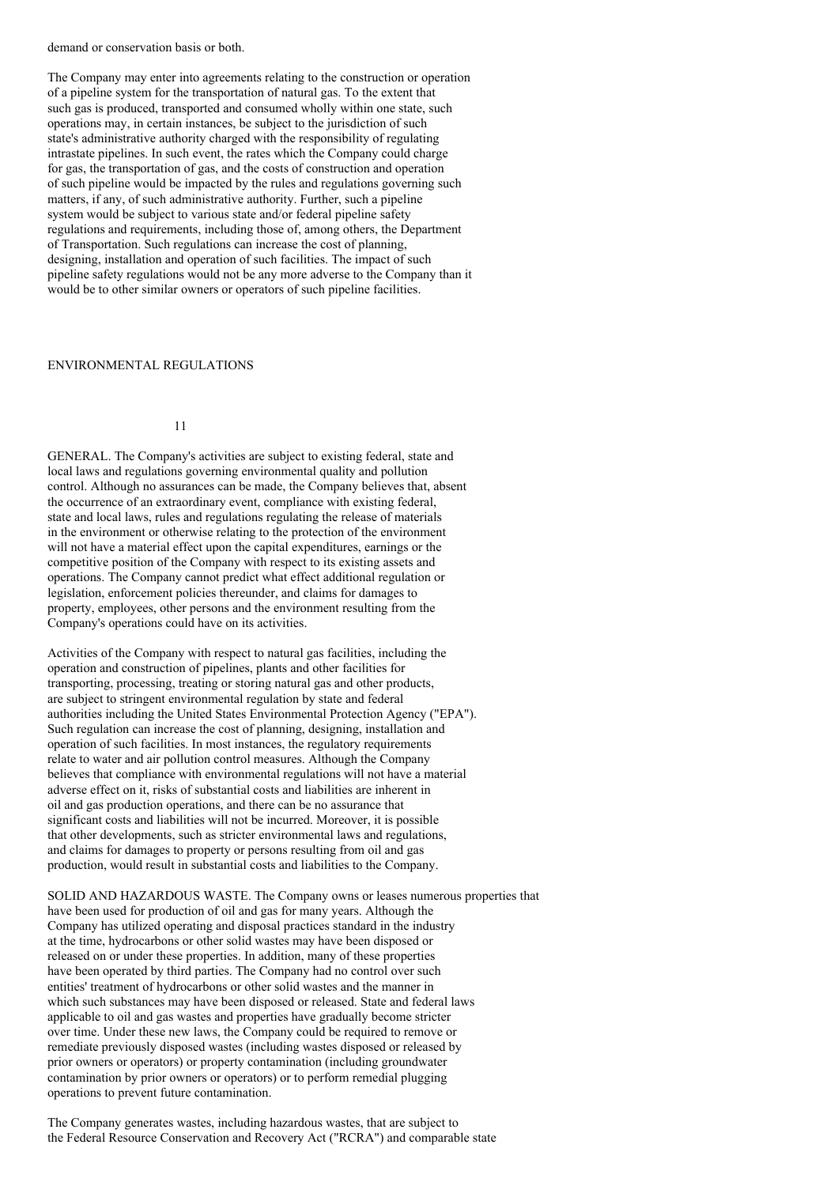demand or conservation basis or both.

The Company may enter into agreements relating to the construction or operation of a pipeline system for the transportation of natural gas. To the extent that such gas is produced, transported and consumed wholly within one state, such operations may, in certain instances, be subject to the jurisdiction of such state's administrative authority charged with the responsibility of regulating intrastate pipelines. In such event, the rates which the Company could charge for gas, the transportation of gas, and the costs of construction and operation of such pipeline would be impacted by the rules and regulations governing such matters, if any, of such administrative authority. Further, such a pipeline system would be subject to various state and/or federal pipeline safety regulations and requirements, including those of, among others, the Department of Transportation. Such regulations can increase the cost of planning, designing, installation and operation of such facilities. The impact of such pipeline safety regulations would not be any more adverse to the Company than it would be to other similar owners or operators of such pipeline facilities.

#### ENVIRONMENTAL REGULATIONS

11

GENERAL. The Company's activities are subject to existing federal, state and local laws and regulations governing environmental quality and pollution control. Although no assurances can be made, the Company believes that, absent the occurrence of an extraordinary event, compliance with existing federal, state and local laws, rules and regulations regulating the release of materials in the environment or otherwise relating to the protection of the environment will not have a material effect upon the capital expenditures, earnings or the competitive position of the Company with respect to its existing assets and operations. The Company cannot predict what effect additional regulation or legislation, enforcement policies thereunder, and claims for damages to property, employees, other persons and the environment resulting from the Company's operations could have on its activities.

Activities of the Company with respect to natural gas facilities, including the operation and construction of pipelines, plants and other facilities for transporting, processing, treating or storing natural gas and other products, are subject to stringent environmental regulation by state and federal authorities including the United States Environmental Protection Agency ("EPA"). Such regulation can increase the cost of planning, designing, installation and operation of such facilities. In most instances, the regulatory requirements relate to water and air pollution control measures. Although the Company believes that compliance with environmental regulations will not have a material adverse effect on it, risks of substantial costs and liabilities are inherent in oil and gas production operations, and there can be no assurance that significant costs and liabilities will not be incurred. Moreover, it is possible that other developments, such as stricter environmental laws and regulations, and claims for damages to property or persons resulting from oil and gas production, would result in substantial costs and liabilities to the Company.

SOLID AND HAZARDOUS WASTE. The Company owns or leases numerous properties that have been used for production of oil and gas for many years. Although the Company has utilized operating and disposal practices standard in the industry at the time, hydrocarbons or other solid wastes may have been disposed or released on or under these properties. In addition, many of these properties have been operated by third parties. The Company had no control over such entities' treatment of hydrocarbons or other solid wastes and the manner in which such substances may have been disposed or released. State and federal laws applicable to oil and gas wastes and properties have gradually become stricter over time. Under these new laws, the Company could be required to remove or remediate previously disposed wastes (including wastes disposed or released by prior owners or operators) or property contamination (including groundwater contamination by prior owners or operators) or to perform remedial plugging operations to prevent future contamination.

The Company generates wastes, including hazardous wastes, that are subject to the Federal Resource Conservation and Recovery Act ("RCRA") and comparable state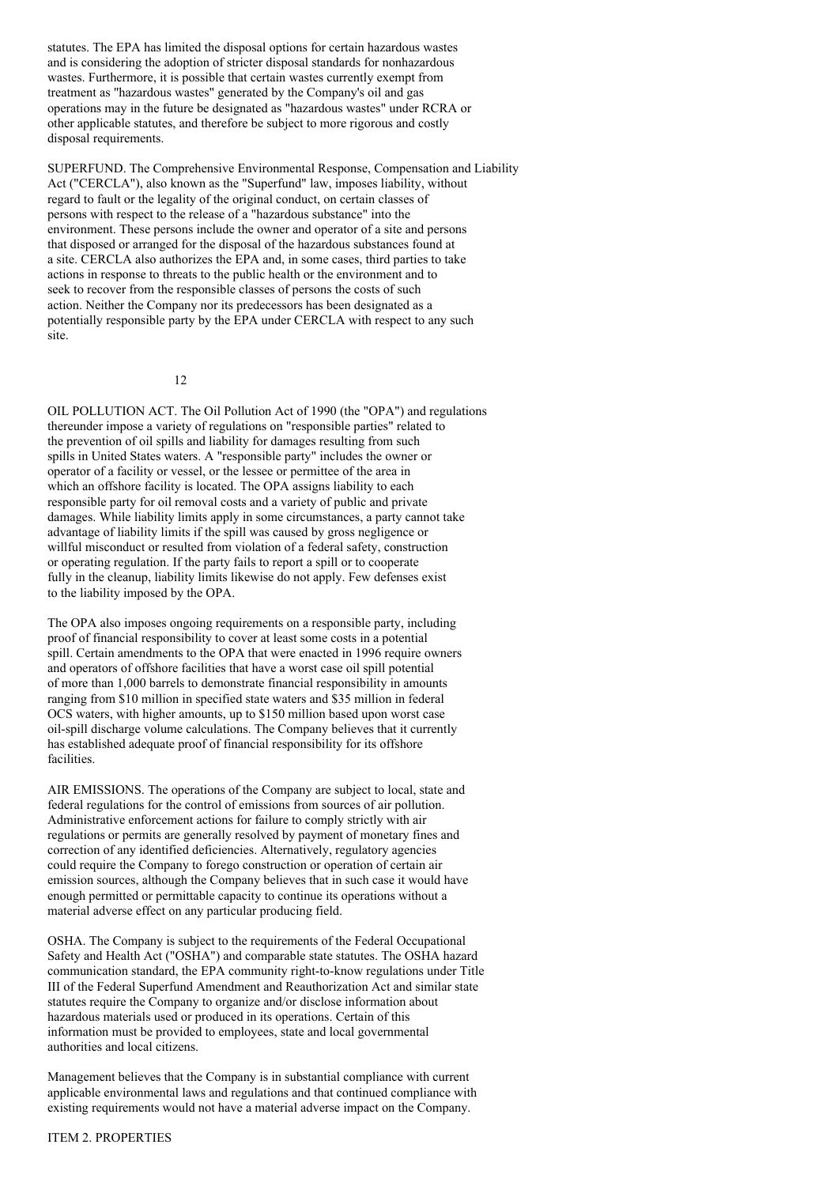statutes. The EPA has limited the disposal options for certain hazardous wastes and is considering the adoption of stricter disposal standards for nonhazardous wastes. Furthermore, it is possible that certain wastes currently exempt from treatment as "hazardous wastes" generated by the Company's oil and gas operations may in the future be designated as "hazardous wastes" under RCRA or other applicable statutes, and therefore be subject to more rigorous and costly disposal requirements.

SUPERFUND. The Comprehensive Environmental Response, Compensation and Liability Act ("CERCLA"), also known as the "Superfund" law, imposes liability, without regard to fault or the legality of the original conduct, on certain classes of persons with respect to the release of a "hazardous substance" into the environment. These persons include the owner and operator of a site and persons that disposed or arranged for the disposal of the hazardous substances found at a site. CERCLA also authorizes the EPA and, in some cases, third parties to take actions in response to threats to the public health or the environment and to seek to recover from the responsible classes of persons the costs of such action. Neither the Company nor its predecessors has been designated as a potentially responsible party by the EPA under CERCLA with respect to any such site.

12

OIL POLLUTION ACT. The Oil Pollution Act of 1990 (the "OPA") and regulations thereunder impose a variety of regulations on "responsible parties" related to the prevention of oil spills and liability for damages resulting from such spills in United States waters. A "responsible party" includes the owner or operator of a facility or vessel, or the lessee or permittee of the area in which an offshore facility is located. The OPA assigns liability to each responsible party for oil removal costs and a variety of public and private damages. While liability limits apply in some circumstances, a party cannot take advantage of liability limits if the spill was caused by gross negligence or willful misconduct or resulted from violation of a federal safety, construction or operating regulation. If the party fails to report a spill or to cooperate fully in the cleanup, liability limits likewise do not apply. Few defenses exist to the liability imposed by the OPA.

The OPA also imposes ongoing requirements on a responsible party, including proof of financial responsibility to cover at least some costs in a potential spill. Certain amendments to the OPA that were enacted in 1996 require owners and operators of offshore facilities that have a worst case oil spill potential of more than 1,000 barrels to demonstrate financial responsibility in amounts ranging from \$10 million in specified state waters and \$35 million in federal OCS waters, with higher amounts, up to \$150 million based upon worst case oil-spill discharge volume calculations. The Company believes that it currently has established adequate proof of financial responsibility for its offshore facilities.

AIR EMISSIONS. The operations of the Company are subject to local, state and federal regulations for the control of emissions from sources of air pollution. Administrative enforcement actions for failure to comply strictly with air regulations or permits are generally resolved by payment of monetary fines and correction of any identified deficiencies. Alternatively, regulatory agencies could require the Company to forego construction or operation of certain air emission sources, although the Company believes that in such case it would have enough permitted or permittable capacity to continue its operations without a material adverse effect on any particular producing field.

OSHA. The Company is subject to the requirements of the Federal Occupational Safety and Health Act ("OSHA") and comparable state statutes. The OSHA hazard communication standard, the EPA community right-to-know regulations under Title III of the Federal Superfund Amendment and Reauthorization Act and similar state statutes require the Company to organize and/or disclose information about hazardous materials used or produced in its operations. Certain of this information must be provided to employees, state and local governmental authorities and local citizens.

Management believes that the Company is in substantial compliance with current applicable environmental laws and regulations and that continued compliance with existing requirements would not have a material adverse impact on the Company.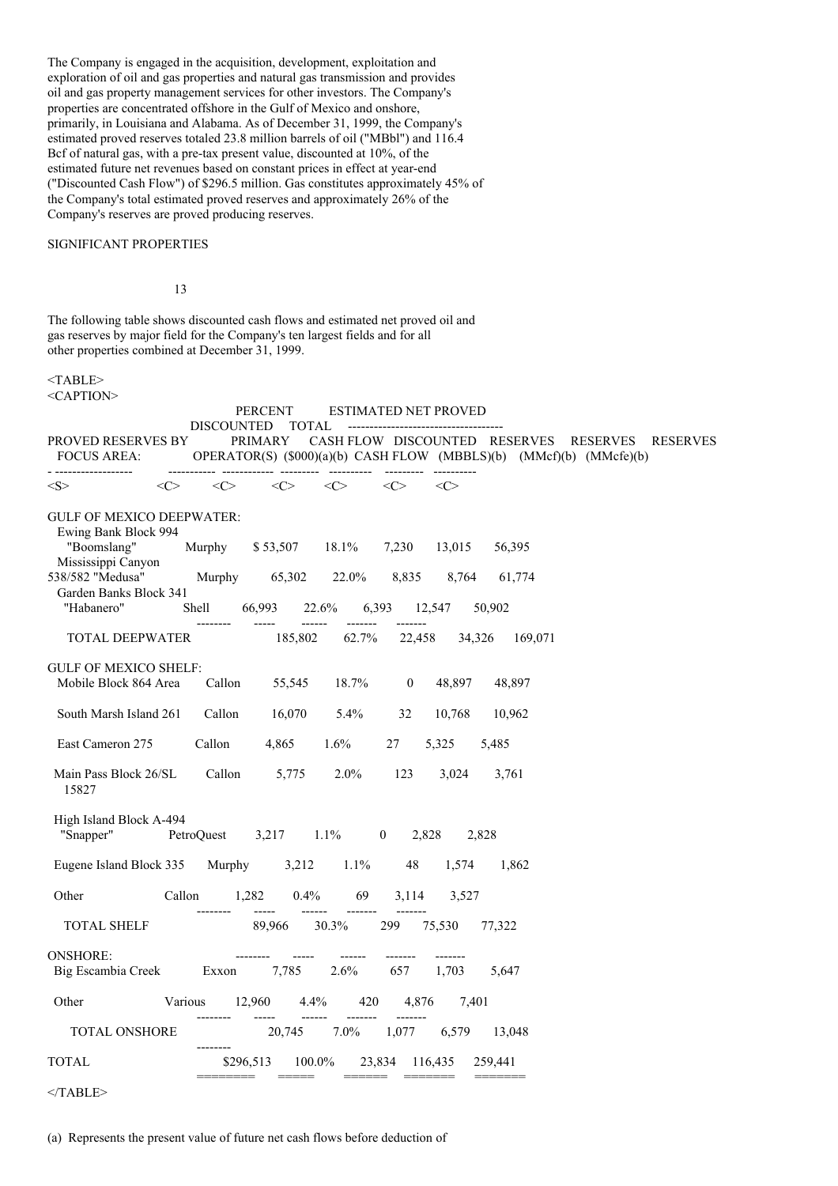The Company is engaged in the acquisition, development, exploitation and exploration of oil and gas properties and natural gas transmission and provides oil and gas property management services for other investors. The Company's properties are concentrated offshore in the Gulf of Mexico and onshore, primarily, in Louisiana and Alabama. As of December 31, 1999, the Company's estimated proved reserves totaled 23.8 million barrels of oil ("MBbl") and 116.4 Bcf of natural gas, with a pre-tax present value, discounted at 10%, of the estimated future net revenues based on constant prices in effect at year-end ("Discounted Cash Flow") of \$296.5 million. Gas constitutes approximately 45% of the Company's total estimated proved reserves and approximately 26% of the Company's reserves are proved producing reserves.

### SIGNIFICANT PROPERTIES

13

The following table shows discounted cash flows and estimated net proved oil and gas reserves by major field for the Company's ten largest fields and for all other properties combined at December 31, 1999.

#### $<$ TABLE> <CAPTION>

|                                                                                                                                                                    | PERCENT                                                                                                             | ESTIMATED NET PROVED                           |                                                         |          |                 |
|--------------------------------------------------------------------------------------------------------------------------------------------------------------------|---------------------------------------------------------------------------------------------------------------------|------------------------------------------------|---------------------------------------------------------|----------|-----------------|
| <b>PROVED RESERVES BY</b><br>FOCUS AREA:<br>------------------                                                                                                     | <b>TOTAL</b><br><b>DISCOUNTED</b><br>PRIMARY<br>OPERATOR(S) (\$000)(a)(b) CASH FLOW (MBBLS)(b) (MMcf)(b) (MMcfe)(b) | CASH FLOW DISCOUNTED RESERVES<br>--------- --- |                                                         | RESERVES | <b>RESERVES</b> |
| $<\!\!C\!\!>$<br>$<\!\!S\!\!>$                                                                                                                                     | $<\!\!C\!\!>$<br>$\langle C \rangle$                                                                                | $\langle C \rangle$<br>$<\!\!C\!\!>$           | $\langle C \rangle$                                     |          |                 |
| <b>GULF OF MEXICO DEEPWATER:</b><br>Ewing Bank Block 994<br>"Boomslang"<br>Mississippi Canyon<br>538/582 "Medusa"<br>Garden Banks Block 341<br>"Habanero"<br>Shell | Murphy<br>$$53,507$ 18.1%<br>Murphy<br>65,302<br>66,993<br>22.6%<br>------                                          | 7,230<br>22.0%<br>8,835<br>6,393<br>-------    | 13,015<br>56,395<br>8,764<br>61,774<br>12,547<br>50,902 |          |                 |
| <b>TOTAL DEEPWATER</b>                                                                                                                                             | 185,802                                                                                                             | 62.7%<br>22,458                                | 34,326<br>169,071                                       |          |                 |
| <b>GULF OF MEXICO SHELF:</b><br>Mobile Block 864 Area                                                                                                              | 55,545<br>Callon                                                                                                    | 18.7%<br>$\overline{0}$                        | 48,897<br>48,897                                        |          |                 |
| South Marsh Island 261                                                                                                                                             | Callon<br>16,070                                                                                                    | $5.4\%$<br>32                                  | 10,768<br>10,962                                        |          |                 |
| East Cameron 275                                                                                                                                                   | Callon<br>$4,865$ $1.6\%$                                                                                           | 27                                             | 5,325<br>5,485                                          |          |                 |
| Main Pass Block 26/SL<br>15827                                                                                                                                     | Callon<br>5,775                                                                                                     | 2.0%<br>123                                    | 3,024<br>3,761                                          |          |                 |
| High Island Block A-494<br>"Snapper"<br>PetroQuest                                                                                                                 | $3,217$ $1.1\%$                                                                                                     | $\overline{\mathbf{0}}$<br>2,828               | 2,828                                                   |          |                 |
| Eugene Island Block 335                                                                                                                                            | Murphy                                                                                                              | $3,212$ $1.1\%$<br>48                          | 1,574<br>1,862                                          |          |                 |
| Other<br>Callon                                                                                                                                                    | 1,282<br>$0.4\%$                                                                                                    | 69<br>3,114                                    | 3.527                                                   |          |                 |
| <b>TOTAL SHELF</b>                                                                                                                                                 | 89,966                                                                                                              | $30.3\%$<br>299                                | 75,530<br>77,322                                        |          |                 |
| <b>ONSHORE:</b><br>Big Escambia Creek                                                                                                                              | 7,785<br>Exxon                                                                                                      | 2.6%<br>657                                    | 1,703<br>5,647                                          |          |                 |
| Various<br>Other                                                                                                                                                   | 12,960<br>4.4%                                                                                                      | 420<br>4,876                                   | 7,401                                                   |          |                 |
| <b>TOTAL ONSHORE</b>                                                                                                                                               | 20,745                                                                                                              | $7.0\%$<br>1,077                               | 6,579<br>13,048                                         |          |                 |
| <b>TOTAL</b>                                                                                                                                                       | 100.0%<br>\$296,513                                                                                                 | 23,834 116,435                                 | 259,441                                                 |          |                 |
|                                                                                                                                                                    |                                                                                                                     |                                                |                                                         |          |                 |

  |  |  |  |  |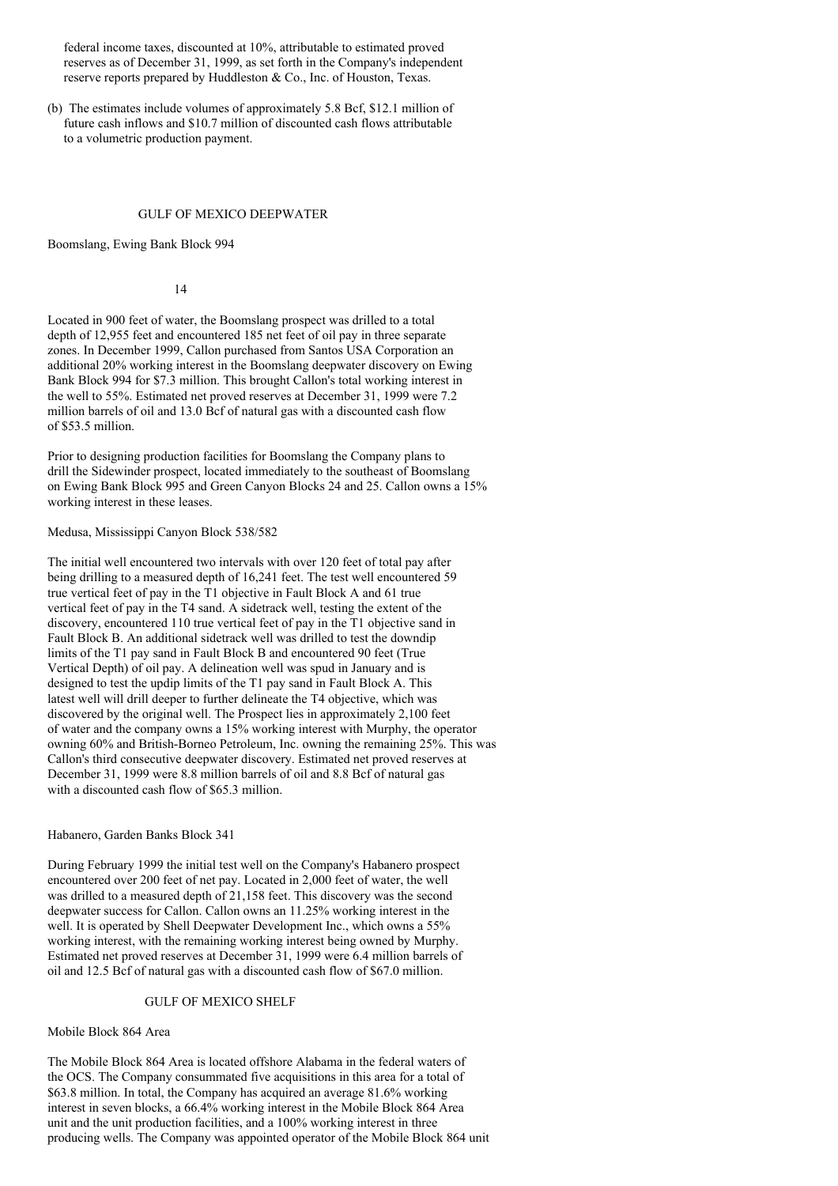federal income taxes, discounted at 10%, attributable to estimated proved reserves as of December 31, 1999, as set forth in the Company's independent reserve reports prepared by Huddleston & Co., Inc. of Houston, Texas.

(b) The estimates include volumes of approximately 5.8 Bcf, \$12.1 million of future cash inflows and \$10.7 million of discounted cash flows attributable to a volumetric production payment.

#### GULF OF MEXICO DEEPWATER

Boomslang, Ewing Bank Block 994

### 14

Located in 900 feet of water, the Boomslang prospect was drilled to a total depth of 12,955 feet and encountered 185 net feet of oil pay in three separate zones. In December 1999, Callon purchased from Santos USA Corporation an additional 20% working interest in the Boomslang deepwater discovery on Ewing Bank Block 994 for \$7.3 million. This brought Callon's total working interest in the well to 55%. Estimated net proved reserves at December 31, 1999 were 7.2 million barrels of oil and 13.0 Bcf of natural gas with a discounted cash flow of \$53.5 million.

Prior to designing production facilities for Boomslang the Company plans to drill the Sidewinder prospect, located immediately to the southeast of Boomslang on Ewing Bank Block 995 and Green Canyon Blocks 24 and 25. Callon owns a 15% working interest in these leases.

Medusa, Mississippi Canyon Block 538/582

The initial well encountered two intervals with over 120 feet of total pay after being drilling to a measured depth of 16,241 feet. The test well encountered 59 true vertical feet of pay in the T1 objective in Fault Block A and 61 true vertical feet of pay in the T4 sand. A sidetrack well, testing the extent of the discovery, encountered 110 true vertical feet of pay in the T1 objective sand in Fault Block B. An additional sidetrack well was drilled to test the downdip limits of the T1 pay sand in Fault Block B and encountered 90 feet (True Vertical Depth) of oil pay. A delineation well was spud in January and is designed to test the updip limits of the T1 pay sand in Fault Block A. This latest well will drill deeper to further delineate the T4 objective, which was discovered by the original well. The Prospect lies in approximately 2,100 feet of water and the company owns a 15% working interest with Murphy, the operator owning 60% and British-Borneo Petroleum, Inc. owning the remaining 25%. This was Callon's third consecutive deepwater discovery. Estimated net proved reserves at December 31, 1999 were 8.8 million barrels of oil and 8.8 Bcf of natural gas with a discounted cash flow of \$65.3 million.

Habanero, Garden Banks Block 341

During February 1999 the initial test well on the Company's Habanero prospect encountered over 200 feet of net pay. Located in 2,000 feet of water, the well was drilled to a measured depth of 21,158 feet. This discovery was the second deepwater success for Callon. Callon owns an 11.25% working interest in the well. It is operated by Shell Deepwater Development Inc., which owns a 55% working interest, with the remaining working interest being owned by Murphy. Estimated net proved reserves at December 31, 1999 were 6.4 million barrels of oil and 12.5 Bcf of natural gas with a discounted cash flow of \$67.0 million.

#### GULF OF MEXICO SHELF

Mobile Block 864 Area

The Mobile Block 864 Area is located offshore Alabama in the federal waters of the OCS. The Company consummated five acquisitions in this area for a total of \$63.8 million. In total, the Company has acquired an average 81.6% working interest in seven blocks, a 66.4% working interest in the Mobile Block 864 Area unit and the unit production facilities, and a 100% working interest in three producing wells. The Company was appointed operator of the Mobile Block 864 unit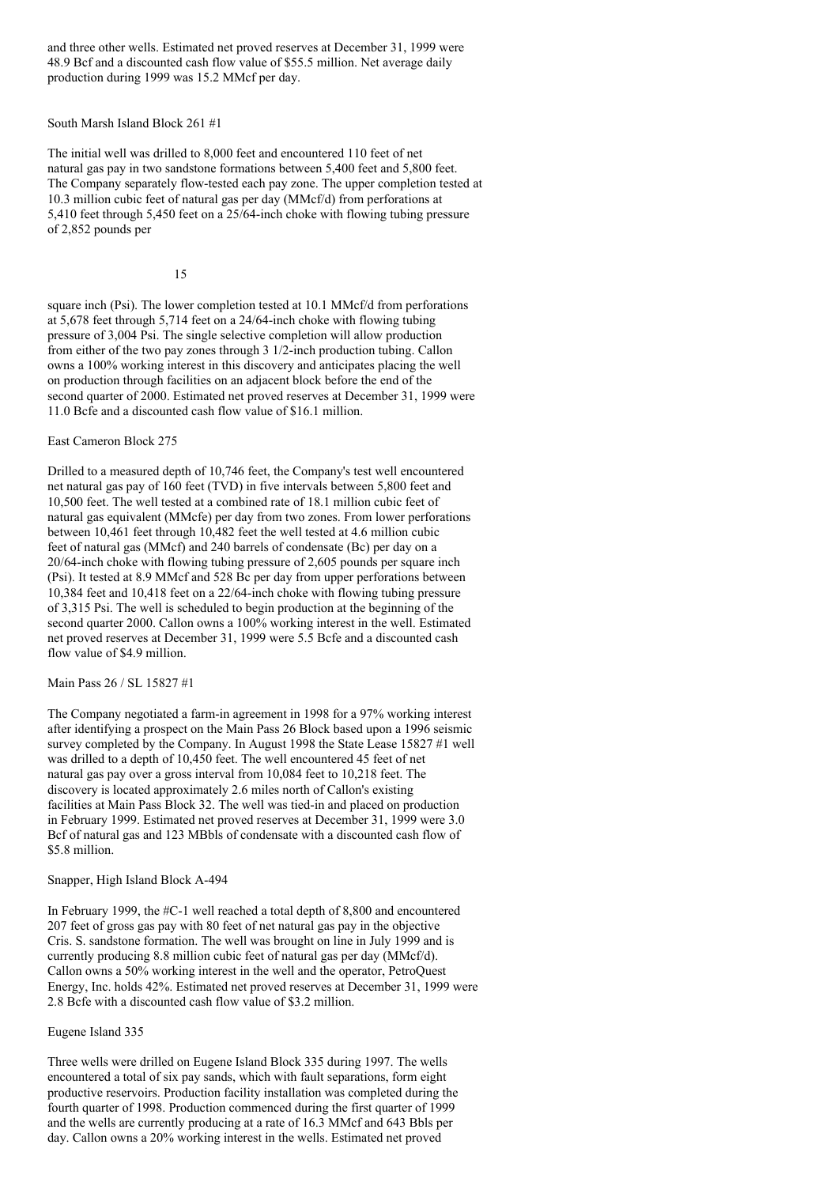and three other wells. Estimated net proved reserves at December 31, 1999 were 48.9 Bcf and a discounted cash flow value of \$55.5 million. Net average daily production during 1999 was 15.2 MMcf per day.

South Marsh Island Block 261 #1

The initial well was drilled to 8,000 feet and encountered 110 feet of net natural gas pay in two sandstone formations between 5,400 feet and 5,800 feet. The Company separately flow-tested each pay zone. The upper completion tested at 10.3 million cubic feet of natural gas per day (MMcf/d) from perforations at 5,410 feet through 5,450 feet on a 25/64-inch choke with flowing tubing pressure of 2,852 pounds per

#### 15

square inch (Psi). The lower completion tested at 10.1 MMcf/d from perforations at 5,678 feet through 5,714 feet on a 24/64-inch choke with flowing tubing pressure of 3,004 Psi. The single selective completion will allow production from either of the two pay zones through 3 1/2-inch production tubing. Callon owns a 100% working interest in this discovery and anticipates placing the well on production through facilities on an adjacent block before the end of the second quarter of 2000. Estimated net proved reserves at December 31, 1999 were 11.0 Bcfe and a discounted cash flow value of \$16.1 million.

East Cameron Block 275

Drilled to a measured depth of 10,746 feet, the Company's test well encountered net natural gas pay of 160 feet (TVD) in five intervals between 5,800 feet and 10,500 feet. The well tested at a combined rate of 18.1 million cubic feet of natural gas equivalent (MMcfe) per day from two zones. From lower perforations between 10,461 feet through 10,482 feet the well tested at 4.6 million cubic feet of natural gas (MMcf) and 240 barrels of condensate (Bc) per day on a 20/64-inch choke with flowing tubing pressure of 2,605 pounds per square inch (Psi). It tested at 8.9 MMcf and 528 Bc per day from upper perforations between 10,384 feet and 10,418 feet on a 22/64-inch choke with flowing tubing pressure of 3,315 Psi. The well is scheduled to begin production at the beginning of the second quarter 2000. Callon owns a 100% working interest in the well. Estimated net proved reserves at December 31, 1999 were 5.5 Bcfe and a discounted cash flow value of \$4.9 million.

Main Pass 26 / SL 15827 #1

The Company negotiated a farm-in agreement in 1998 for a 97% working interest after identifying a prospect on the Main Pass 26 Block based upon a 1996 seismic survey completed by the Company. In August 1998 the State Lease 15827 #1 well was drilled to a depth of 10,450 feet. The well encountered 45 feet of net natural gas pay over a gross interval from 10,084 feet to 10,218 feet. The discovery is located approximately 2.6 miles north of Callon's existing facilities at Main Pass Block 32. The well was tied-in and placed on production in February 1999. Estimated net proved reserves at December 31, 1999 were 3.0 Bcf of natural gas and 123 MBbls of condensate with a discounted cash flow of \$5.8 million.

Snapper, High Island Block A-494

In February 1999, the #C-1 well reached a total depth of 8,800 and encountered 207 feet of gross gas pay with 80 feet of net natural gas pay in the objective Cris. S. sandstone formation. The well was brought on line in July 1999 and is currently producing 8.8 million cubic feet of natural gas per day (MMcf/d). Callon owns a 50% working interest in the well and the operator, PetroQuest Energy, Inc. holds 42%. Estimated net proved reserves at December 31, 1999 were 2.8 Bcfe with a discounted cash flow value of \$3.2 million.

Eugene Island 335

Three wells were drilled on Eugene Island Block 335 during 1997. The wells encountered a total of six pay sands, which with fault separations, form eight productive reservoirs. Production facility installation was completed during the fourth quarter of 1998. Production commenced during the first quarter of 1999 and the wells are currently producing at a rate of 16.3 MMcf and 643 Bbls per day. Callon owns a 20% working interest in the wells. Estimated net proved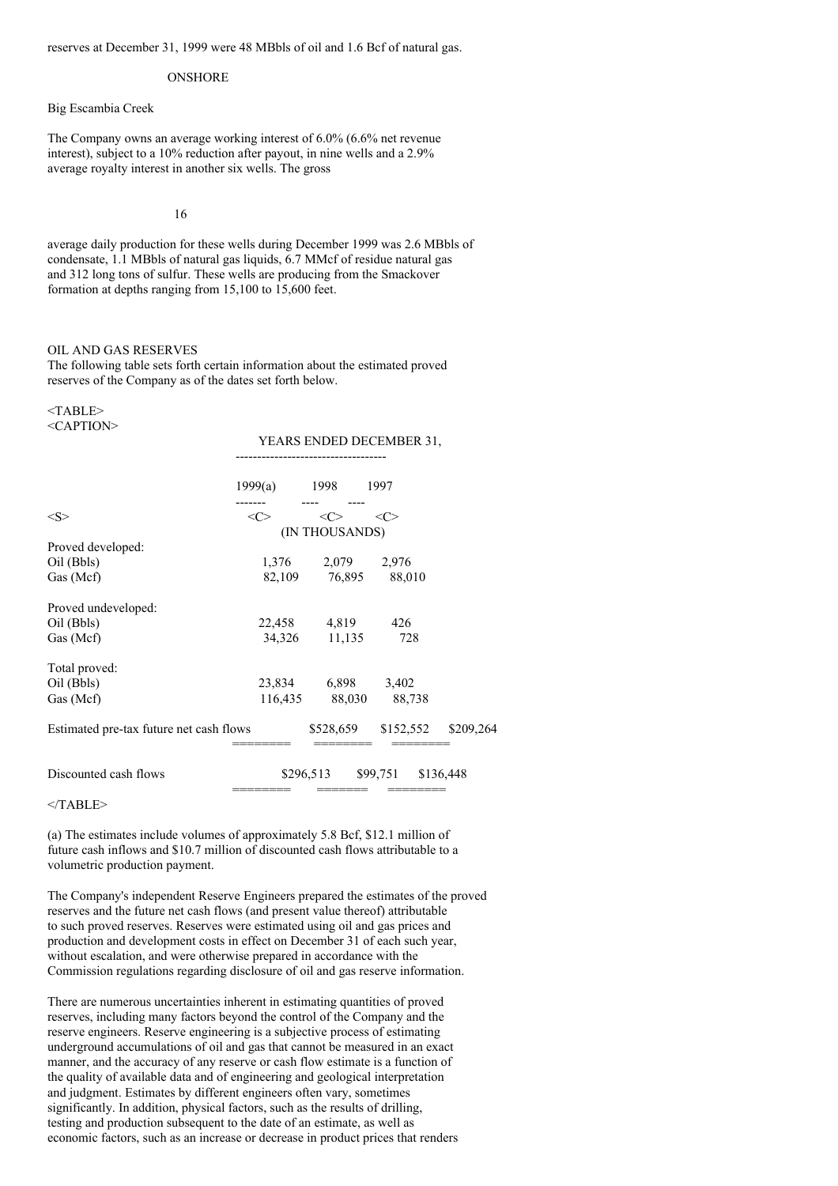reserves at December 31, 1999 were 48 MBbls of oil and 1.6 Bcf of natural gas.

#### ONSHORE

### Big Escambia Creek

The Company owns an average working interest of 6.0% (6.6% net revenue interest), subject to a 10% reduction after payout, in nine wells and a 2.9% average royalty interest in another six wells. The gross

#### 16

average daily production for these wells during December 1999 was 2.6 MBbls of condensate, 1.1 MBbls of natural gas liquids, 6.7 MMcf of residue natural gas and 312 long tons of sulfur. These wells are producing from the Smackover formation at depths ranging from 15,100 to 15,600 feet.

#### OIL AND GAS RESERVES

The following table sets forth certain information about the estimated proved reserves of the Company as of the dates set forth below.

#### <TABLE> <CAPTION>

#### YEARS ENDED DECEMBER 31,

-----------------------------------

|                                         | 1999(a) | 1998              | 1997      |           |
|-----------------------------------------|---------|-------------------|-----------|-----------|
|                                         |         |                   |           |           |
| $<\ge$                                  | <<>     | $<\!\!C\!\!>$     | <<>       |           |
|                                         |         | (IN THOUSANDS)    |           |           |
| Proved developed:                       |         |                   |           |           |
| Oil (Bbls)                              |         | 1,376 2,079 2,976 |           |           |
| Gas (Mcf)                               |         | 82,109 76,895     | 88,010    |           |
| Proved undeveloped:                     |         |                   |           |           |
| Oil (Bbls)                              | 22,458  | 4,819             | 426       |           |
| Gas (Mcf)                               | 34,326  | 11,135            | 728       |           |
| Total proved:                           |         |                   |           |           |
| Oil (Bbls)                              | 23,834  | 6,898             | 3,402     |           |
| Gas (Mcf)                               |         | 116,435 88,030    | 88,738    |           |
| Estimated pre-tax future net cash flows |         | \$528,659         | \$152,552 | \$209,264 |
| Discounted cash flows                   |         | \$296,513         | \$99,751  | \$136,448 |
|                                         |         |                   |           |           |

 $<$ /TABLE>

(a) The estimates include volumes of approximately 5.8 Bcf, \$12.1 million of future cash inflows and \$10.7 million of discounted cash flows attributable to a volumetric production payment.

The Company's independent Reserve Engineers prepared the estimates of the proved reserves and the future net cash flows (and present value thereof) attributable to such proved reserves. Reserves were estimated using oil and gas prices and production and development costs in effect on December 31 of each such year, without escalation, and were otherwise prepared in accordance with the Commission regulations regarding disclosure of oil and gas reserve information.

There are numerous uncertainties inherent in estimating quantities of proved reserves, including many factors beyond the control of the Company and the reserve engineers. Reserve engineering is a subjective process of estimating underground accumulations of oil and gas that cannot be measured in an exact manner, and the accuracy of any reserve or cash flow estimate is a function of the quality of available data and of engineering and geological interpretation and judgment. Estimates by different engineers often vary, sometimes significantly. In addition, physical factors, such as the results of drilling, testing and production subsequent to the date of an estimate, as well as economic factors, such as an increase or decrease in product prices that renders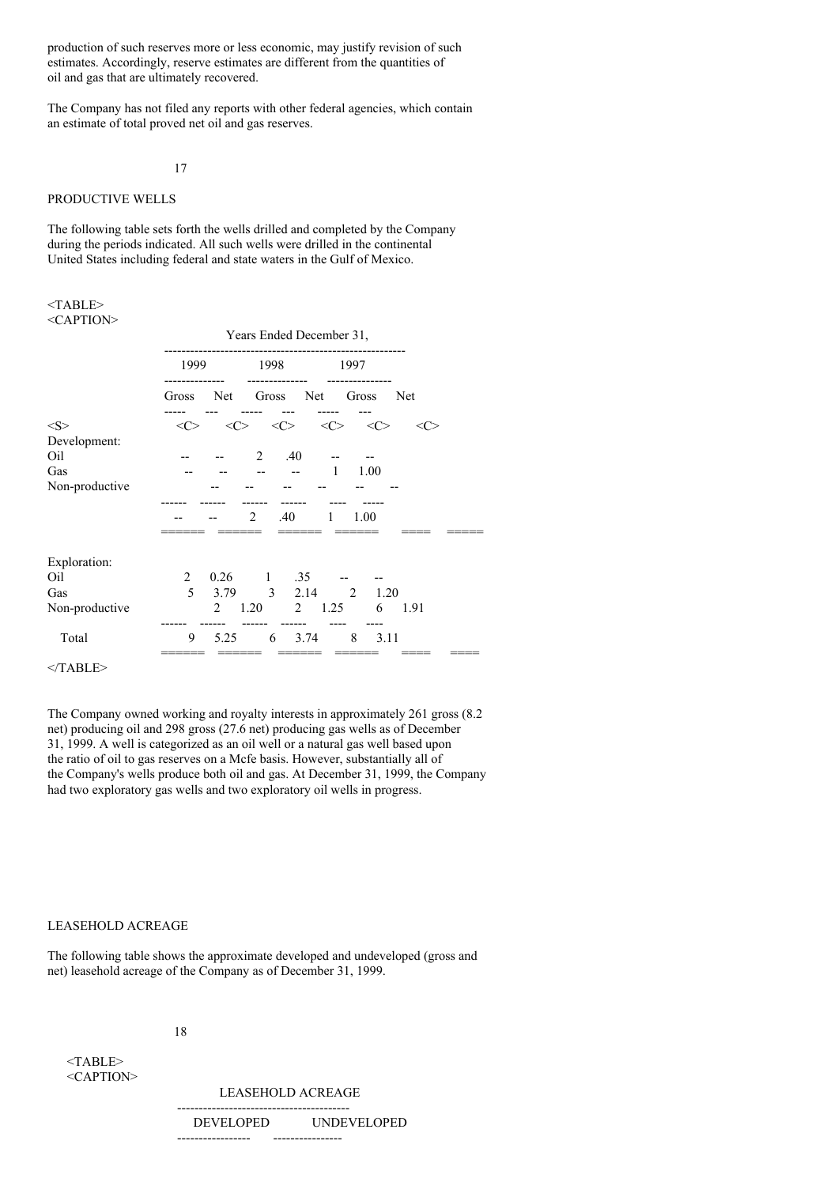production of such reserves more or less economic, may justify revision of such estimates. Accordingly, reserve estimates are different from the quantities of oil and gas that are ultimately recovered.

The Company has not filed any reports with other federal agencies, which contain an estimate of total proved net oil and gas reserves.

#### 17

### PRODUCTIVE WELLS

The following table sets forth the wells drilled and completed by the Company during the periods indicated. All such wells were drilled in the continental United States including federal and state waters in the Gulf of Mexico.

#### <TABLE> <CAPTION>

| $\sim$ AI 1101 $\sim$ |                     |                |                                         |               |             |               |         |  |
|-----------------------|---------------------|----------------|-----------------------------------------|---------------|-------------|---------------|---------|--|
|                       | 1999                |                | 1998                                    |               | 1997        |               |         |  |
|                       | Gross               | Net            | Gross Net                               |               |             | Gross         | Net     |  |
| <s></s>               | $\langle C \rangle$ |                | $\langle C \rangle$ $\langle C \rangle$ |               | <<>         | $<\!\!C\!\!>$ | <c></c> |  |
| Development:          |                     |                |                                         |               |             |               |         |  |
| Oil                   |                     |                | $\overline{2}$                          | .40           |             |               |         |  |
| Gas                   |                     |                |                                         |               | -1          | 1.00          |         |  |
| Non-productive        |                     |                |                                         |               |             |               |         |  |
|                       |                     |                | 2                                       | .40           | 1           | 1.00          |         |  |
|                       |                     |                |                                         |               |             |               |         |  |
| Exploration:          |                     |                |                                         |               |             |               |         |  |
| Oil                   | 2                   |                | $0.26 \qquad 1 \qquad .35$              |               |             |               |         |  |
| Gas                   | 5                   |                | 3.79 3 2.14 2                           |               |             |               | 1.20    |  |
| Non-productive        |                     | $\overline{2}$ | 1.20                                    |               | $2 \t 1.25$ | 6             | 1.91    |  |
| Total                 | 9                   | 5.25           |                                         | $6\quad 3.74$ |             | 8             | 3.11    |  |
|                       |                     |                |                                         |               |             |               |         |  |

</TABLE>

The Company owned working and royalty interests in approximately 261 gross (8.2 net) producing oil and 298 gross (27.6 net) producing gas wells as of December 31, 1999. A well is categorized as an oil well or a natural gas well based upon the ratio of oil to gas reserves on a Mcfe basis. However, substantially all of the Company's wells produce both oil and gas. At December 31, 1999, the Company had two exploratory gas wells and two exploratory oil wells in progress.

## LEASEHOLD ACREAGE

The following table shows the approximate developed and undeveloped (gross and net) leasehold acreage of the Company as of December 31, 1999.

#### 18

<TABLE> <CAPTION>

> LEASEHOLD ACREAGE ----------------------------------------

DEVELOPED UNDEVELOPED ----------------- ----------------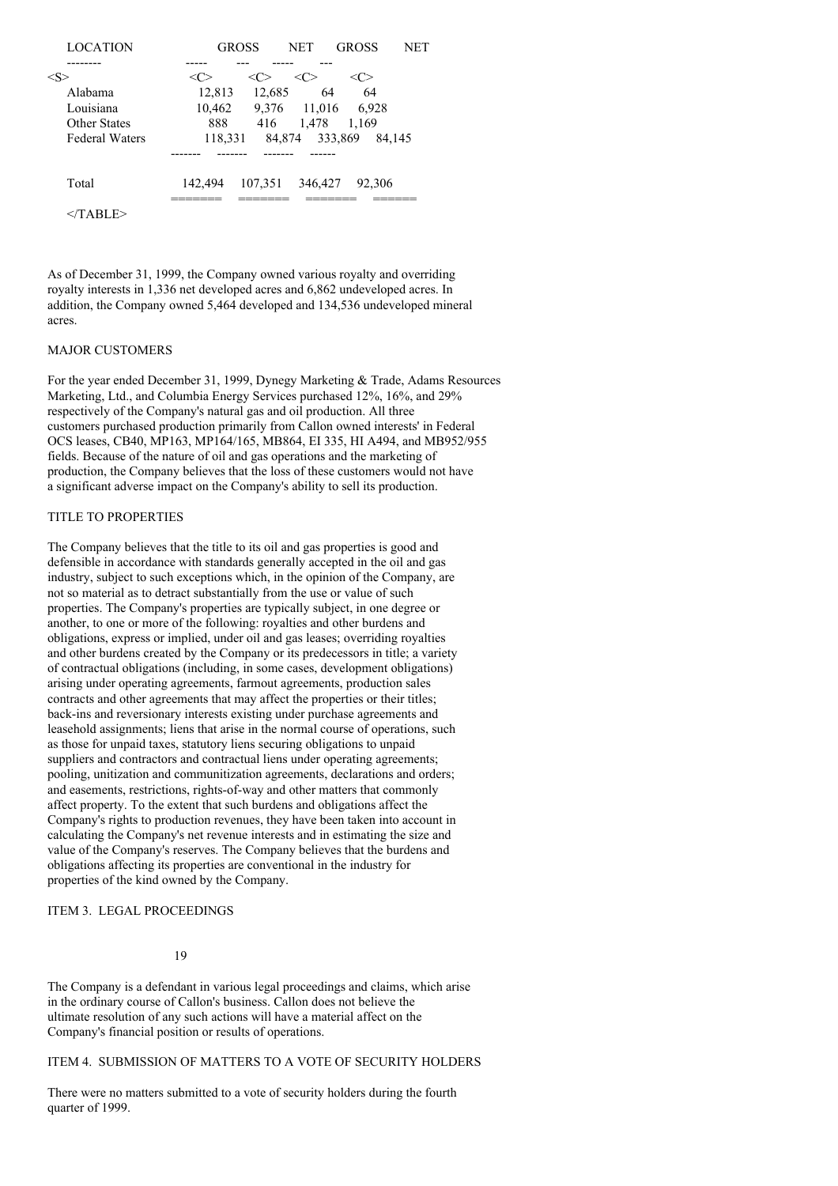| <b>LOCATION</b>       | <b>GROSS</b> |         | <b>NET</b> | <b>GROSS</b> | NET |
|-----------------------|--------------|---------|------------|--------------|-----|
|                       |              |         |            |              |     |
| $<\!\!S\!\!>$         |              | <r></r> | <c></c>    | <c></c>      |     |
| Alabama               | 12,813       | 12,685  | 64         | 64           |     |
| Louisiana             | 10,462       | 9,376   | 11,016     | 6,928        |     |
| <b>Other States</b>   | 888          | 416     | 1,478      | 1.169        |     |
| <b>Federal Waters</b> | 118,331      | 84,874  | 333,869    | 84.145       |     |
|                       |              |         |            |              |     |
| Total                 | 142.494      | 107,351 | 346,427    | 92,306       |     |
| TABLE>                |              |         |            |              |     |

As of December 31, 1999, the Company owned various royalty and overriding royalty interests in 1,336 net developed acres and 6,862 undeveloped acres. In addition, the Company owned 5,464 developed and 134,536 undeveloped mineral acres.

## MAJOR CUSTOMERS

For the year ended December 31, 1999, Dynegy Marketing & Trade, Adams Resources Marketing, Ltd., and Columbia Energy Services purchased 12%, 16%, and 29% respectively of the Company's natural gas and oil production. All three customers purchased production primarily from Callon owned interests' in Federal OCS leases, CB40, MP163, MP164/165, MB864, EI 335, HI A494, and MB952/955 fields. Because of the nature of oil and gas operations and the marketing of production, the Company believes that the loss of these customers would not have a significant adverse impact on the Company's ability to sell its production.

### TITLE TO PROPERTIES

The Company believes that the title to its oil and gas properties is good and defensible in accordance with standards generally accepted in the oil and gas industry, subject to such exceptions which, in the opinion of the Company, are not so material as to detract substantially from the use or value of such properties. The Company's properties are typically subject, in one degree or another, to one or more of the following: royalties and other burdens and obligations, express or implied, under oil and gas leases; overriding royalties and other burdens created by the Company or its predecessors in title; a variety of contractual obligations (including, in some cases, development obligations) arising under operating agreements, farmout agreements, production sales contracts and other agreements that may affect the properties or their titles; back-ins and reversionary interests existing under purchase agreements and leasehold assignments; liens that arise in the normal course of operations, such as those for unpaid taxes, statutory liens securing obligations to unpaid suppliers and contractors and contractual liens under operating agreements; pooling, unitization and communitization agreements, declarations and orders; and easements, restrictions, rights-of-way and other matters that commonly affect property. To the extent that such burdens and obligations affect the Company's rights to production revenues, they have been taken into account in calculating the Company's net revenue interests and in estimating the size and value of the Company's reserves. The Company believes that the burdens and obligations affecting its properties are conventional in the industry for properties of the kind owned by the Company.

#### ITEM 3. LEGAL PROCEEDINGS

## 19

The Company is a defendant in various legal proceedings and claims, which arise in the ordinary course of Callon's business. Callon does not believe the ultimate resolution of any such actions will have a material affect on the Company's financial position or results of operations.

## ITEM 4. SUBMISSION OF MATTERS TO A VOTE OF SECURITY HOLDERS

There were no matters submitted to a vote of security holders during the fourth quarter of 1999.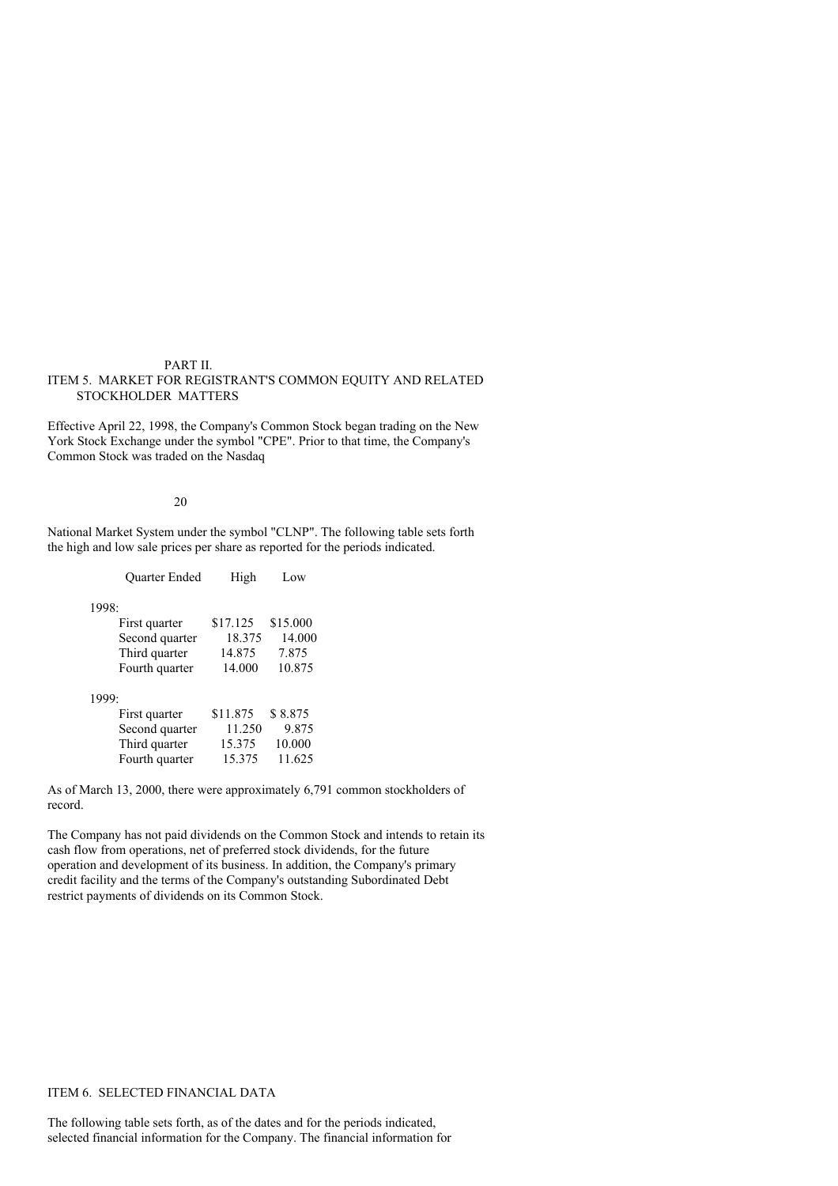### PART II. ITEM 5. MARKET FOR REGISTRANT'S COMMON EQUITY AND RELATED STOCKHOLDER MATTERS

Effective April 22, 1998, the Company's Common Stock began trading on the New York Stock Exchange under the symbol "CPE". Prior to that time, the Company's Common Stock was traded on the Nasdaq

#### 20

National Market System under the symbol "CLNP". The following table sets forth the high and low sale prices per share as reported for the periods indicated.

|       | <b>Ouarter Ended</b> | High     | Low      |
|-------|----------------------|----------|----------|
| 1998: |                      |          |          |
|       | First quarter        | \$17.125 | \$15.000 |
|       | Second quarter       | 18.375   | 14.000   |
|       | Third quarter        | 14.875   | 7.875    |
|       | Fourth quarter       | 14.000   | 10.875   |
| 1999: |                      |          |          |
|       | First quarter        | \$11.875 | \$8.875  |
|       | Second quarter       | 11.250   | 9.875    |
|       | Third quarter        | 15.375   | 10.000   |
|       | Fourth quarter       | 15.375   | 11.625   |

As of March 13, 2000, there were approximately 6,791 common stockholders of record.

The Company has not paid dividends on the Common Stock and intends to retain its cash flow from operations, net of preferred stock dividends, for the future operation and development of its business. In addition, the Company's primary credit facility and the terms of the Company's outstanding Subordinated Debt restrict payments of dividends on its Common Stock.

# ITEM 6. SELECTED FINANCIAL DATA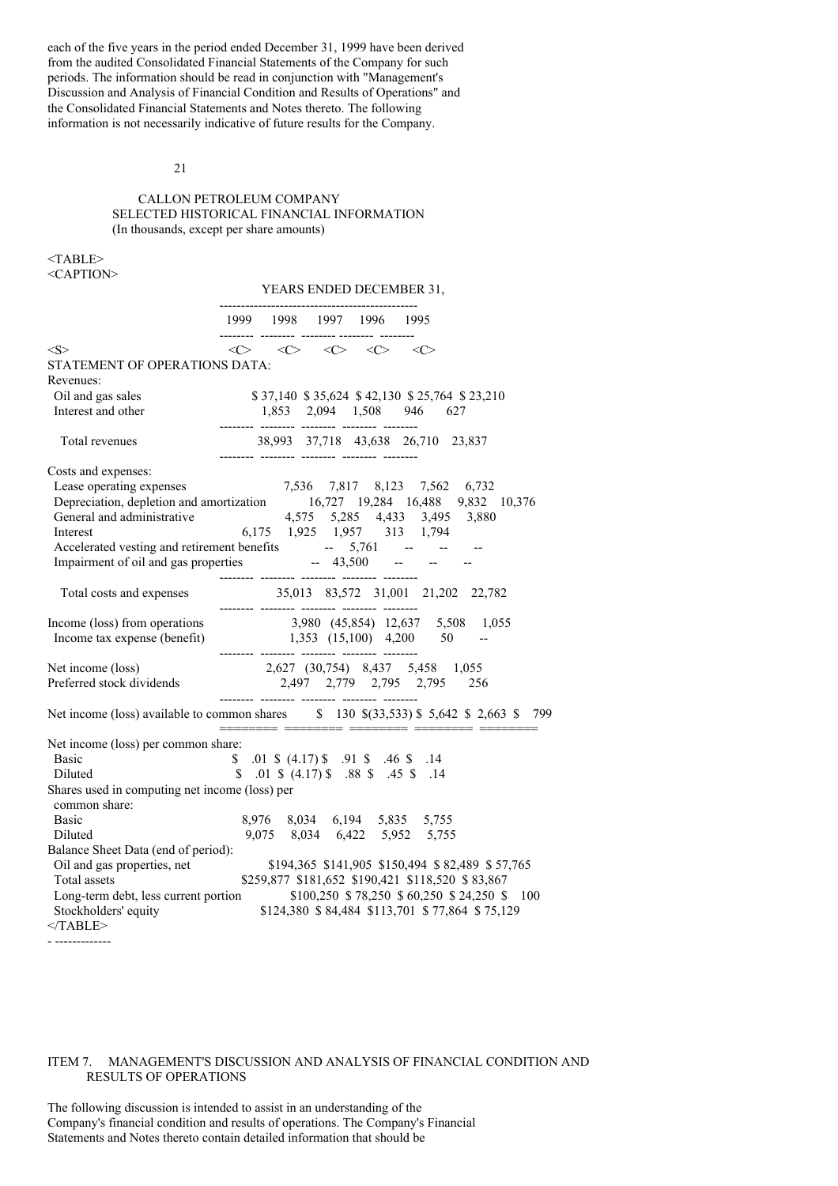each of the five years in the period ended December 31, 1999 have been derived from the audited Consolidated Financial Statements of the Company for such periods. The information should be read in conjunction with "Management's Discussion and Analysis of Financial Condition and Results of Operations" and the Consolidated Financial Statements and Notes thereto. The following information is not necessarily indicative of future results for the Company.

#### 21

### CALLON PETROLEUM COMPANY SELECTED HISTORICAL FINANCIAL INFORMATION (In thousands, except per share amounts)

<TABLE>

<CAPTION>

#### YEARS ENDED DECEMBER 31,

|                                                                                                                                                          |                            | 1999 1998 1997 1996 1995                                                                            |                                                              |                                                 |
|----------------------------------------------------------------------------------------------------------------------------------------------------------|----------------------------|-----------------------------------------------------------------------------------------------------|--------------------------------------------------------------|-------------------------------------------------|
| < S >                                                                                                                                                    |                            | $\langle C \rangle$ $\langle C \rangle$ $\langle C \rangle$ $\langle C \rangle$ $\langle C \rangle$ |                                                              |                                                 |
| STATEMENT OF OPERATIONS DATA:                                                                                                                            |                            |                                                                                                     |                                                              |                                                 |
| Revenues:                                                                                                                                                |                            |                                                                                                     |                                                              |                                                 |
| Oil and gas sales                                                                                                                                        |                            |                                                                                                     | \$37,140 \$35,624 \$42,130 \$25,764 \$23,210                 |                                                 |
| Interest and other                                                                                                                                       |                            |                                                                                                     | 1,853 2,094 1,508 946 627                                    |                                                 |
|                                                                                                                                                          |                            |                                                                                                     |                                                              |                                                 |
| Total revenues                                                                                                                                           |                            |                                                                                                     | 38,993 37,718 43,638 26,710 23,837                           |                                                 |
| Costs and expenses:                                                                                                                                      |                            |                                                                                                     |                                                              |                                                 |
|                                                                                                                                                          |                            |                                                                                                     |                                                              |                                                 |
| Lease operating expenses<br>$7,536$ $7,817$ $8,123$ $7,562$ $6,732$<br>Depreciation, depletion and amortization<br>$16,727$ 19,284 $16,488$ 9,832 10,376 |                            |                                                                                                     |                                                              |                                                 |
| General and administrative 4,575 5,285 4,433 3,495 3,880                                                                                                 |                            |                                                                                                     |                                                              |                                                 |
| Interest                                                                                                                                                 |                            |                                                                                                     | 6,175 1,925 1,957 313 1,794                                  |                                                 |
|                                                                                                                                                          |                            |                                                                                                     |                                                              |                                                 |
| Accelerated vesting and retirement benefits -- 5,761 -- -- --<br>Impairment of oil and gas properties -- 43,500 -- -- --                                 |                            |                                                                                                     |                                                              |                                                 |
|                                                                                                                                                          |                            |                                                                                                     |                                                              |                                                 |
| Total costs and expenses                                                                                                                                 |                            |                                                                                                     | $35,013 \quad 83,572 \quad 31,001 \quad 21,202 \quad 22,782$ |                                                 |
|                                                                                                                                                          |                            |                                                                                                     |                                                              |                                                 |
| Income (loss) from operations<br>1,980 (45,854) 12,637 5,508 1,055<br>Income tax expense (benefit)<br>1,353 (15,100) 4,200 50 --                         |                            |                                                                                                     |                                                              |                                                 |
|                                                                                                                                                          | -------- -------- -------- |                                                                                                     |                                                              |                                                 |
|                                                                                                                                                          |                            |                                                                                                     |                                                              |                                                 |
| Net income (loss)<br>Preferred stock dividends<br>2,627 (30,754) 8,437 5,458 1,055<br>2,795 2,795 256                                                    |                            |                                                                                                     |                                                              |                                                 |
|                                                                                                                                                          |                            |                                                                                                     |                                                              |                                                 |
| Net income (loss) available to common shares \$ 130 \$(33,533) \$ 5,642 \$ 2,663 \$ 799                                                                  |                            |                                                                                                     |                                                              |                                                 |
| Net income (loss) per common share:                                                                                                                      |                            |                                                                                                     |                                                              |                                                 |
| Basic                                                                                                                                                    |                            |                                                                                                     | \$ .01 \$ (4.17) \$ .91 \$ .46 \$ .14                        |                                                 |
| Diluted                                                                                                                                                  |                            |                                                                                                     | $$.01 \$$ (4.17) \$ .88 \$ .45 \$ .14                        |                                                 |
| Shares used in computing net income (loss) per                                                                                                           |                            |                                                                                                     |                                                              |                                                 |
| common share:                                                                                                                                            |                            |                                                                                                     |                                                              |                                                 |
| <b>Basic</b>                                                                                                                                             |                            |                                                                                                     | 8,976 8,034 6,194 5,835 5,755                                |                                                 |
| Diluted                                                                                                                                                  |                            |                                                                                                     | 9,075 8,034 6,422 5,952 5,755                                |                                                 |
| Balance Sheet Data (end of period):                                                                                                                      |                            |                                                                                                     |                                                              |                                                 |
| Oil and gas properties, net                                                                                                                              |                            |                                                                                                     |                                                              | \$194,365 \$141,905 \$150,494 \$82,489 \$57,765 |
| Total assets                                                                                                                                             |                            |                                                                                                     | \$259,877 \$181,652 \$190,421 \$118,520 \$83,867             |                                                 |
| Long-term debt, less current portion                                                                                                                     |                            |                                                                                                     | \$100,250 \$78,250 \$60,250 \$24,250 \$                      | - 100                                           |
| Stockholders' equity                                                                                                                                     |                            |                                                                                                     |                                                              | \$124,380 \$84,484 \$113,701 \$77,864 \$75,129  |
| $<$ TABLE>                                                                                                                                               |                            |                                                                                                     |                                                              |                                                 |
|                                                                                                                                                          |                            |                                                                                                     |                                                              |                                                 |

#### ITEM 7. MANAGEMENT'S DISCUSSION AND ANALYSIS OF FINANCIAL CONDITION AND RESULTS OF OPERATIONS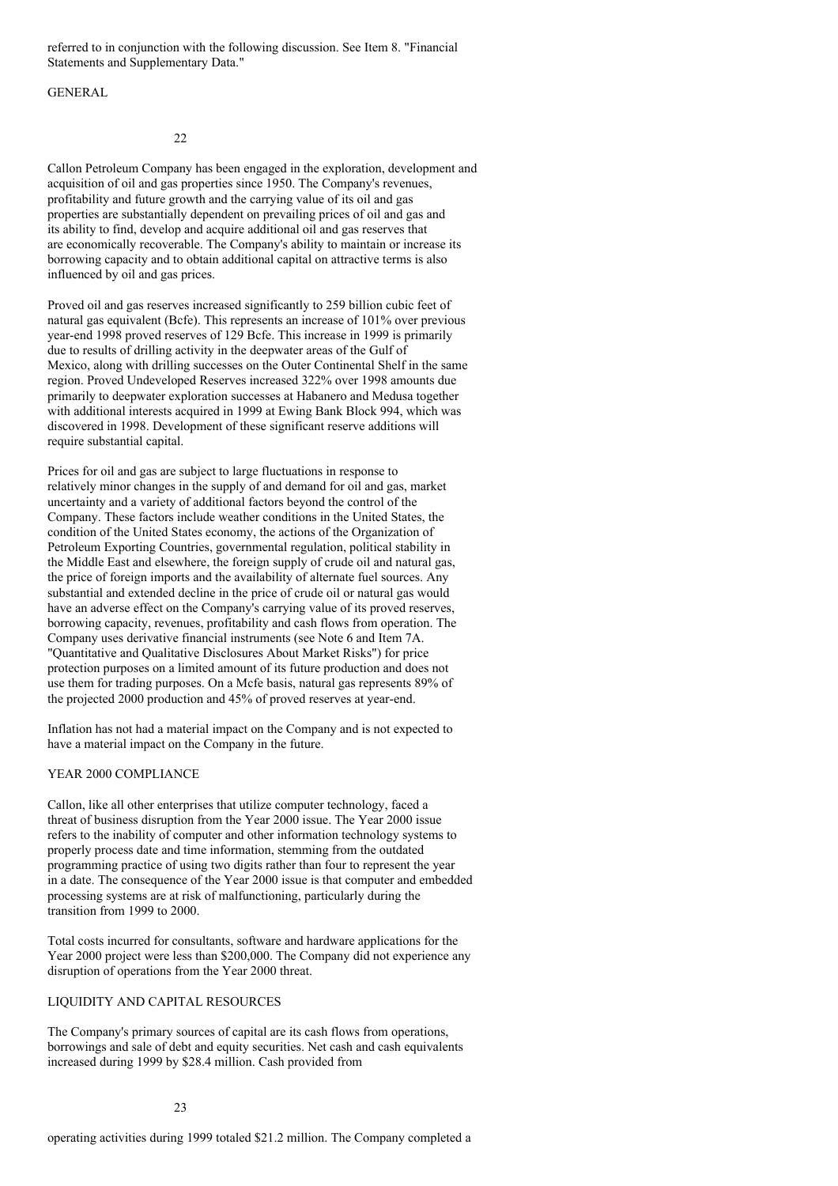referred to in conjunction with the following discussion. See Item 8. "Financial Statements and Supplementary Data."

### **GENERAL**

22

Callon Petroleum Company has been engaged in the exploration, development and acquisition of oil and gas properties since 1950. The Company's revenues, profitability and future growth and the carrying value of its oil and gas properties are substantially dependent on prevailing prices of oil and gas and its ability to find, develop and acquire additional oil and gas reserves that are economically recoverable. The Company's ability to maintain or increase its borrowing capacity and to obtain additional capital on attractive terms is also influenced by oil and gas prices.

Proved oil and gas reserves increased significantly to 259 billion cubic feet of natural gas equivalent (Bcfe). This represents an increase of 101% over previous year-end 1998 proved reserves of 129 Bcfe. This increase in 1999 is primarily due to results of drilling activity in the deepwater areas of the Gulf of Mexico, along with drilling successes on the Outer Continental Shelf in the same region. Proved Undeveloped Reserves increased 322% over 1998 amounts due primarily to deepwater exploration successes at Habanero and Medusa together with additional interests acquired in 1999 at Ewing Bank Block 994, which was discovered in 1998. Development of these significant reserve additions will require substantial capital.

Prices for oil and gas are subject to large fluctuations in response to relatively minor changes in the supply of and demand for oil and gas, market uncertainty and a variety of additional factors beyond the control of the Company. These factors include weather conditions in the United States, the condition of the United States economy, the actions of the Organization of Petroleum Exporting Countries, governmental regulation, political stability in the Middle East and elsewhere, the foreign supply of crude oil and natural gas, the price of foreign imports and the availability of alternate fuel sources. Any substantial and extended decline in the price of crude oil or natural gas would have an adverse effect on the Company's carrying value of its proved reserves, borrowing capacity, revenues, profitability and cash flows from operation. The Company uses derivative financial instruments (see Note 6 and Item 7A. "Quantitative and Qualitative Disclosures About Market Risks") for price protection purposes on a limited amount of its future production and does not use them for trading purposes. On a Mcfe basis, natural gas represents 89% of the projected 2000 production and 45% of proved reserves at year-end.

Inflation has not had a material impact on the Company and is not expected to have a material impact on the Company in the future.

### YEAR 2000 COMPLIANCE

Callon, like all other enterprises that utilize computer technology, faced a threat of business disruption from the Year 2000 issue. The Year 2000 issue refers to the inability of computer and other information technology systems to properly process date and time information, stemming from the outdated programming practice of using two digits rather than four to represent the year in a date. The consequence of the Year 2000 issue is that computer and embedded processing systems are at risk of malfunctioning, particularly during the transition from 1999 to 2000.

Total costs incurred for consultants, software and hardware applications for the Year 2000 project were less than \$200,000. The Company did not experience any disruption of operations from the Year 2000 threat.

### LIQUIDITY AND CAPITAL RESOURCES

The Company's primary sources of capital are its cash flows from operations, borrowings and sale of debt and equity securities. Net cash and cash equivalents increased during 1999 by \$28.4 million. Cash provided from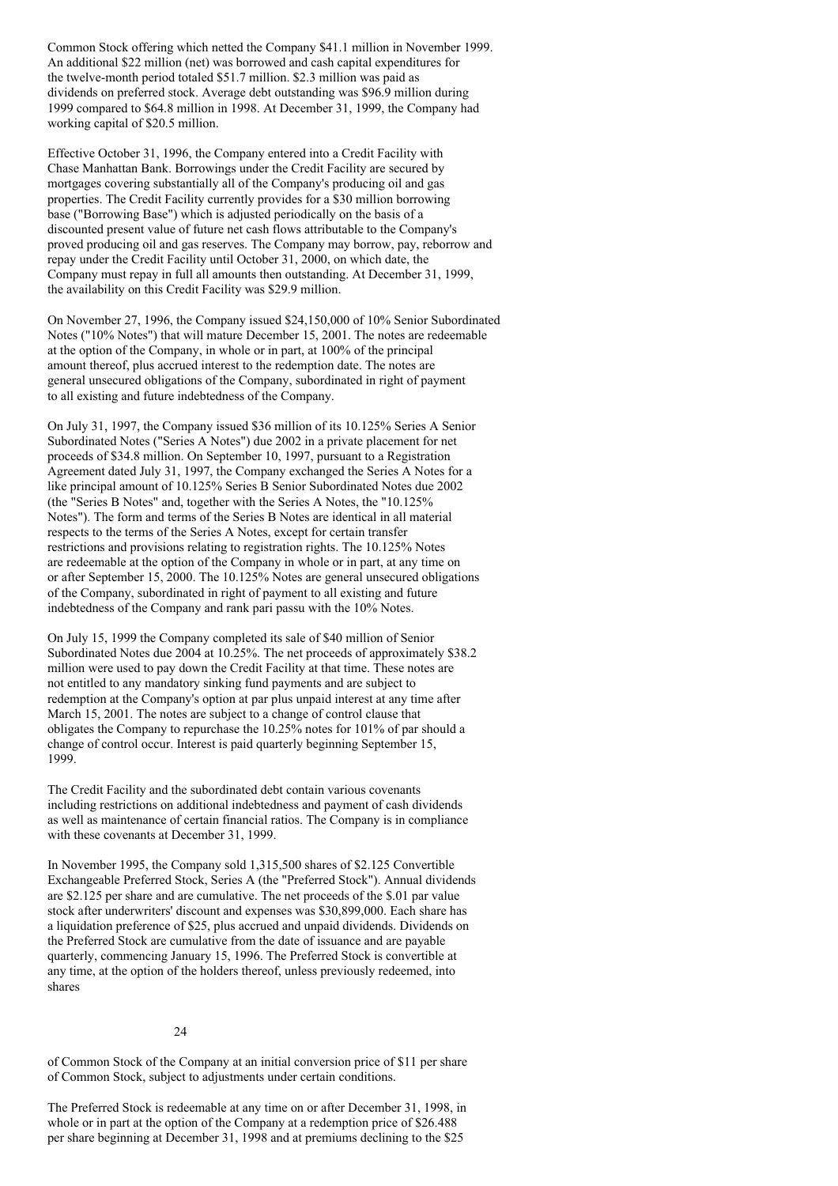Common Stock offering which netted the Company \$41.1 million in November 1999. An additional \$22 million (net) was borrowed and cash capital expenditures for the twelve-month period totaled \$51.7 million. \$2.3 million was paid as dividends on preferred stock. Average debt outstanding was \$96.9 million during 1999 compared to \$64.8 million in 1998. At December 31, 1999, the Company had working capital of \$20.5 million.

Effective October 31, 1996, the Company entered into a Credit Facility with Chase Manhattan Bank. Borrowings under the Credit Facility are secured by mortgages covering substantially all of the Company's producing oil and gas properties. The Credit Facility currently provides for a \$30 million borrowing base ("Borrowing Base") which is adjusted periodically on the basis of a discounted present value of future net cash flows attributable to the Company's proved producing oil and gas reserves. The Company may borrow, pay, reborrow and repay under the Credit Facility until October 31, 2000, on which date, the Company must repay in full all amounts then outstanding. At December 31, 1999, the availability on this Credit Facility was \$29.9 million.

On November 27, 1996, the Company issued \$24,150,000 of 10% Senior Subordinated Notes ("10% Notes") that will mature December 15, 2001. The notes are redeemable at the option of the Company, in whole or in part, at 100% of the principal amount thereof, plus accrued interest to the redemption date. The notes are general unsecured obligations of the Company, subordinated in right of payment to all existing and future indebtedness of the Company.

On July 31, 1997, the Company issued \$36 million of its 10.125% Series A Senior Subordinated Notes ("Series A Notes") due 2002 in a private placement for net proceeds of \$34.8 million. On September 10, 1997, pursuant to a Registration Agreement dated July 31, 1997, the Company exchanged the Series A Notes for a like principal amount of 10.125% Series B Senior Subordinated Notes due 2002 (the "Series B Notes" and, together with the Series A Notes, the "10.125% Notes"). The form and terms of the Series B Notes are identical in all material respects to the terms of the Series A Notes, except for certain transfer restrictions and provisions relating to registration rights. The 10.125% Notes are redeemable at the option of the Company in whole or in part, at any time on or after September 15, 2000. The 10.125% Notes are general unsecured obligations of the Company, subordinated in right of payment to all existing and future indebtedness of the Company and rank pari passu with the 10% Notes.

On July 15, 1999 the Company completed its sale of \$40 million of Senior Subordinated Notes due 2004 at 10.25%. The net proceeds of approximately \$38.2 million were used to pay down the Credit Facility at that time. These notes are not entitled to any mandatory sinking fund payments and are subject to redemption at the Company's option at par plus unpaid interest at any time after March 15, 2001. The notes are subject to a change of control clause that obligates the Company to repurchase the 10.25% notes for 101% of par should a change of control occur. Interest is paid quarterly beginning September 15, 1999.

The Credit Facility and the subordinated debt contain various covenants including restrictions on additional indebtedness and payment of cash dividends as well as maintenance of certain financial ratios. The Company is in compliance with these covenants at December 31, 1999.

In November 1995, the Company sold 1,315,500 shares of \$2.125 Convertible Exchangeable Preferred Stock, Series A (the "Preferred Stock"). Annual dividends are \$2.125 per share and are cumulative. The net proceeds of the \$.01 par value stock after underwriters' discount and expenses was \$30,899,000. Each share has a liquidation preference of \$25, plus accrued and unpaid dividends. Dividends on the Preferred Stock are cumulative from the date of issuance and are payable quarterly, commencing January 15, 1996. The Preferred Stock is convertible at any time, at the option of the holders thereof, unless previously redeemed, into shares

### 24

of Common Stock of the Company at an initial conversion price of \$11 per share of Common Stock, subject to adjustments under certain conditions.

The Preferred Stock is redeemable at any time on or after December 31, 1998, in whole or in part at the option of the Company at a redemption price of \$26.488 per share beginning at December 31, 1998 and at premiums declining to the \$25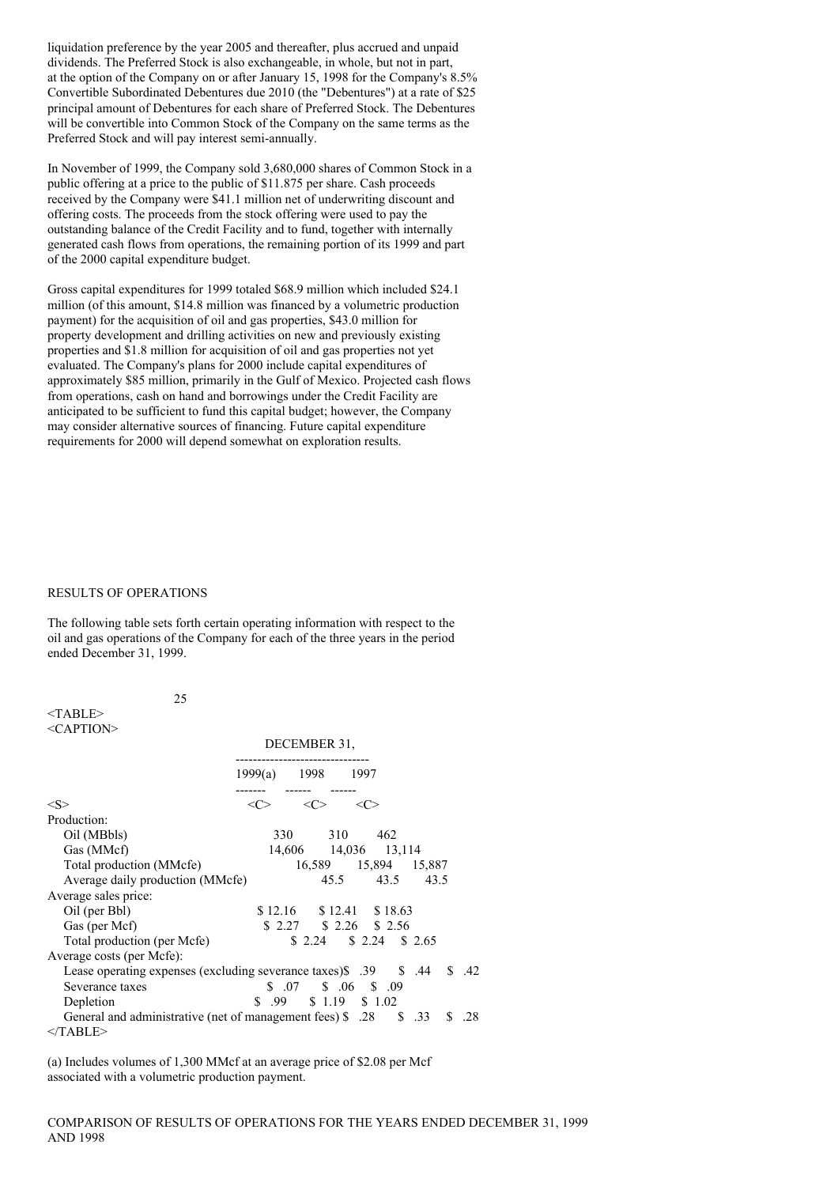liquidation preference by the year 2005 and thereafter, plus accrued and unpaid dividends. The Preferred Stock is also exchangeable, in whole, but not in part, at the option of the Company on or after January 15, 1998 for the Company's 8.5% Convertible Subordinated Debentures due 2010 (the "Debentures") at a rate of \$25 principal amount of Debentures for each share of Preferred Stock. The Debentures will be convertible into Common Stock of the Company on the same terms as the Preferred Stock and will pay interest semi-annually.

In November of 1999, the Company sold 3,680,000 shares of Common Stock in a public offering at a price to the public of \$11.875 per share. Cash proceeds received by the Company were \$41.1 million net of underwriting discount and offering costs. The proceeds from the stock offering were used to pay the outstanding balance of the Credit Facility and to fund, together with internally generated cash flows from operations, the remaining portion of its 1999 and part of the 2000 capital expenditure budget.

Gross capital expenditures for 1999 totaled \$68.9 million which included \$24.1 million (of this amount, \$14.8 million was financed by a volumetric production payment) for the acquisition of oil and gas properties, \$43.0 million for property development and drilling activities on new and previously existing properties and \$1.8 million for acquisition of oil and gas properties not yet evaluated. The Company's plans for 2000 include capital expenditures of approximately \$85 million, primarily in the Gulf of Mexico. Projected cash flows from operations, cash on hand and borrowings under the Credit Facility are anticipated to be sufficient to fund this capital budget; however, the Company may consider alternative sources of financing. Future capital expenditure requirements for 2000 will depend somewhat on exploration results.

#### RESULTS OF OPERATIONS

25

The following table sets forth certain operating information with respect to the oil and gas operations of the Company for each of the three years in the period ended December 31, 1999.

| <table></table>     |  |
|---------------------|--|
| <caption></caption> |  |

|                                                                                 | DECEMBER 31,      |     |  |                            |                      |     |       |
|---------------------------------------------------------------------------------|-------------------|-----|--|----------------------------|----------------------|-----|-------|
|                                                                                 | 1999(a) 1998 1997 |     |  |                            |                      |     |       |
| $<\!\!S\!\!>$                                                                   | $<\!\!C\!\!>$     | <<> |  | <<>                        |                      |     |       |
| Production:                                                                     |                   |     |  |                            |                      |     |       |
| Oil (MBbls)                                                                     |                   |     |  | 330 310 462                |                      |     |       |
| Gas (MMcf)                                                                      |                   |     |  | 14,606 14,036 13,114       |                      |     |       |
| Total production (MMcfe)                                                        |                   |     |  |                            | 16,589 15,894 15,887 |     |       |
| Average daily production (MMcfe)                                                |                   |     |  |                            | 45.5 43.5 43.5       |     |       |
| Average sales price:                                                            |                   |     |  |                            |                      |     |       |
| Oil (per Bbl)                                                                   |                   |     |  | $$12.16$ $$12.41$ $$18.63$ |                      |     |       |
| Gas (per Mcf)                                                                   |                   |     |  | $$2.27$ $$2.26$ $$2.56$    |                      |     |       |
| Total production (per Mcfe)                                                     |                   |     |  | $$2.24$ $$2.24$ $$2.65$    |                      |     |       |
| Average costs (per Mcfe):                                                       |                   |     |  |                            |                      |     |       |
| Lease operating expenses (excluding severance taxes) \$ .39 \$ .44              |                   |     |  |                            |                      |     | \$.42 |
| Severance taxes                                                                 |                   |     |  | $$07 \quad $06 \quad $09$  |                      |     |       |
| Depletion                                                                       |                   |     |  | $$.99$ $$1.19$ $$1.02$     |                      |     |       |
| 33. States 33 General and administrative (net of management fees) \$3.28 \$3.33 |                   |     |  |                            |                      | \$. | .28   |
| $<$ TABLE>                                                                      |                   |     |  |                            |                      |     |       |

(a) Includes volumes of 1,300 MMcf at an average price of \$2.08 per Mcf associated with a volumetric production payment.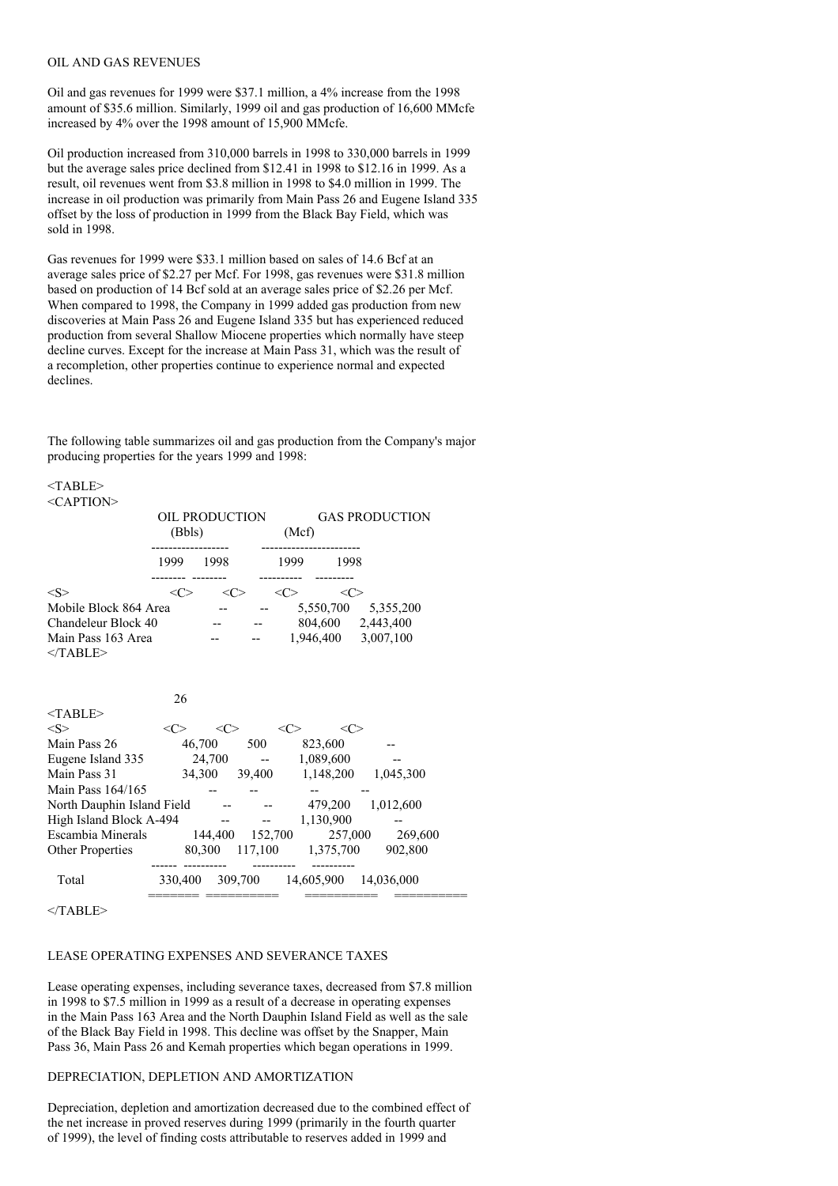#### OIL AND GAS REVENUES

Oil and gas revenues for 1999 were \$37.1 million, a 4% increase from the 1998 amount of \$35.6 million. Similarly, 1999 oil and gas production of 16,600 MMcfe increased by 4% over the 1998 amount of 15,900 MMcfe.

Oil production increased from 310,000 barrels in 1998 to 330,000 barrels in 1999 but the average sales price declined from \$12.41 in 1998 to \$12.16 in 1999. As a result, oil revenues went from \$3.8 million in 1998 to \$4.0 million in 1999. The increase in oil production was primarily from Main Pass 26 and Eugene Island 335 offset by the loss of production in 1999 from the Black Bay Field, which was sold in 1998.

Gas revenues for 1999 were \$33.1 million based on sales of 14.6 Bcf at an average sales price of \$2.27 per Mcf. For 1998, gas revenues were \$31.8 million based on production of 14 Bcf sold at an average sales price of \$2.26 per Mcf. When compared to 1998, the Company in 1999 added gas production from new discoveries at Main Pass 26 and Eugene Island 335 but has experienced reduced production from several Shallow Miocene properties which normally have steep decline curves. Except for the increase at Main Pass 31, which was the result of a recompletion, other properties continue to experience normal and expected declines.

The following table summarizes oil and gas production from the Company's major producing properties for the years 1999 and 1998:

#### <TABLE> <CAPTION>

|                                                                                                                                 | (Bbls)              | OIL PRODUCTION                             | (Mcf)         |                                                | <b>GAS PRODUCTION</b>                                           |  |
|---------------------------------------------------------------------------------------------------------------------------------|---------------------|--------------------------------------------|---------------|------------------------------------------------|-----------------------------------------------------------------|--|
|                                                                                                                                 | 1999 1998           |                                            | 1999          | 1998                                           |                                                                 |  |
| < S ><br>Mobile Block 864 Area<br>Chandeleur Block 40<br>Main Pass 163 Area<br>$<$ /TABLE>                                      | <<>                 | <<>                                        | <<>           | <<>                                            | 5,550,700 5,355,200<br>804,600 2,443,400<br>1,946,400 3,007,100 |  |
| $<$ TABLE><br>< S >                                                                                                             | 26<br>$<\!\!C\!\!>$ | <<>                                        | $<\!\!C\!\!>$ | <<>                                            |                                                                 |  |
| Main Pass 26<br>Eugene Island 335<br>Main Pass 31<br>Main Pass 164/165<br>North Dauphin Island Field<br>High Island Block A-494 |                     | 46,700 500<br>$24,700$ --<br>34,300 39,400 |               | 823,600<br>1,089,600<br>1,148,200<br>1,130,900 | 1,045,300<br>479,200 1,012,600                                  |  |
| Escambia Minerals<br>Other Properties                                                                                           |                     | 144,400 152,700                            |               | 257,000<br>80,300 117,100 1,375,700            | 269,600<br>902,800                                              |  |
| Total                                                                                                                           |                     | ------                                     |               |                                                | 330,400 309,700 14,605,900 14,036,000                           |  |

 $<$ /TABLE>

### LEASE OPERATING EXPENSES AND SEVERANCE TAXES

Lease operating expenses, including severance taxes, decreased from \$7.8 million in 1998 to \$7.5 million in 1999 as a result of a decrease in operating expenses in the Main Pass 163 Area and the North Dauphin Island Field as well as the sale of the Black Bay Field in 1998. This decline was offset by the Snapper, Main Pass 36, Main Pass 26 and Kemah properties which began operations in 1999.

#### DEPRECIATION, DEPLETION AND AMORTIZATION

Depreciation, depletion and amortization decreased due to the combined effect of the net increase in proved reserves during 1999 (primarily in the fourth quarter of 1999), the level of finding costs attributable to reserves added in 1999 and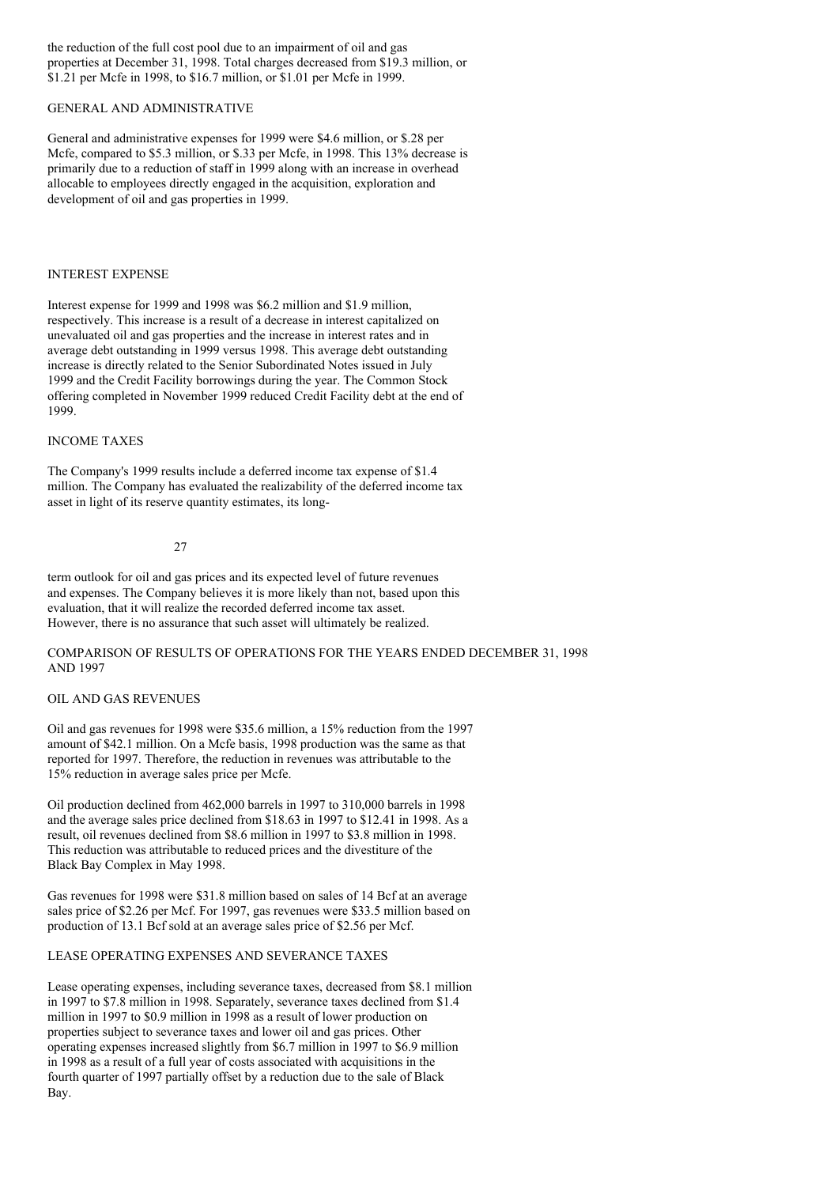the reduction of the full cost pool due to an impairment of oil and gas properties at December 31, 1998. Total charges decreased from \$19.3 million, or \$1.21 per Mcfe in 1998, to \$16.7 million, or \$1.01 per Mcfe in 1999.

#### GENERAL AND ADMINISTRATIVE

General and administrative expenses for 1999 were \$4.6 million, or \$.28 per Mcfe, compared to \$5.3 million, or \$.33 per Mcfe, in 1998. This 13% decrease is primarily due to a reduction of staff in 1999 along with an increase in overhead allocable to employees directly engaged in the acquisition, exploration and development of oil and gas properties in 1999.

## INTEREST EXPENSE

Interest expense for 1999 and 1998 was \$6.2 million and \$1.9 million, respectively. This increase is a result of a decrease in interest capitalized on unevaluated oil and gas properties and the increase in interest rates and in average debt outstanding in 1999 versus 1998. This average debt outstanding increase is directly related to the Senior Subordinated Notes issued in July 1999 and the Credit Facility borrowings during the year. The Common Stock offering completed in November 1999 reduced Credit Facility debt at the end of 1999.

### INCOME TAXES

The Company's 1999 results include a deferred income tax expense of \$1.4 million. The Company has evaluated the realizability of the deferred income tax asset in light of its reserve quantity estimates, its long-

27

term outlook for oil and gas prices and its expected level of future revenues and expenses. The Company believes it is more likely than not, based upon this evaluation, that it will realize the recorded deferred income tax asset. However, there is no assurance that such asset will ultimately be realized.

## COMPARISON OF RESULTS OF OPERATIONS FOR THE YEARS ENDED DECEMBER 31, 1998 AND 1997

#### OIL AND GAS REVENUES

Oil and gas revenues for 1998 were \$35.6 million, a 15% reduction from the 1997 amount of \$42.1 million. On a Mcfe basis, 1998 production was the same as that reported for 1997. Therefore, the reduction in revenues was attributable to the 15% reduction in average sales price per Mcfe.

Oil production declined from 462,000 barrels in 1997 to 310,000 barrels in 1998 and the average sales price declined from \$18.63 in 1997 to \$12.41 in 1998. As a result, oil revenues declined from \$8.6 million in 1997 to \$3.8 million in 1998. This reduction was attributable to reduced prices and the divestiture of the Black Bay Complex in May 1998.

Gas revenues for 1998 were \$31.8 million based on sales of 14 Bcf at an average sales price of \$2.26 per Mcf. For 1997, gas revenues were \$33.5 million based on production of 13.1 Bcf sold at an average sales price of \$2.56 per Mcf.

### LEASE OPERATING EXPENSES AND SEVERANCE TAXES

Lease operating expenses, including severance taxes, decreased from \$8.1 million in 1997 to \$7.8 million in 1998. Separately, severance taxes declined from \$1.4 million in 1997 to \$0.9 million in 1998 as a result of lower production on properties subject to severance taxes and lower oil and gas prices. Other operating expenses increased slightly from \$6.7 million in 1997 to \$6.9 million in 1998 as a result of a full year of costs associated with acquisitions in the fourth quarter of 1997 partially offset by a reduction due to the sale of Black Bay.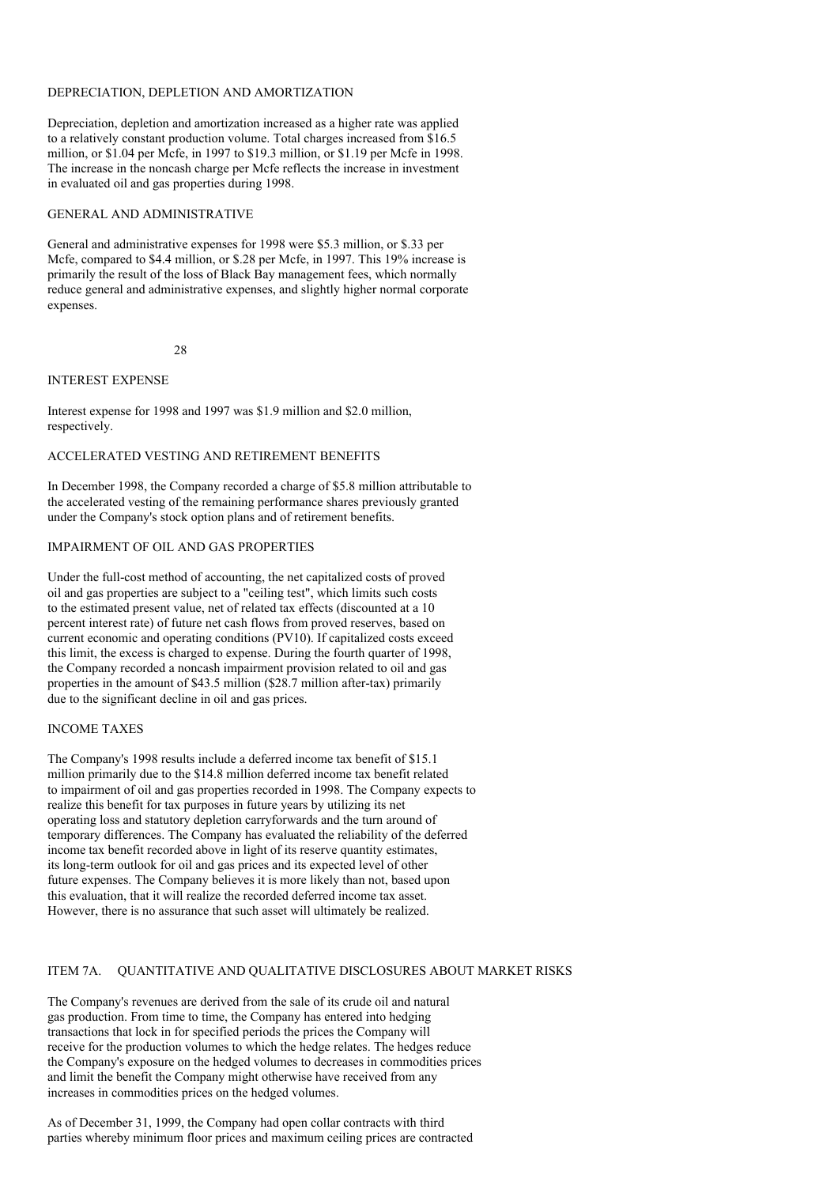### DEPRECIATION, DEPLETION AND AMORTIZATION

Depreciation, depletion and amortization increased as a higher rate was applied to a relatively constant production volume. Total charges increased from \$16.5 million, or \$1.04 per Mcfe, in 1997 to \$19.3 million, or \$1.19 per Mcfe in 1998. The increase in the noncash charge per Mcfe reflects the increase in investment in evaluated oil and gas properties during 1998.

#### GENERAL AND ADMINISTRATIVE

General and administrative expenses for 1998 were \$5.3 million, or \$.33 per Mcfe, compared to \$4.4 million, or \$.28 per Mcfe, in 1997. This 19% increase is primarily the result of the loss of Black Bay management fees, which normally reduce general and administrative expenses, and slightly higher normal corporate expenses.

28

### INTEREST EXPENSE

Interest expense for 1998 and 1997 was \$1.9 million and \$2.0 million, respectively.

### ACCELERATED VESTING AND RETIREMENT BENEFITS

In December 1998, the Company recorded a charge of \$5.8 million attributable to the accelerated vesting of the remaining performance shares previously granted under the Company's stock option plans and of retirement benefits.

### IMPAIRMENT OF OIL AND GAS PROPERTIES

Under the full-cost method of accounting, the net capitalized costs of proved oil and gas properties are subject to a "ceiling test", which limits such costs to the estimated present value, net of related tax effects (discounted at a 10 percent interest rate) of future net cash flows from proved reserves, based on current economic and operating conditions (PV10). If capitalized costs exceed this limit, the excess is charged to expense. During the fourth quarter of 1998, the Company recorded a noncash impairment provision related to oil and gas properties in the amount of \$43.5 million (\$28.7 million after-tax) primarily due to the significant decline in oil and gas prices.

### INCOME TAXES

The Company's 1998 results include a deferred income tax benefit of \$15.1 million primarily due to the \$14.8 million deferred income tax benefit related to impairment of oil and gas properties recorded in 1998. The Company expects to realize this benefit for tax purposes in future years by utilizing its net operating loss and statutory depletion carryforwards and the turn around of temporary differences. The Company has evaluated the reliability of the deferred income tax benefit recorded above in light of its reserve quantity estimates, its long-term outlook for oil and gas prices and its expected level of other future expenses. The Company believes it is more likely than not, based upon this evaluation, that it will realize the recorded deferred income tax asset. However, there is no assurance that such asset will ultimately be realized.

### ITEM 7A. QUANTITATIVE AND QUALITATIVE DISCLOSURES ABOUT MARKET RISKS

The Company's revenues are derived from the sale of its crude oil and natural gas production. From time to time, the Company has entered into hedging transactions that lock in for specified periods the prices the Company will receive for the production volumes to which the hedge relates. The hedges reduce the Company's exposure on the hedged volumes to decreases in commodities prices and limit the benefit the Company might otherwise have received from any increases in commodities prices on the hedged volumes.

As of December 31, 1999, the Company had open collar contracts with third parties whereby minimum floor prices and maximum ceiling prices are contracted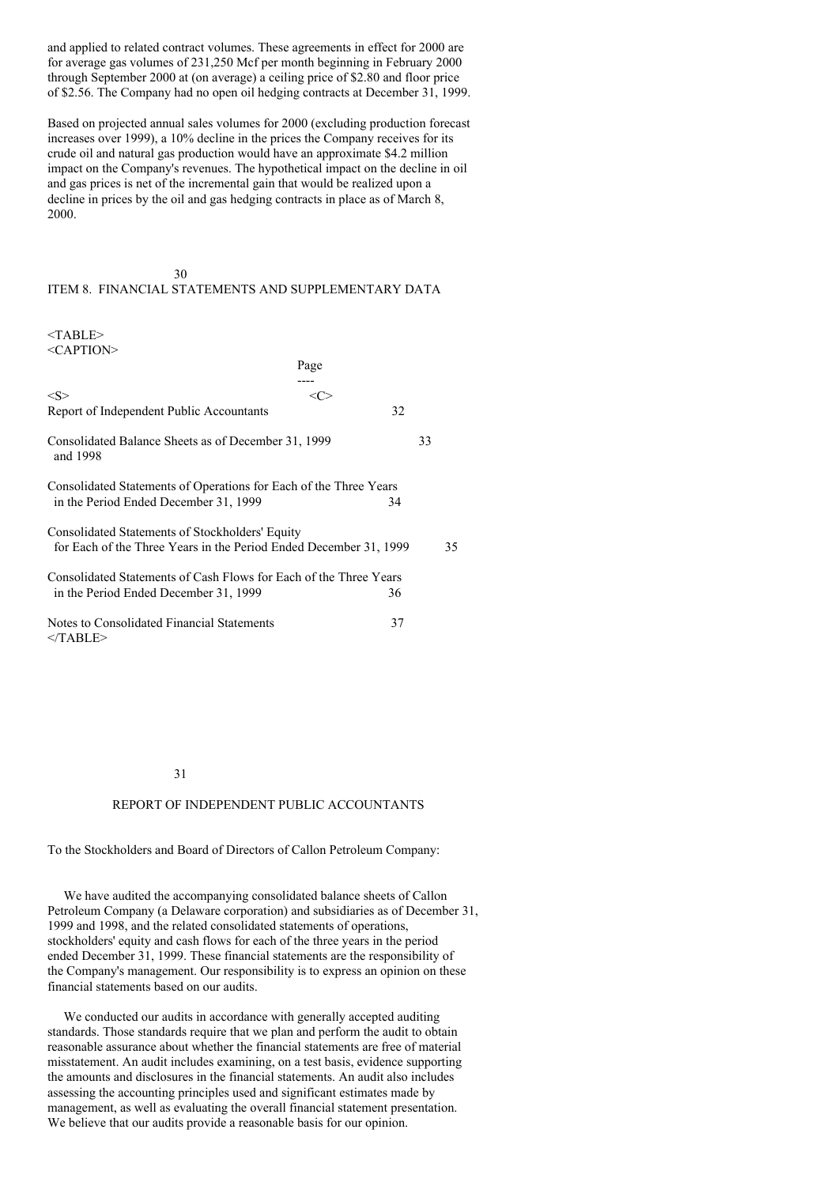and applied to related contract volumes. These agreements in effect for 2000 are for average gas volumes of 231,250 Mcf per month beginning in February 2000 through September 2000 at (on average) a ceiling price of \$2.80 and floor price of \$2.56. The Company had no open oil hedging contracts at December 31, 1999.

Based on projected annual sales volumes for 2000 (excluding production forecast increases over 1999), a 10% decline in the prices the Company receives for its crude oil and natural gas production would have an approximate \$4.2 million impact on the Company's revenues. The hypothetical impact on the decline in oil and gas prices is net of the incremental gain that would be realized upon a decline in prices by the oil and gas hedging contracts in place as of March 8, 2000.

### 30 ITEM 8. FINANCIAL STATEMENTS AND SUPPLEMENTARY DATA

<TABLE>  $\langle C$ APTION $>$ 

| 701111011                                                                                                  | Page    |    |    |    |
|------------------------------------------------------------------------------------------------------------|---------|----|----|----|
|                                                                                                            |         |    |    |    |
| $<\leq>$                                                                                                   | <c></c> |    |    |    |
| Report of Independent Public Accountants                                                                   |         | 32 |    |    |
| Consolidated Balance Sheets as of December 31, 1999<br>and 1998                                            |         |    | 33 |    |
| Consolidated Statements of Operations for Each of the Three Years<br>in the Period Ended December 31, 1999 |         | 34 |    |    |
| Consolidated Statements of Stockholders' Equity                                                            |         |    |    |    |
| for Each of the Three Years in the Period Ended December 31, 1999                                          |         |    |    | 35 |
| Consolidated Statements of Cash Flows for Each of the Three Years                                          |         |    |    |    |
| in the Period Ended December 31, 1999                                                                      |         | 36 |    |    |
| Notes to Consolidated Financial Statements<br>$<$ TABLE>                                                   |         | 37 |    |    |

#### 31

#### REPORT OF INDEPENDENT PUBLIC ACCOUNTANTS

To the Stockholders and Board of Directors of Callon Petroleum Company:

We have audited the accompanying consolidated balance sheets of Callon Petroleum Company (a Delaware corporation) and subsidiaries as of December 31, 1999 and 1998, and the related consolidated statements of operations, stockholders' equity and cash flows for each of the three years in the period ended December 31, 1999. These financial statements are the responsibility of the Company's management. Our responsibility is to express an opinion on these financial statements based on our audits.

We conducted our audits in accordance with generally accepted auditing standards. Those standards require that we plan and perform the audit to obtain reasonable assurance about whether the financial statements are free of material misstatement. An audit includes examining, on a test basis, evidence supporting the amounts and disclosures in the financial statements. An audit also includes assessing the accounting principles used and significant estimates made by management, as well as evaluating the overall financial statement presentation. We believe that our audits provide a reasonable basis for our opinion.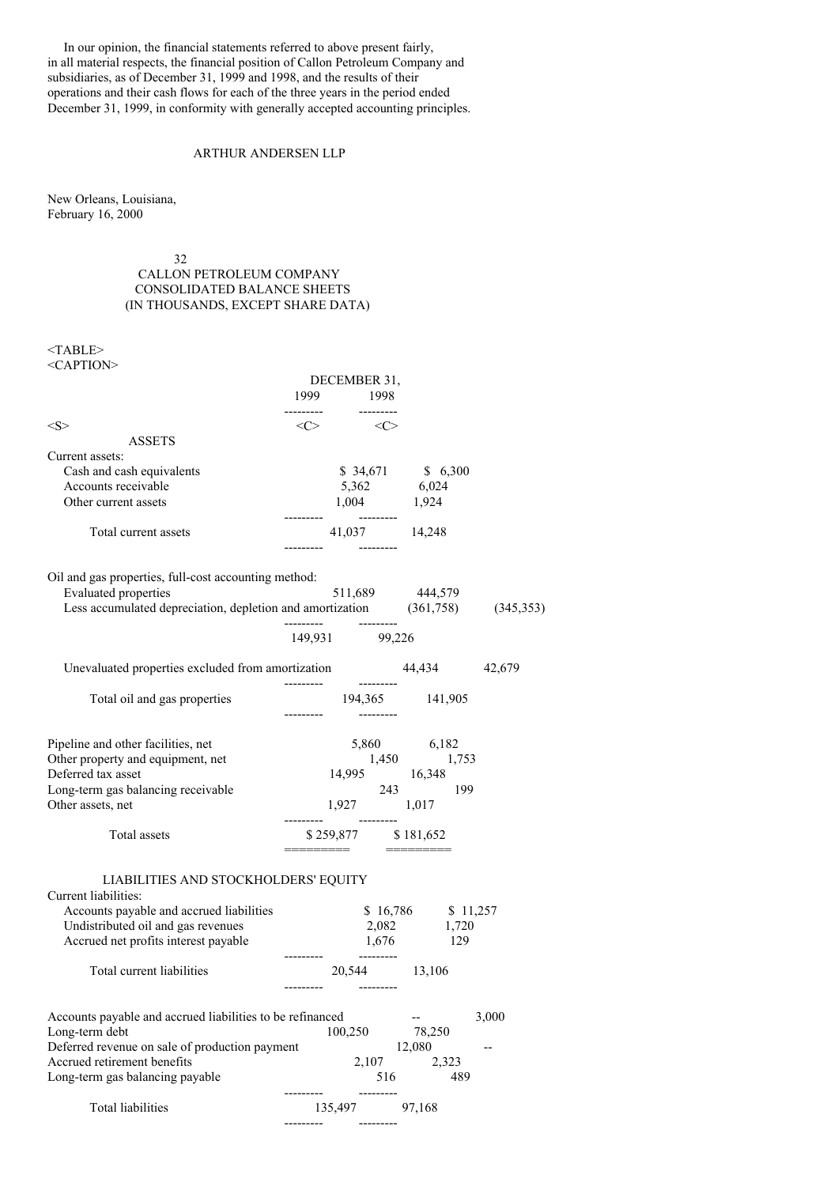In our opinion, the financial statements referred to above present fairly, in all material respects, the financial position of Callon Petroleum Company and subsidiaries, as of December 31, 1999 and 1998, and the results of their operations and their cash flows for each of the three years in the period ended December 31, 1999, in conformity with generally accepted accounting principles.

## ARTHUR ANDERSEN LLP

New Orleans, Louisiana, February 16, 2000

32

# CALLON PETROLEUM COMPANY CONSOLIDATED BALANCE SHEETS (IN THOUSANDS, EXCEPT SHARE DATA)

<TABLE> <CAPTION>

|                                                                                                                       | DECEMBER 31,                            |     |                          |       |
|-----------------------------------------------------------------------------------------------------------------------|-----------------------------------------|-----|--------------------------|-------|
|                                                                                                                       | 1999 1998                               |     |                          |       |
| $<\!\!S\!\!>$                                                                                                         | $\langle C \rangle$ $\langle C \rangle$ |     |                          |       |
| <b>ASSETS</b>                                                                                                         |                                         |     |                          |       |
| Current assets:<br>Cash and cash equivalents                                                                          |                                         |     | \$ 34,671 \$ 6,300       |       |
| Accounts receivable                                                                                                   |                                         |     | 5,362 6,024              |       |
| Other current assets                                                                                                  | 1,004 1,924                             |     |                          |       |
|                                                                                                                       |                                         |     |                          |       |
| Total current assets                                                                                                  | 41,037 14,248                           |     |                          |       |
|                                                                                                                       |                                         |     |                          |       |
| Oil and gas properties, full-cost accounting method:                                                                  |                                         |     |                          |       |
|                                                                                                                       |                                         |     |                          |       |
| Evaluated properties 511,689 444,579<br>Less accumulated depreciation, depletion and amortization (361,758) (345,353) |                                         |     |                          |       |
|                                                                                                                       |                                         |     |                          |       |
|                                                                                                                       | 149,931 99,226                          |     |                          |       |
| Unevaluated properties excluded from amortization 44,434 42,679                                                       |                                         |     |                          |       |
|                                                                                                                       | ---------                               |     |                          |       |
| Total oil and gas properties                                                                                          |                                         |     | 194,365 141,905          |       |
|                                                                                                                       |                                         |     |                          |       |
| Pipeline and other facilities, net                                                                                    |                                         |     | 5,860 6,182              |       |
| Other property and equipment, net                                                                                     |                                         |     | $1,450$ $1,753$          |       |
| Deferred tax asset                                                                                                    |                                         |     | 14,995 16,348            |       |
| Long-term gas balancing receivable                                                                                    |                                         |     | $243$ 199<br>1,927 1,017 |       |
| Other assets, net                                                                                                     |                                         |     |                          |       |
| Total assets                                                                                                          | \$259,877 \$181,652                     |     |                          |       |
|                                                                                                                       |                                         |     | =======================  |       |
|                                                                                                                       |                                         |     |                          |       |
| LIABILITIES AND STOCKHOLDERS' EQUITY<br>Current liabilities:                                                          |                                         |     |                          |       |
| Accounts payable and accrued liabilities                                                                              |                                         |     | $$16,786$ $$11,257$      |       |
| Undistributed oil and gas revenues                                                                                    |                                         |     | 2,082 1,720              |       |
| Accrued net profits interest payable                                                                                  |                                         |     | 1,676 129                |       |
|                                                                                                                       |                                         |     |                          |       |
| Total current liabilities                                                                                             | 20,544 13,106                           |     |                          |       |
|                                                                                                                       |                                         |     |                          |       |
| Accounts payable and accrued liabilities to be refinanced                                                             |                                         |     | --                       | 3,000 |
| Long-term debt                                                                                                        | 100,250                                 |     | 78,250                   |       |
| Deferred revenue on sale of production payment                                                                        |                                         |     | 12,080                   |       |
| Accrued retirement benefits                                                                                           | 2,107                                   |     | 2,323                    |       |
| Long-term gas balancing payable                                                                                       |                                         | 516 | 489                      |       |
| Total liabilities                                                                                                     | 135,497                                 |     | 97,168                   |       |
|                                                                                                                       |                                         |     |                          |       |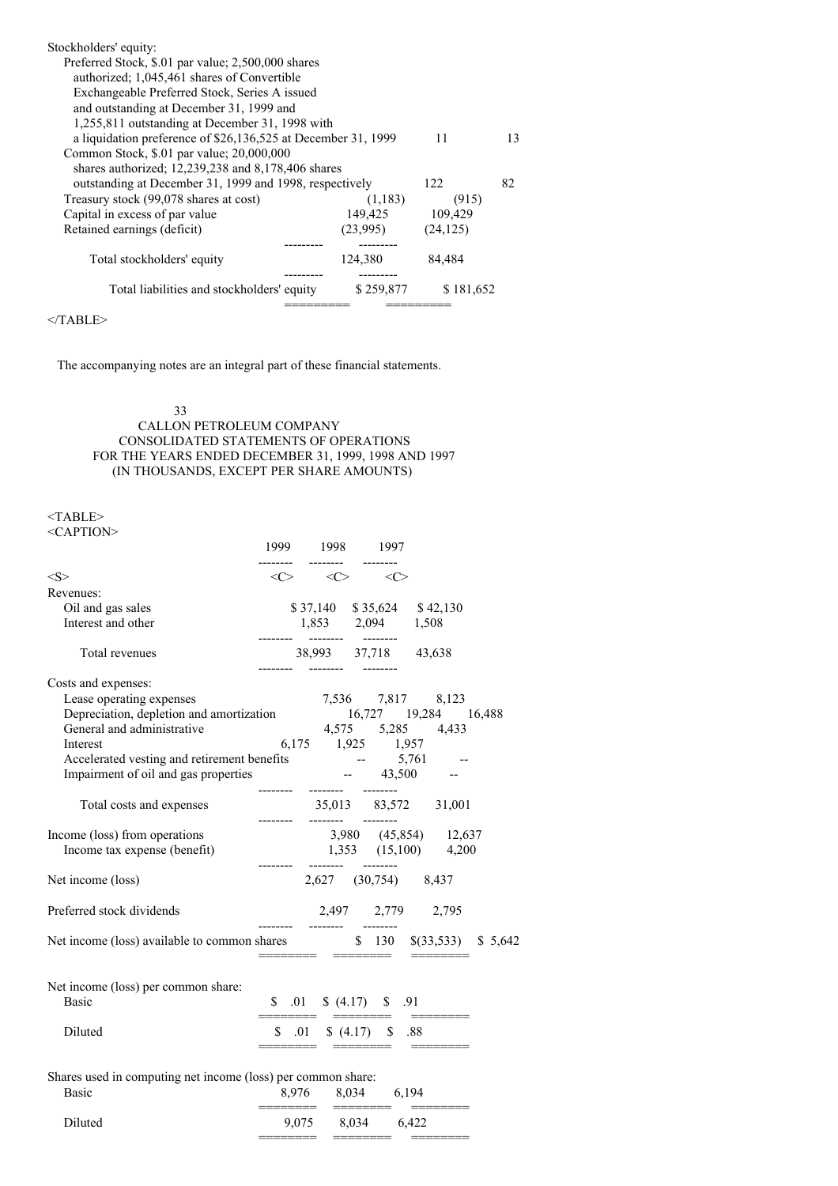| Stockholders' equity:                                         |           |           |    |
|---------------------------------------------------------------|-----------|-----------|----|
| Preferred Stock, \$.01 par value; 2,500,000 shares            |           |           |    |
| authorized; 1,045,461 shares of Convertible                   |           |           |    |
| Exchangeable Preferred Stock, Series A issued                 |           |           |    |
| and outstanding at December 31, 1999 and                      |           |           |    |
| 1,255,811 outstanding at December 31, 1998 with               |           |           |    |
| a liquidation preference of \$26,136,525 at December 31, 1999 |           | 11        | 13 |
| Common Stock, \$.01 par value; 20,000,000                     |           |           |    |
| shares authorized; $12,239,238$ and $8,178,406$ shares        |           |           |    |
| outstanding at December 31, 1999 and 1998, respectively       |           | 122       | 82 |
| Treasury stock (99,078 shares at cost)                        | (1,183)   | (915)     |    |
| Capital in excess of par value                                | 149,425   | 109,429   |    |
| Retained earnings (deficit)                                   | (23,995)  | (24, 125) |    |
|                                                               |           |           |    |
| Total stockholders' equity                                    | 124,380   | 84.484    |    |
|                                                               |           |           |    |
| Total liabilities and stockholders' equity                    | \$259,877 | \$181,652 |    |
|                                                               |           |           |    |

 $<$ /TABLE>

The accompanying notes are an integral part of these financial statements.

## 33 CALLON PETROLEUM COMPANY CONSOLIDATED STATEMENTS OF OPERATIONS FOR THE YEARS ENDED DECEMBER 31, 1999, 1998 AND 1997 (IN THOUSANDS, EXCEPT PER SHARE AMOUNTS)

### <TABLE> <CAPTION>

|                                                                                                                                                                                                                                                | 1999                       |       | 1998     |                                 | 1997 |  |                            |  |
|------------------------------------------------------------------------------------------------------------------------------------------------------------------------------------------------------------------------------------------------|----------------------------|-------|----------|---------------------------------|------|--|----------------------------|--|
| <s></s>                                                                                                                                                                                                                                        |                            |       |          | $<<>$ $<<>$ $<<>$               |      |  |                            |  |
| Revenues:                                                                                                                                                                                                                                      |                            |       |          |                                 |      |  |                            |  |
| Oil and gas sales                                                                                                                                                                                                                              |                            |       |          |                                 |      |  | \$37,140 \$35,624 \$42,130 |  |
| Interest and other                                                                                                                                                                                                                             |                            |       |          | 1,853 2,094 1,508               |      |  |                            |  |
| Total revenues                                                                                                                                                                                                                                 |                            |       |          | 38,993 37,718 43,638            |      |  |                            |  |
| Costs and expenses:                                                                                                                                                                                                                            |                            |       |          |                                 |      |  |                            |  |
| Lease operating expenses                                                                                                                                                                                                                       |                            |       |          |                                 |      |  | 7,536 7,817 8,123          |  |
|                                                                                                                                                                                                                                                |                            |       |          |                                 |      |  |                            |  |
|                                                                                                                                                                                                                                                |                            |       |          |                                 |      |  |                            |  |
|                                                                                                                                                                                                                                                |                            |       |          |                                 |      |  |                            |  |
|                                                                                                                                                                                                                                                |                            |       |          |                                 |      |  |                            |  |
| Lease operating expenses<br>Depreciation, depletion and amortization<br>General and administrative<br>d. 16,727 19,284 16,488<br>General and administrative<br>d. 175 5,285 4,433<br>Interest<br>d. 1925 1,925 1,957<br>Accelerated vesting an | -------- -------- -------- |       |          |                                 |      |  |                            |  |
| Total costs and expenses                                                                                                                                                                                                                       | -------- ------- -------   |       |          |                                 |      |  | 35,013 83,572 31,001       |  |
| Income (loss) from operations                                                                                                                                                                                                                  |                            |       |          |                                 |      |  | 3,980 (45,854) 12,637      |  |
| Income tax expense (benefit)                                                                                                                                                                                                                   |                            |       |          |                                 |      |  | 1,353 (15,100) 4,200       |  |
| Net income (loss)                                                                                                                                                                                                                              |                            |       |          | 2,627 (30,754) 8,437            |      |  |                            |  |
| Preferred stock dividends                                                                                                                                                                                                                      | --------                   |       |          |                                 |      |  | 2,497 2,779 2,795          |  |
| Net income (loss) available to common shares \$ 130 \ \$(33,533) \ \$ 5,642                                                                                                                                                                    |                            |       | -------- |                                 |      |  |                            |  |
|                                                                                                                                                                                                                                                |                            |       |          |                                 |      |  |                            |  |
| Net income (loss) per common share:                                                                                                                                                                                                            |                            |       |          |                                 |      |  |                            |  |
| <b>Basic</b>                                                                                                                                                                                                                                   |                            |       |          | $$.01 \quad $(4.17) \quad $.91$ |      |  |                            |  |
| Diluted                                                                                                                                                                                                                                        |                            |       |          | $$.01 \quad $(4.17) \quad $.88$ |      |  |                            |  |
|                                                                                                                                                                                                                                                |                            |       |          |                                 |      |  |                            |  |
| Shares used in computing net income (loss) per common share:                                                                                                                                                                                   |                            |       |          |                                 |      |  |                            |  |
| <b>Basic</b>                                                                                                                                                                                                                                   |                            |       |          | 8,976 8,034 6,194               |      |  |                            |  |
| Diluted                                                                                                                                                                                                                                        |                            | 9,075 |          | 8,034 6,422                     |      |  |                            |  |

======== ======== ========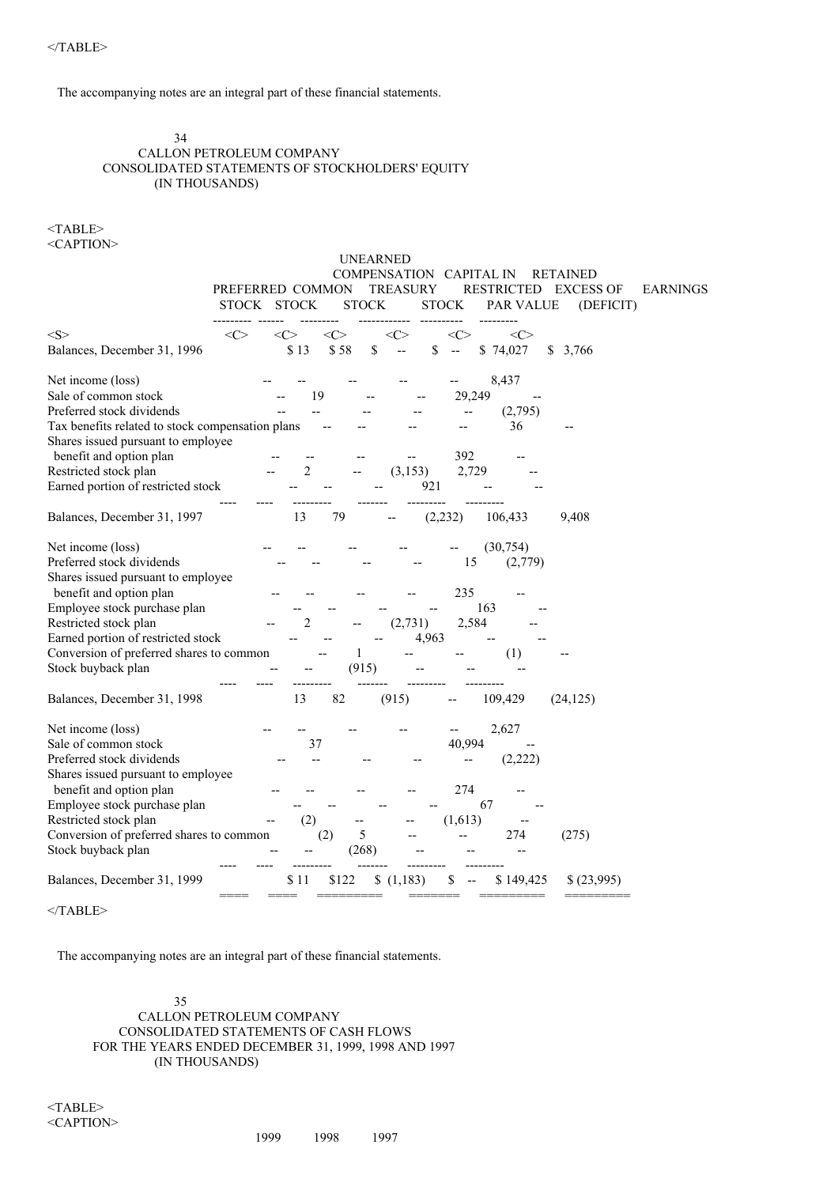The accompanying notes are an integral part of these financial statements.

### 34 CALLON PETROLEUM COMPANY CONSOLIDATED STATEMENTS OF STOCKHOLDERS' EQUITY (IN THOUSANDS)

<TABLE> <CAPTION>

|                                                  |                  |              | <b>UNEARNED</b>         |              |                   |                  |                 |
|--------------------------------------------------|------------------|--------------|-------------------------|--------------|-------------------|------------------|-----------------|
|                                                  |                  |              | COMPENSATION CAPITAL IN |              |                   | <b>RETAINED</b>  |                 |
|                                                  | PREFERRED COMMON |              | <b>TREASURY</b>         |              | <b>RESTRICTED</b> | <b>EXCESS OF</b> | <b>EARNINGS</b> |
|                                                  | STOCK STOCK      | <b>STOCK</b> |                         | <b>STOCK</b> | <b>PAR VALUE</b>  | (DEFICIT)        |                 |
| < S >                                            | <<><br><c></c>   | $<$ C>       | $<$ C $>$               | <c></c>      | <<>               |                  |                 |
| Balances, December 31, 1996                      | \$13             | \$58         | \$<br>\$                |              | \$74,027          | \$3,766          |                 |
| Net income (loss)                                |                  |              |                         |              | 8,437             |                  |                 |
| Sale of common stock                             |                  | 19           |                         | 29,249       |                   |                  |                 |
| Preferred stock dividends                        |                  |              |                         |              | (2,795)           |                  |                 |
| Tax benefits related to stock compensation plans |                  |              |                         |              | 36                |                  |                 |
| Shares issued pursuant to employee               |                  |              |                         |              |                   |                  |                 |
| benefit and option plan                          |                  |              |                         | 392          |                   |                  |                 |
| Restricted stock plan                            |                  |              | (3, 153)                | 2,729        |                   |                  |                 |
| Earned portion of restricted stock               |                  |              | 921                     |              |                   |                  |                 |
| Balances, December 31, 1997                      | 13               | 79           |                         | (2, 232)     | 106,433           | 9,408            |                 |
| Net income (loss)                                |                  |              |                         |              | (30, 754)         |                  |                 |
| Preferred stock dividends                        |                  |              |                         | 15           | (2,779)           |                  |                 |
| Shares issued pursuant to employee               |                  |              |                         |              |                   |                  |                 |
| benefit and option plan                          |                  |              |                         | 235          |                   |                  |                 |
| Employee stock purchase plan                     |                  |              |                         | 163          |                   |                  |                 |
| Restricted stock plan                            |                  |              | (2,731)                 | 2,584        |                   |                  |                 |
| Earned portion of restricted stock               |                  |              | 4,963                   |              |                   |                  |                 |
| Conversion of preferred shares to common         |                  | 1            |                         |              | (1)               |                  |                 |
| Stock buyback plan                               |                  | (915)        |                         |              |                   |                  |                 |
| Balances, December 31, 1998                      | 13               | 82           | (915)                   |              | 109,429           | (24, 125)        |                 |
| Net income (loss)                                |                  |              |                         |              | 2,627             |                  |                 |
| Sale of common stock                             |                  | 37           |                         | 40,994       |                   |                  |                 |
| Preferred stock dividends                        |                  |              |                         |              | (2, 222)          |                  |                 |
| Shares issued pursuant to employee               |                  |              |                         |              |                   |                  |                 |
| benefit and option plan                          |                  |              |                         | 274          |                   |                  |                 |
| Employee stock purchase plan                     |                  |              |                         | 67           |                   |                  |                 |
| Restricted stock plan                            |                  | (2)          |                         | (1,613)      |                   |                  |                 |
| Conversion of preferred shares to common         |                  | 5<br>(2)     |                         |              | 274               | (275)            |                 |
| Stock buyback plan                               |                  | (268)        |                         |              |                   |                  |                 |
| Balances, December 31, 1999                      | \$11             | \$122        | \$(1,183)               | S            | \$149,425         | \$(23,995)       |                 |

 $<$ /TABLE>

The accompanying notes are an integral part of these financial statements.

35 CALLON PETROLEUM COMPANY CONSOLIDATED STATEMENTS OF CASH FLOWS FOR THE YEARS ENDED DECEMBER 31, 1999, 1998 AND 1997 (IN THOUSANDS)

<TABLE> <CAPTION>

1999 1998 1997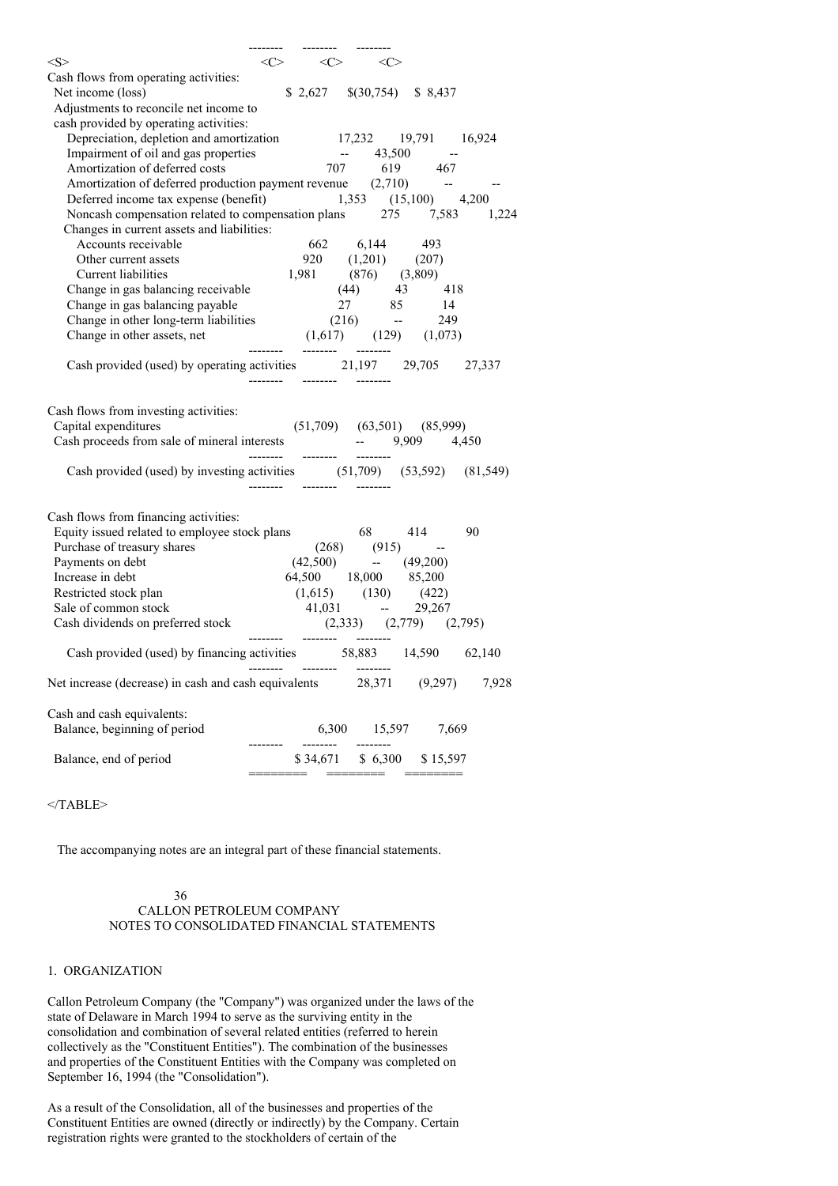| $<\ge$                                                                                                                                                  | $\langle C \rangle$ $\langle C \rangle$ $\langle C \rangle$ |          |         |                                                                           |       |
|---------------------------------------------------------------------------------------------------------------------------------------------------------|-------------------------------------------------------------|----------|---------|---------------------------------------------------------------------------|-------|
| Cash flows from operating activities:                                                                                                                   |                                                             |          |         |                                                                           |       |
| Net income (loss)                                                                                                                                       |                                                             |          |         | $$2,627$ $$(30,754)$ \$ 8,437                                             |       |
| Adjustments to reconcile net income to                                                                                                                  |                                                             |          |         |                                                                           |       |
| cash provided by operating activities:                                                                                                                  |                                                             |          |         |                                                                           |       |
| Depreciation, depletion and amortization 17,232 19,791 16,924                                                                                           |                                                             |          |         |                                                                           |       |
|                                                                                                                                                         |                                                             |          |         |                                                                           |       |
|                                                                                                                                                         |                                                             |          |         |                                                                           |       |
| Impairment of oil and gas properties<br>Amortization of deferred costs<br>Amortization of deferred production payment revenue (2,710)<br>--             |                                                             |          |         |                                                                           |       |
| Deferred income tax expense (benefit) 1,353 (15,100) 4,200                                                                                              |                                                             |          |         |                                                                           |       |
| Noncash compensation related to compensation plans 275 7,583 1,224                                                                                      |                                                             |          |         |                                                                           |       |
| Changes in current assets and liabilities:                                                                                                              |                                                             |          |         |                                                                           |       |
| Accounts receivable                                                                                                                                     |                                                             |          |         | $662$ $6,144$ 493<br>$920$ $(1,201)$ $(207)$<br>$1,981$ $(876)$ $(3,809)$ |       |
| Other current assets                                                                                                                                    |                                                             |          |         |                                                                           |       |
| Current liabilities                                                                                                                                     |                                                             |          |         |                                                                           |       |
| Change in gas balancing receivable (44) 43 418                                                                                                          |                                                             |          |         |                                                                           |       |
|                                                                                                                                                         |                                                             |          |         |                                                                           |       |
|                                                                                                                                                         |                                                             |          |         |                                                                           |       |
|                                                                                                                                                         |                                                             |          |         |                                                                           |       |
| Cash provided (used) by operating activities 21,197 29,705 27,337                                                                                       | -------- -------- --------                                  |          |         |                                                                           |       |
| Cash flows from investing activities:<br>Capital expenditures (51,709) (63,501) (85,999)<br>Cash proceeds from sale of mineral interests -- 9,909 4,450 |                                                             |          |         |                                                                           |       |
| Cash provided (used) by investing activities (51,709) (53,592) (81,549)                                                                                 |                                                             |          |         |                                                                           |       |
| Cash flows from financing activities:                                                                                                                   |                                                             |          |         |                                                                           |       |
|                                                                                                                                                         |                                                             |          |         |                                                                           |       |
| Equity issued related to employee stock plans 68 414 90<br>Purchase of treasury shares (268) (915) --<br>Payments on debt (42,500) -- (49,200)          |                                                             |          |         |                                                                           |       |
|                                                                                                                                                         | 64,500 18,000 85,200                                        |          |         |                                                                           |       |
| Increase in debt                                                                                                                                        |                                                             |          |         |                                                                           |       |
|                                                                                                                                                         |                                                             |          |         |                                                                           |       |
| Restricted stock plan (1,615) (130) (422)<br>Sale of common stock 41,031 -- 29,267<br>Cash dividends on preferred stock (2,333) (2,779) (2,795)         |                                                             |          |         |                                                                           |       |
|                                                                                                                                                         |                                                             |          |         |                                                                           |       |
| Cash provided (used) by financing activities 58,883 14,590 62,140                                                                                       | -------- --------                                           |          |         |                                                                           |       |
| Net increase (decrease) in cash and cash equivalents                                                                                                    |                                                             |          | 28,371  | (9,297)                                                                   | 7,928 |
| Cash and cash equivalents:                                                                                                                              |                                                             |          |         |                                                                           |       |
| Balance, beginning of period                                                                                                                            |                                                             | 6,300    | 15,597  | 7,669                                                                     |       |
|                                                                                                                                                         |                                                             |          |         |                                                                           |       |
| Balance, end of period                                                                                                                                  |                                                             | \$34,671 | \$6,300 | \$15,597                                                                  |       |

</TABLE>

The accompanying notes are an integral part of these financial statements.

#### 36 CALLON PETROLEUM COMPANY NOTES TO CONSOLIDATED FINANCIAL STATEMENTS

### 1. ORGANIZATION

Callon Petroleum Company (the "Company") was organized under the laws of the state of Delaware in March 1994 to serve as the surviving entity in the consolidation and combination of several related entities (referred to herein collectively as the "Constituent Entities"). The combination of the businesses and properties of the Constituent Entities with the Company was completed on September 16, 1994 (the "Consolidation").

As a result of the Consolidation, all of the businesses and properties of the Constituent Entities are owned (directly or indirectly) by the Company. Certain registration rights were granted to the stockholders of certain of the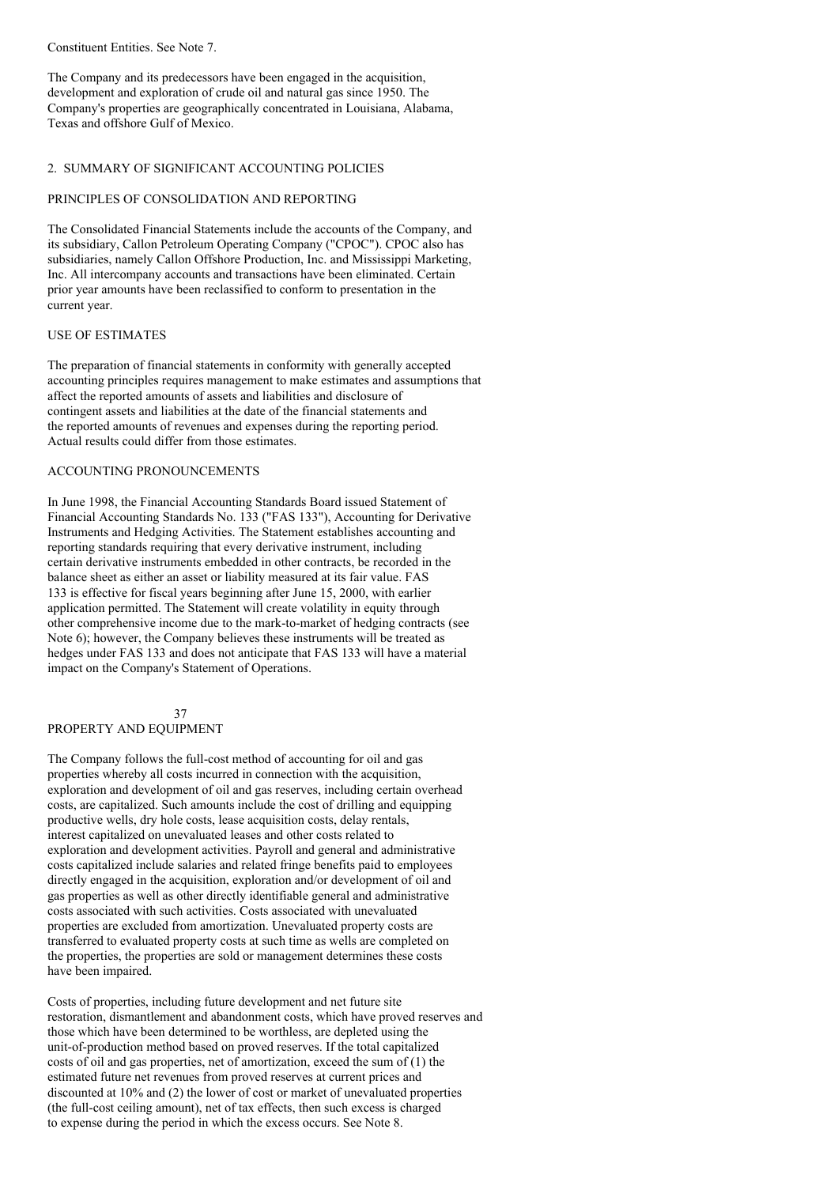Constituent Entities. See Note 7.

The Company and its predecessors have been engaged in the acquisition, development and exploration of crude oil and natural gas since 1950. The Company's properties are geographically concentrated in Louisiana, Alabama, Texas and offshore Gulf of Mexico.

#### 2. SUMMARY OF SIGNIFICANT ACCOUNTING POLICIES

#### PRINCIPLES OF CONSOLIDATION AND REPORTING

The Consolidated Financial Statements include the accounts of the Company, and its subsidiary, Callon Petroleum Operating Company ("CPOC"). CPOC also has subsidiaries, namely Callon Offshore Production, Inc. and Mississippi Marketing, Inc. All intercompany accounts and transactions have been eliminated. Certain prior year amounts have been reclassified to conform to presentation in the current year.

#### USE OF ESTIMATES

The preparation of financial statements in conformity with generally accepted accounting principles requires management to make estimates and assumptions that affect the reported amounts of assets and liabilities and disclosure of contingent assets and liabilities at the date of the financial statements and the reported amounts of revenues and expenses during the reporting period. Actual results could differ from those estimates.

## ACCOUNTING PRONOUNCEMENTS

In June 1998, the Financial Accounting Standards Board issued Statement of Financial Accounting Standards No. 133 ("FAS 133"), Accounting for Derivative Instruments and Hedging Activities. The Statement establishes accounting and reporting standards requiring that every derivative instrument, including certain derivative instruments embedded in other contracts, be recorded in the balance sheet as either an asset or liability measured at its fair value. FAS 133 is effective for fiscal years beginning after June 15, 2000, with earlier application permitted. The Statement will create volatility in equity through other comprehensive income due to the mark-to-market of hedging contracts (see Note 6); however, the Company believes these instruments will be treated as hedges under FAS 133 and does not anticipate that FAS 133 will have a material impact on the Company's Statement of Operations.

#### 37 PROPERTY AND EQUIPMENT

The Company follows the full-cost method of accounting for oil and gas properties whereby all costs incurred in connection with the acquisition, exploration and development of oil and gas reserves, including certain overhead costs, are capitalized. Such amounts include the cost of drilling and equipping productive wells, dry hole costs, lease acquisition costs, delay rentals, interest capitalized on unevaluated leases and other costs related to exploration and development activities. Payroll and general and administrative costs capitalized include salaries and related fringe benefits paid to employees directly engaged in the acquisition, exploration and/or development of oil and gas properties as well as other directly identifiable general and administrative costs associated with such activities. Costs associated with unevaluated properties are excluded from amortization. Unevaluated property costs are transferred to evaluated property costs at such time as wells are completed on the properties, the properties are sold or management determines these costs have been impaired.

Costs of properties, including future development and net future site restoration, dismantlement and abandonment costs, which have proved reserves and those which have been determined to be worthless, are depleted using the unit-of-production method based on proved reserves. If the total capitalized costs of oil and gas properties, net of amortization, exceed the sum of (1) the estimated future net revenues from proved reserves at current prices and discounted at 10% and (2) the lower of cost or market of unevaluated properties (the full-cost ceiling amount), net of tax effects, then such excess is charged to expense during the period in which the excess occurs. See Note 8.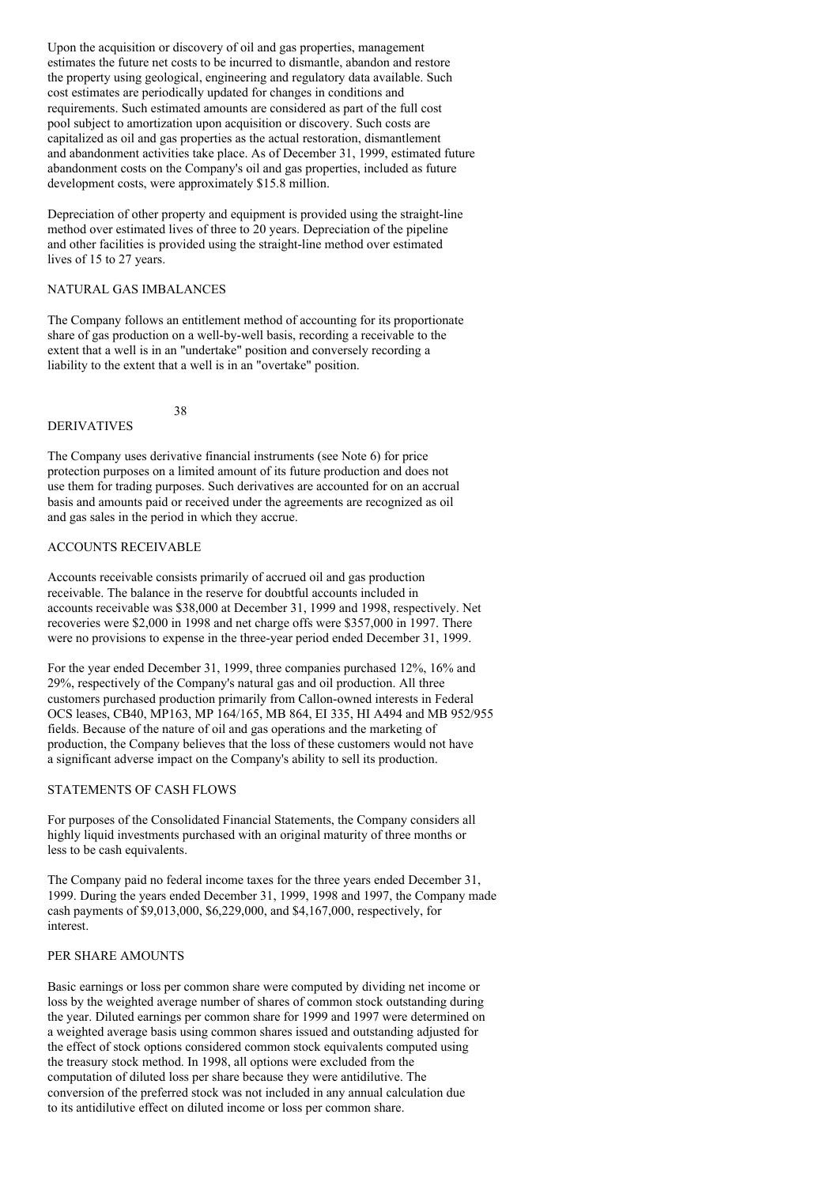Upon the acquisition or discovery of oil and gas properties, management estimates the future net costs to be incurred to dismantle, abandon and restore the property using geological, engineering and regulatory data available. Such cost estimates are periodically updated for changes in conditions and requirements. Such estimated amounts are considered as part of the full cost pool subject to amortization upon acquisition or discovery. Such costs are capitalized as oil and gas properties as the actual restoration, dismantlement and abandonment activities take place. As of December 31, 1999, estimated future abandonment costs on the Company's oil and gas properties, included as future development costs, were approximately \$15.8 million.

Depreciation of other property and equipment is provided using the straight-line method over estimated lives of three to 20 years. Depreciation of the pipeline and other facilities is provided using the straight-line method over estimated lives of 15 to 27 years.

## NATURAL GAS IMBALANCES

The Company follows an entitlement method of accounting for its proportionate share of gas production on a well-by-well basis, recording a receivable to the extent that a well is in an "undertake" position and conversely recording a liability to the extent that a well is in an "overtake" position.

38

### DERIVATIVES

The Company uses derivative financial instruments (see Note 6) for price protection purposes on a limited amount of its future production and does not use them for trading purposes. Such derivatives are accounted for on an accrual basis and amounts paid or received under the agreements are recognized as oil and gas sales in the period in which they accrue.

### ACCOUNTS RECEIVABLE

Accounts receivable consists primarily of accrued oil and gas production receivable. The balance in the reserve for doubtful accounts included in accounts receivable was \$38,000 at December 31, 1999 and 1998, respectively. Net recoveries were \$2,000 in 1998 and net charge offs were \$357,000 in 1997. There were no provisions to expense in the three-year period ended December 31, 1999.

For the year ended December 31, 1999, three companies purchased 12%, 16% and 29%, respectively of the Company's natural gas and oil production. All three customers purchased production primarily from Callon-owned interests in Federal OCS leases, CB40, MP163, MP 164/165, MB 864, EI 335, HI A494 and MB 952/955 fields. Because of the nature of oil and gas operations and the marketing of production, the Company believes that the loss of these customers would not have a significant adverse impact on the Company's ability to sell its production.

#### STATEMENTS OF CASH FLOWS

For purposes of the Consolidated Financial Statements, the Company considers all highly liquid investments purchased with an original maturity of three months or less to be cash equivalents.

The Company paid no federal income taxes for the three years ended December 31, 1999. During the years ended December 31, 1999, 1998 and 1997, the Company made cash payments of \$9,013,000, \$6,229,000, and \$4,167,000, respectively, for interest.

#### PER SHARE AMOUNTS

Basic earnings or loss per common share were computed by dividing net income or loss by the weighted average number of shares of common stock outstanding during the year. Diluted earnings per common share for 1999 and 1997 were determined on a weighted average basis using common shares issued and outstanding adjusted for the effect of stock options considered common stock equivalents computed using the treasury stock method. In 1998, all options were excluded from the computation of diluted loss per share because they were antidilutive. The conversion of the preferred stock was not included in any annual calculation due to its antidilutive effect on diluted income or loss per common share.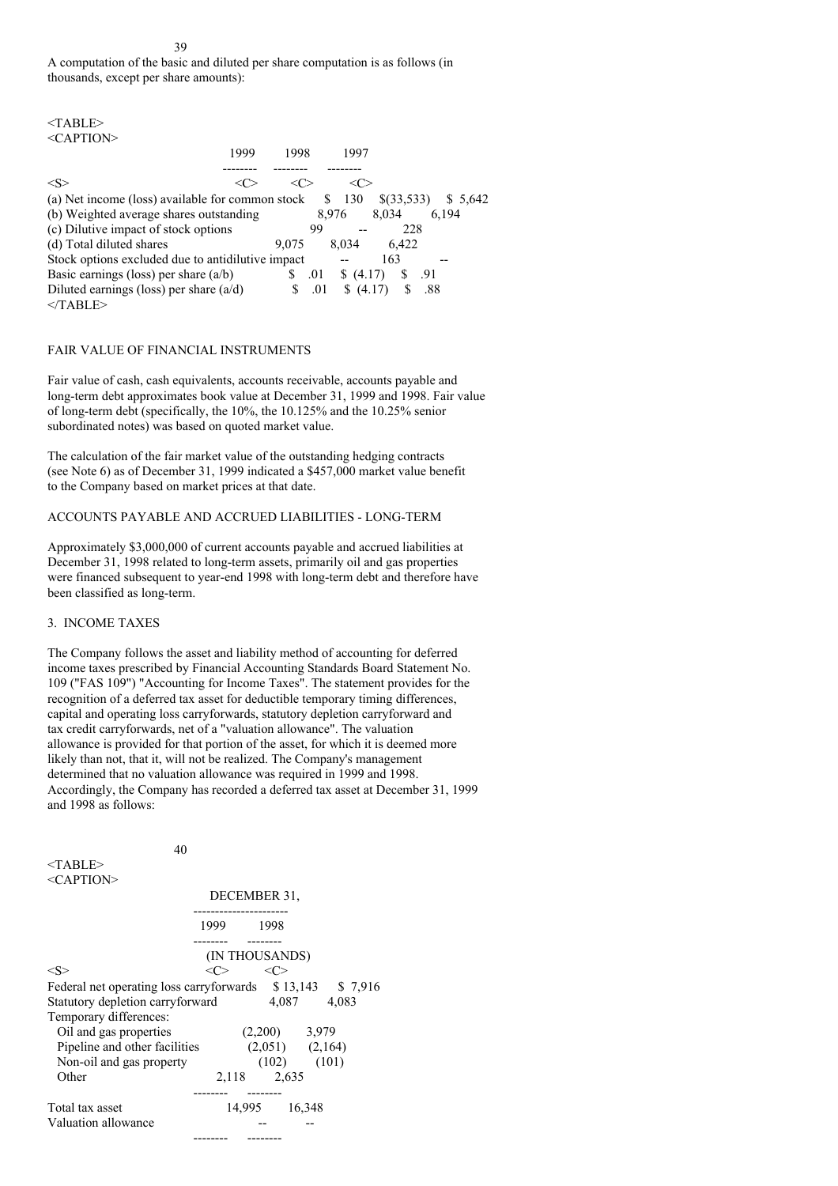39

A computation of the basic and diluted per share computation is as follows (in thousands, except per share amounts):

| $<$ TABLE>                                                                   |          |
|------------------------------------------------------------------------------|----------|
| $\leq$ CAPTION $>$                                                           |          |
| 1999<br>1998<br>1997                                                         |          |
|                                                                              |          |
| $<\!\!S\!\!>$<br><( ≫<br><∈                                                  |          |
| 130<br>S<br>$\{(33,533)$<br>(a) Net income (loss) available for common stock | \$ 5.642 |
| (b) Weighted average shares outstanding<br>8.034<br>8.976                    | 6.194    |
| (c) Dilutive impact of stock options<br>228<br>99                            |          |
| (d) Total diluted shares<br>8.034<br>6.422<br>9.075                          |          |
| Stock options excluded due to antidilutive impact<br>163                     |          |
| Basic earnings (loss) per share $(a/b)$<br>S<br>.01<br>S<br>\$(4.17)         | -.91     |
| Diluted earnings (loss) per share $(a/d)$<br>S<br>.01<br>(4.17)<br>S<br>S    | .88      |
| $<$ TABLE>                                                                   |          |

## FAIR VALUE OF FINANCIAL INSTRUMENTS

Fair value of cash, cash equivalents, accounts receivable, accounts payable and long-term debt approximates book value at December 31, 1999 and 1998. Fair value of long-term debt (specifically, the 10%, the 10.125% and the 10.25% senior subordinated notes) was based on quoted market value.

The calculation of the fair market value of the outstanding hedging contracts (see Note 6) as of December 31, 1999 indicated a \$457,000 market value benefit to the Company based on market prices at that date.

## ACCOUNTS PAYABLE AND ACCRUED LIABILITIES - LONG-TERM

Approximately \$3,000,000 of current accounts payable and accrued liabilities at December 31, 1998 related to long-term assets, primarily oil and gas properties were financed subsequent to year-end 1998 with long-term debt and therefore have been classified as long-term.

### 3. INCOME TAXES

The Company follows the asset and liability method of accounting for deferred income taxes prescribed by Financial Accounting Standards Board Statement No. 109 ("FAS 109") "Accounting for Income Taxes". The statement provides for the recognition of a deferred tax asset for deductible temporary timing differences, capital and operating loss carryforwards, statutory depletion carryforward and tax credit carryforwards, net of a "valuation allowance". The valuation allowance is provided for that portion of the asset, for which it is deemed more likely than not, that it, will not be realized. The Company's management determined that no valuation allowance was required in 1999 and 1998. Accordingly, the Company has recorded a deferred tax asset at December 31, 1999 and 1998 as follows:

| DECEMBER 31,<br>1999 1998<br>(IN THOUSANDS)<br>$<\!\!S\!\!>$<br>$\langle C \rangle$<br>$\langle C \rangle$<br>Federal net operating loss carryforwards \$13,143 \$7,916<br>Statutory depletion carryforward 4,087 4,083<br>Temporary differences:<br>Oil and gas properties<br>$(2,200)$ 3,979<br>$(2,051)$ $(2,164)$<br>Pipeline and other facilities<br>$(102)$ $(101)$<br>Non-oil and gas property<br>Other<br>2,118 2,635<br>14,995 16,348<br>Total tax asset | $<$ TABLE>          |  |  |
|-------------------------------------------------------------------------------------------------------------------------------------------------------------------------------------------------------------------------------------------------------------------------------------------------------------------------------------------------------------------------------------------------------------------------------------------------------------------|---------------------|--|--|
|                                                                                                                                                                                                                                                                                                                                                                                                                                                                   | $<$ CAPTION>        |  |  |
|                                                                                                                                                                                                                                                                                                                                                                                                                                                                   |                     |  |  |
|                                                                                                                                                                                                                                                                                                                                                                                                                                                                   |                     |  |  |
|                                                                                                                                                                                                                                                                                                                                                                                                                                                                   |                     |  |  |
|                                                                                                                                                                                                                                                                                                                                                                                                                                                                   |                     |  |  |
|                                                                                                                                                                                                                                                                                                                                                                                                                                                                   |                     |  |  |
|                                                                                                                                                                                                                                                                                                                                                                                                                                                                   |                     |  |  |
|                                                                                                                                                                                                                                                                                                                                                                                                                                                                   |                     |  |  |
|                                                                                                                                                                                                                                                                                                                                                                                                                                                                   |                     |  |  |
|                                                                                                                                                                                                                                                                                                                                                                                                                                                                   |                     |  |  |
|                                                                                                                                                                                                                                                                                                                                                                                                                                                                   |                     |  |  |
|                                                                                                                                                                                                                                                                                                                                                                                                                                                                   |                     |  |  |
|                                                                                                                                                                                                                                                                                                                                                                                                                                                                   | Valuation allowance |  |  |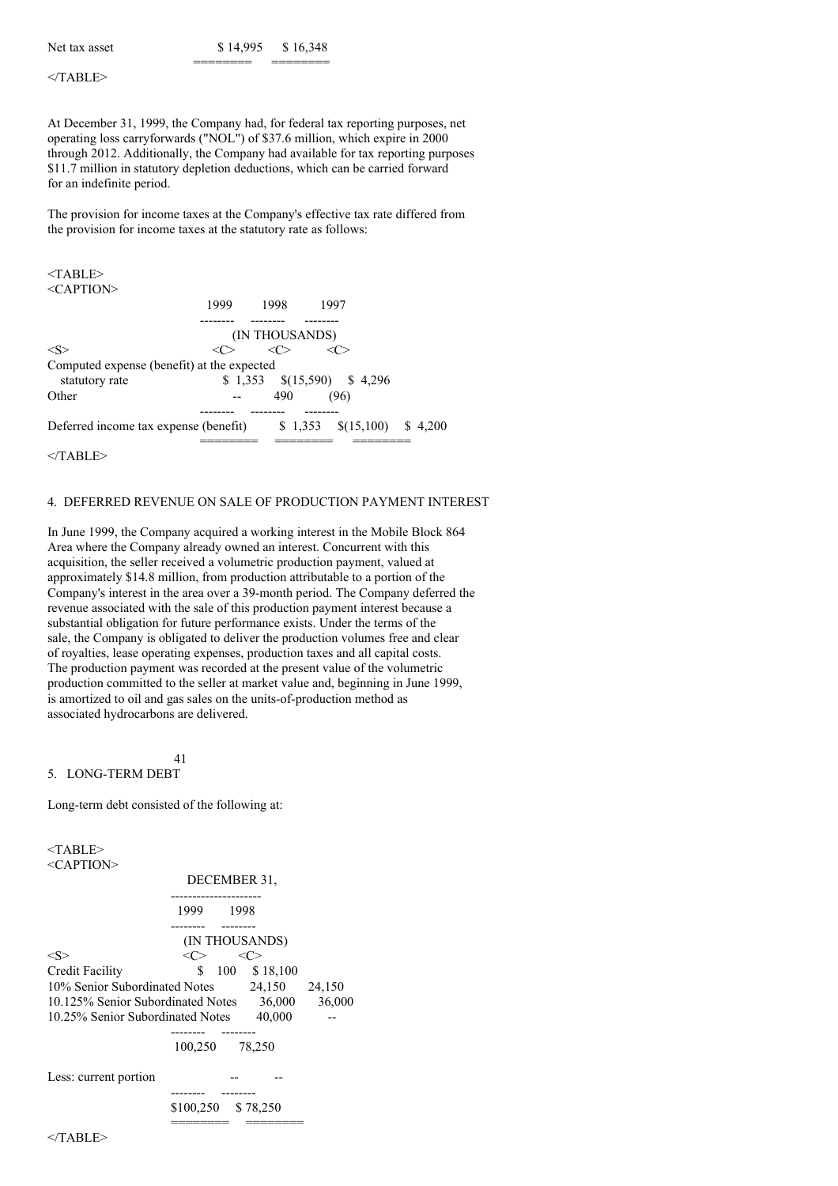| Net tax asset | \$14,995 | \$16,348 |
|---------------|----------|----------|
|               |          |          |

 $<$ /TABLE>

At December 31, 1999, the Company had, for federal tax reporting purposes, net operating loss carryforwards ("NOL") of \$37.6 million, which expire in 2000 through 2012. Additionally, the Company had available for tax reporting purposes \$11.7 million in statutory depletion deductions, which can be carried forward for an indefinite period.

The provision for income taxes at the Company's effective tax rate differed from the provision for income taxes at the statutory rate as follows:

| $<$ TABLE>                                 |         |                      |                               |         |
|--------------------------------------------|---------|----------------------|-------------------------------|---------|
| $\leq$ CAPTION $>$                         |         |                      |                               |         |
|                                            | 1999    | 1998                 | 1997                          |         |
|                                            |         |                      |                               |         |
|                                            |         | (IN THOUSANDS)       |                               |         |
| $<\!S>$                                    | <r></r> | $<\!\!\!\Gamma\!\!>$ | $< \cap$                      |         |
| Computed expense (benefit) at the expected |         |                      |                               |         |
| statutory rate                             |         |                      | $$1,353$ $$(15,590)$ $$4,296$ |         |
| Other                                      |         | 490                  | (96)                          |         |
|                                            |         |                      |                               |         |
| Deferred income tax expense (benefit)      |         |                      | $$1,353$ $$(15,100)$          | \$4.200 |
|                                            |         |                      |                               |         |

 $<$ /TABLE>

#### 4. DEFERRED REVENUE ON SALE OF PRODUCTION PAYMENT INTEREST

In June 1999, the Company acquired a working interest in the Mobile Block 864 Area where the Company already owned an interest. Concurrent with this acquisition, the seller received a volumetric production payment, valued at approximately \$14.8 million, from production attributable to a portion of the Company's interest in the area over a 39-month period. The Company deferred the revenue associated with the sale of this production payment interest because a substantial obligation for future performance exists. Under the terms of the sale, the Company is obligated to deliver the production volumes free and clear of royalties, lease operating expenses, production taxes and all capital costs. The production payment was recorded at the present value of the volumetric production committed to the seller at market value and, beginning in June 1999, is amortized to oil and gas sales on the units-of-production method as associated hydrocarbons are delivered.

#### 41 5. LONG-TERM DEBT

Long-term debt consisted of the following at:

<TABLE> <CAPTION> DECEMBER 31, --------------------- 1999 1998 -------- -------- (IN THOUSANDS)  $\langle S \rangle$   $\langle C \rangle$   $\langle C \rangle$ Credit Facility  $$ 100 \t $18,100$ 10% Senior Subordinated Notes 24,150 24,150 10.125% Senior Subordinated Notes 36,000 36,000 10.25% Senior Subordinated Notes 40,000 ---------- -------- 100,250 78,250 Less: current portion -------- -------- \$100,250 \$ 78,250 ======== ========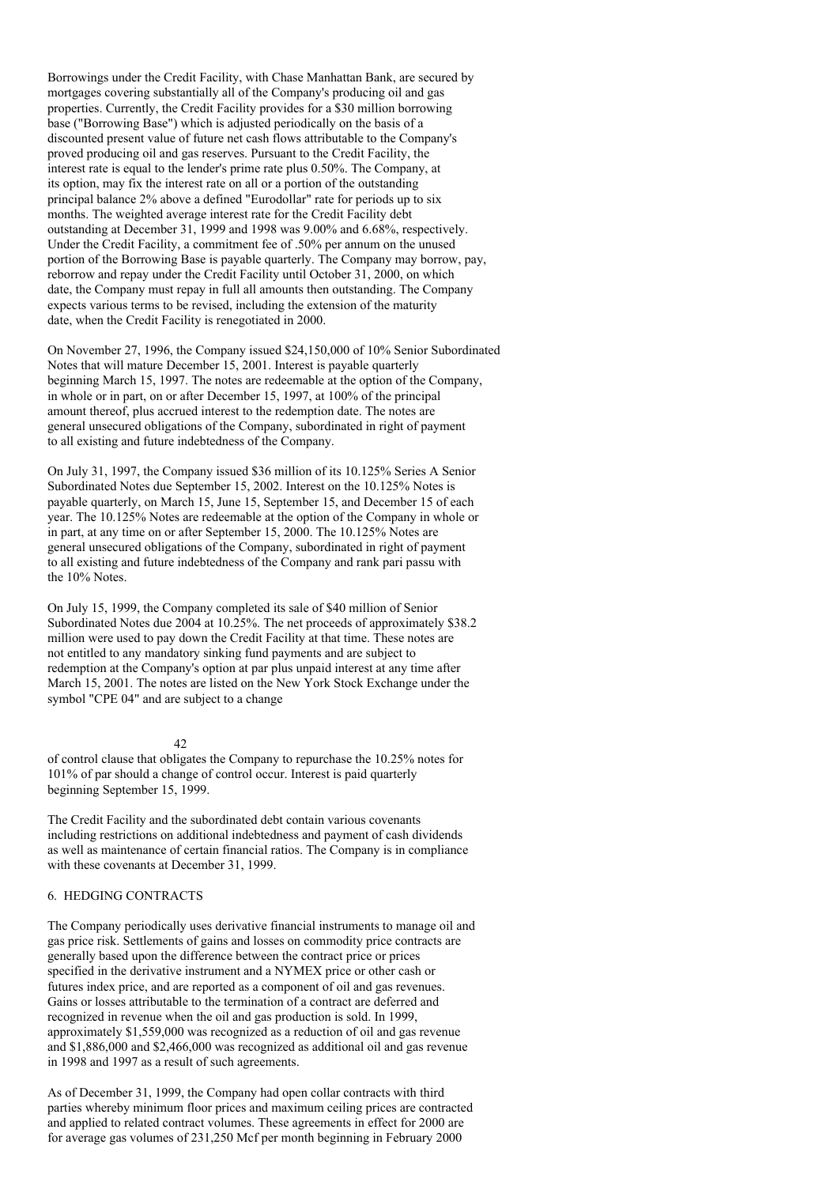Borrowings under the Credit Facility, with Chase Manhattan Bank, are secured by mortgages covering substantially all of the Company's producing oil and gas properties. Currently, the Credit Facility provides for a \$30 million borrowing base ("Borrowing Base") which is adjusted periodically on the basis of a discounted present value of future net cash flows attributable to the Company's proved producing oil and gas reserves. Pursuant to the Credit Facility, the interest rate is equal to the lender's prime rate plus 0.50%. The Company, at its option, may fix the interest rate on all or a portion of the outstanding principal balance 2% above a defined "Eurodollar" rate for periods up to six months. The weighted average interest rate for the Credit Facility debt outstanding at December 31, 1999 and 1998 was 9.00% and 6.68%, respectively. Under the Credit Facility, a commitment fee of .50% per annum on the unused portion of the Borrowing Base is payable quarterly. The Company may borrow, pay, reborrow and repay under the Credit Facility until October 31, 2000, on which date, the Company must repay in full all amounts then outstanding. The Company expects various terms to be revised, including the extension of the maturity date, when the Credit Facility is renegotiated in 2000.

On November 27, 1996, the Company issued \$24,150,000 of 10% Senior Subordinated Notes that will mature December 15, 2001. Interest is payable quarterly beginning March 15, 1997. The notes are redeemable at the option of the Company, in whole or in part, on or after December 15, 1997, at 100% of the principal amount thereof, plus accrued interest to the redemption date. The notes are general unsecured obligations of the Company, subordinated in right of payment to all existing and future indebtedness of the Company.

On July 31, 1997, the Company issued \$36 million of its 10.125% Series A Senior Subordinated Notes due September 15, 2002. Interest on the 10.125% Notes is payable quarterly, on March 15, June 15, September 15, and December 15 of each year. The 10.125% Notes are redeemable at the option of the Company in whole or in part, at any time on or after September 15, 2000. The 10.125% Notes are general unsecured obligations of the Company, subordinated in right of payment to all existing and future indebtedness of the Company and rank pari passu with the 10% Notes.

On July 15, 1999, the Company completed its sale of \$40 million of Senior Subordinated Notes due 2004 at 10.25%. The net proceeds of approximately \$38.2 million were used to pay down the Credit Facility at that time. These notes are not entitled to any mandatory sinking fund payments and are subject to redemption at the Company's option at par plus unpaid interest at any time after March 15, 2001. The notes are listed on the New York Stock Exchange under the symbol "CPE 04" and are subject to a change

#### 42

of control clause that obligates the Company to repurchase the 10.25% notes for 101% of par should a change of control occur. Interest is paid quarterly beginning September 15, 1999.

The Credit Facility and the subordinated debt contain various covenants including restrictions on additional indebtedness and payment of cash dividends as well as maintenance of certain financial ratios. The Company is in compliance with these covenants at December 31, 1999.

### 6. HEDGING CONTRACTS

The Company periodically uses derivative financial instruments to manage oil and gas price risk. Settlements of gains and losses on commodity price contracts are generally based upon the difference between the contract price or prices specified in the derivative instrument and a NYMEX price or other cash or futures index price, and are reported as a component of oil and gas revenues. Gains or losses attributable to the termination of a contract are deferred and recognized in revenue when the oil and gas production is sold. In 1999, approximately \$1,559,000 was recognized as a reduction of oil and gas revenue and \$1,886,000 and \$2,466,000 was recognized as additional oil and gas revenue in 1998 and 1997 as a result of such agreements.

As of December 31, 1999, the Company had open collar contracts with third parties whereby minimum floor prices and maximum ceiling prices are contracted and applied to related contract volumes. These agreements in effect for 2000 are for average gas volumes of 231,250 Mcf per month beginning in February 2000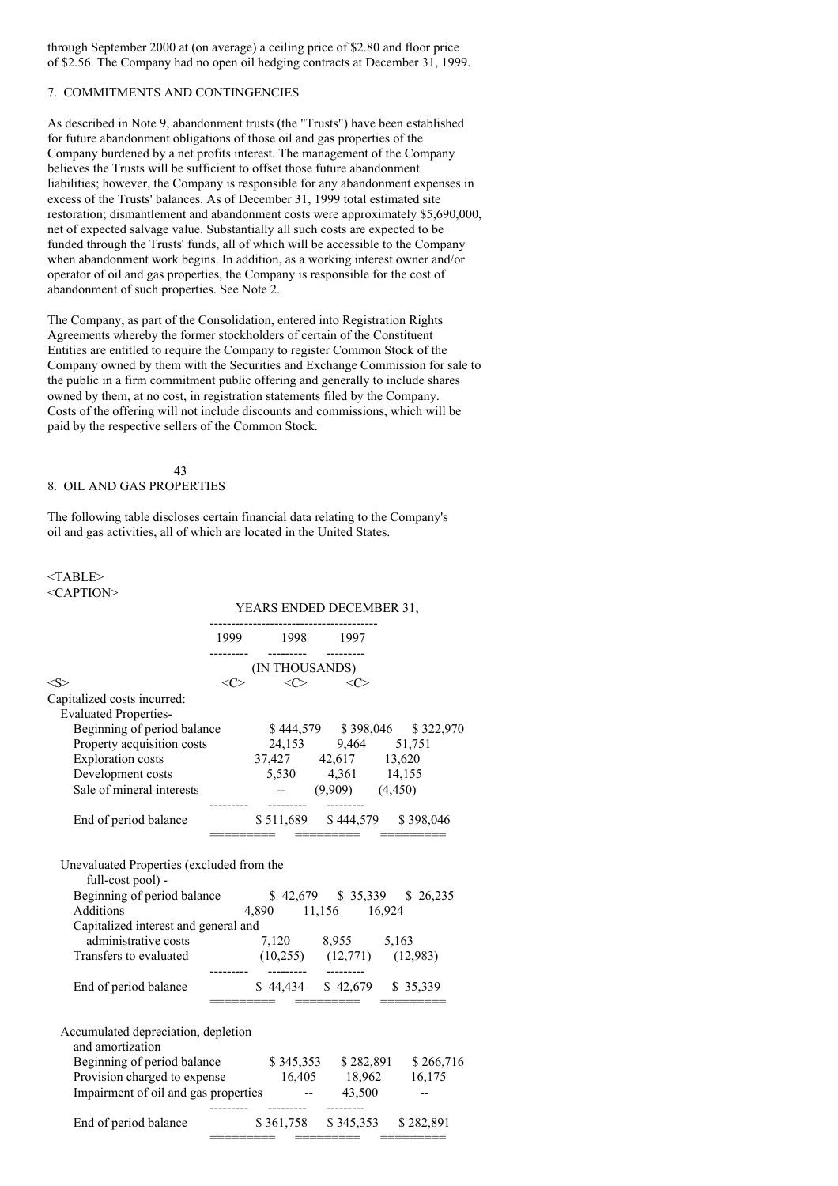through September 2000 at (on average) a ceiling price of \$2.80 and floor price of \$2.56. The Company had no open oil hedging contracts at December 31, 1999.

## 7. COMMITMENTS AND CONTINGENCIES

As described in Note 9, abandonment trusts (the "Trusts") have been established for future abandonment obligations of those oil and gas properties of the Company burdened by a net profits interest. The management of the Company believes the Trusts will be sufficient to offset those future abandonment liabilities; however, the Company is responsible for any abandonment expenses in excess of the Trusts' balances. As of December 31, 1999 total estimated site restoration; dismantlement and abandonment costs were approximately \$5,690,000, net of expected salvage value. Substantially all such costs are expected to be funded through the Trusts' funds, all of which will be accessible to the Company when abandonment work begins. In addition, as a working interest owner and/or operator of oil and gas properties, the Company is responsible for the cost of abandonment of such properties. See Note 2.

The Company, as part of the Consolidation, entered into Registration Rights Agreements whereby the former stockholders of certain of the Constituent Entities are entitled to require the Company to register Common Stock of the Company owned by them with the Securities and Exchange Commission for sale to the public in a firm commitment public offering and generally to include shares owned by them, at no cost, in registration statements filed by the Company. Costs of the offering will not include discounts and commissions, which will be paid by the respective sellers of the Common Stock.

#### 43 8. OIL AND GAS PROPERTIES

The following table discloses certain financial data relating to the Company's oil and gas activities, all of which are located in the United States.

#### <TABLE> <CAPTION>

|                                                                                                                                                                                                                                                                                                                                                                |               |                            | YEARS ENDED DECEMBER 31,                      |                                                             |  |
|----------------------------------------------------------------------------------------------------------------------------------------------------------------------------------------------------------------------------------------------------------------------------------------------------------------------------------------------------------------|---------------|----------------------------|-----------------------------------------------|-------------------------------------------------------------|--|
|                                                                                                                                                                                                                                                                                                                                                                |               | 1999 1998 1997             |                                               |                                                             |  |
|                                                                                                                                                                                                                                                                                                                                                                |               | (IN THOUSANDS)             |                                               |                                                             |  |
| < S >                                                                                                                                                                                                                                                                                                                                                          | $<\!\!C\!\!>$ |                            | $<$ $<$                                       |                                                             |  |
| Capitalized costs incurred:                                                                                                                                                                                                                                                                                                                                    |               |                            |                                               |                                                             |  |
| <b>Evaluated Properties-</b>                                                                                                                                                                                                                                                                                                                                   |               |                            |                                               |                                                             |  |
| Beginning of period balance \$444,579 \$398,046 \$322,970                                                                                                                                                                                                                                                                                                      |               |                            |                                               |                                                             |  |
| Property acquisition costs                                                                                                                                                                                                                                                                                                                                     |               |                            | $24,153$ 9,464 51,751<br>37,427 42,617 13,620 |                                                             |  |
| <b>Exploration</b> costs                                                                                                                                                                                                                                                                                                                                       |               |                            |                                               |                                                             |  |
| Development costs                                                                                                                                                                                                                                                                                                                                              |               |                            |                                               |                                                             |  |
| Development costs<br>Sale of mineral interests<br>5,530 4,361 14,155<br>(9,909) (4,450)                                                                                                                                                                                                                                                                        |               |                            |                                               |                                                             |  |
| End of period balance \$511,689 \$444,579 \$398,046                                                                                                                                                                                                                                                                                                            |               | -------- -------- -------- |                                               |                                                             |  |
| Beginning of period balance<br>Additions<br>$4,890$ 11,156 16,924<br>Capitalized interest and general and<br>administrative costs<br>ansfers to evaluated (10,255) (12,771) (12,983)<br>Transfers to evaluated                                                                                                                                                 |               | ---------                  |                                               |                                                             |  |
| End of period balance                                                                                                                                                                                                                                                                                                                                          |               |                            |                                               | \$44,434 \$42,679 \$35,339                                  |  |
| Accumulated depreciation, depletion<br>and amortization<br>Beginning of period balance \$345,353 \$282,891 \$266,716<br>Provision charged to expense<br>Inpairment of oil and gas properties<br>The expertis and the contract of oil and gas properties<br>The contract of the contract of oil and gas properties<br>The contract of contract of contract of c |               | ---------                  |                                               |                                                             |  |
| End of period balance                                                                                                                                                                                                                                                                                                                                          |               |                            |                                               | \$361,758 \$345,353 \$282,891<br>******* ********* ******** |  |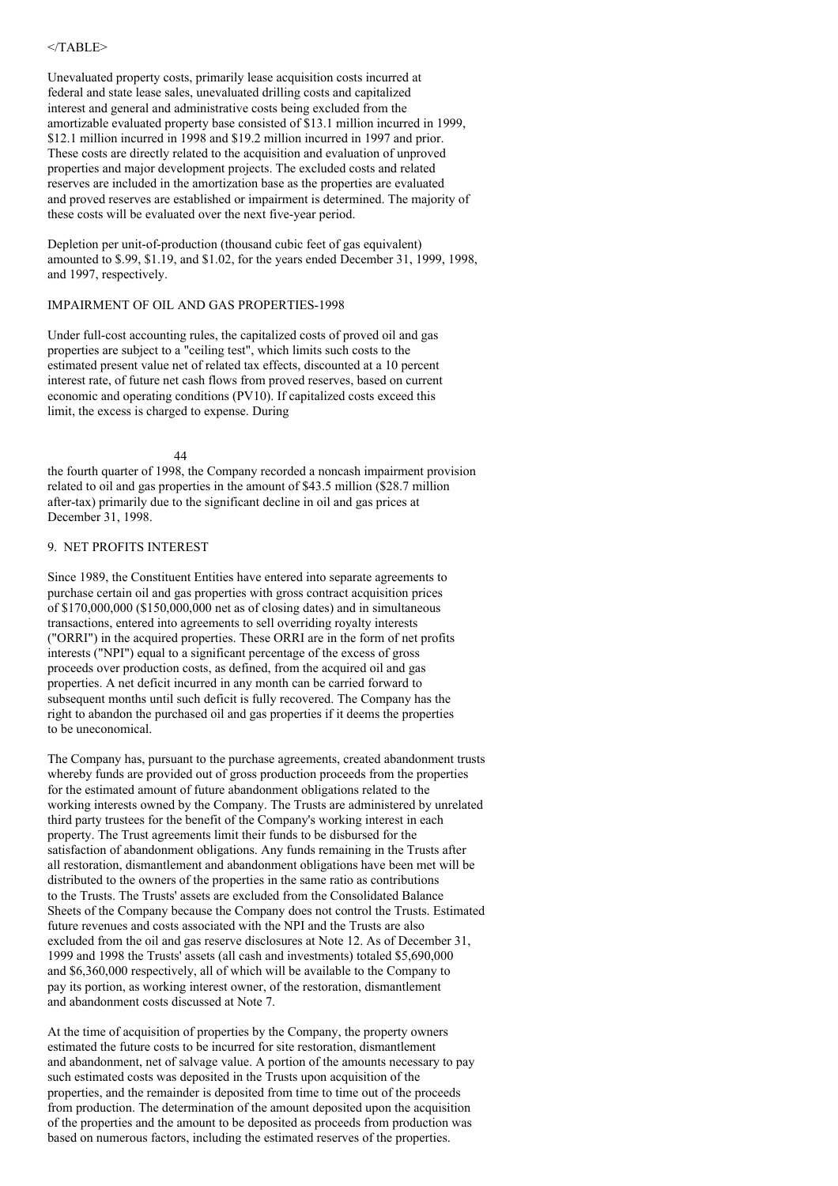### $<$ /TABLE>

Unevaluated property costs, primarily lease acquisition costs incurred at federal and state lease sales, unevaluated drilling costs and capitalized interest and general and administrative costs being excluded from the amortizable evaluated property base consisted of \$13.1 million incurred in 1999, \$12.1 million incurred in 1998 and \$19.2 million incurred in 1997 and prior. These costs are directly related to the acquisition and evaluation of unproved properties and major development projects. The excluded costs and related reserves are included in the amortization base as the properties are evaluated and proved reserves are established or impairment is determined. The majority of these costs will be evaluated over the next five-year period.

Depletion per unit-of-production (thousand cubic feet of gas equivalent) amounted to \$.99, \$1.19, and \$1.02, for the years ended December 31, 1999, 1998, and 1997, respectively.

### IMPAIRMENT OF OIL AND GAS PROPERTIES-1998

Under full-cost accounting rules, the capitalized costs of proved oil and gas properties are subject to a "ceiling test", which limits such costs to the estimated present value net of related tax effects, discounted at a 10 percent interest rate, of future net cash flows from proved reserves, based on current economic and operating conditions (PV10). If capitalized costs exceed this limit, the excess is charged to expense. During

44

the fourth quarter of 1998, the Company recorded a noncash impairment provision related to oil and gas properties in the amount of \$43.5 million (\$28.7 million after-tax) primarily due to the significant decline in oil and gas prices at December 31, 1998.

### 9. NET PROFITS INTEREST

Since 1989, the Constituent Entities have entered into separate agreements to purchase certain oil and gas properties with gross contract acquisition prices of \$170,000,000 (\$150,000,000 net as of closing dates) and in simultaneous transactions, entered into agreements to sell overriding royalty interests ("ORRI") in the acquired properties. These ORRI are in the form of net profits interests ("NPI") equal to a significant percentage of the excess of gross proceeds over production costs, as defined, from the acquired oil and gas properties. A net deficit incurred in any month can be carried forward to subsequent months until such deficit is fully recovered. The Company has the right to abandon the purchased oil and gas properties if it deems the properties to be uneconomical.

The Company has, pursuant to the purchase agreements, created abandonment trusts whereby funds are provided out of gross production proceeds from the properties for the estimated amount of future abandonment obligations related to the working interests owned by the Company. The Trusts are administered by unrelated third party trustees for the benefit of the Company's working interest in each property. The Trust agreements limit their funds to be disbursed for the satisfaction of abandonment obligations. Any funds remaining in the Trusts after all restoration, dismantlement and abandonment obligations have been met will be distributed to the owners of the properties in the same ratio as contributions to the Trusts. The Trusts' assets are excluded from the Consolidated Balance Sheets of the Company because the Company does not control the Trusts. Estimated future revenues and costs associated with the NPI and the Trusts are also excluded from the oil and gas reserve disclosures at Note 12. As of December 31, 1999 and 1998 the Trusts' assets (all cash and investments) totaled \$5,690,000 and \$6,360,000 respectively, all of which will be available to the Company to pay its portion, as working interest owner, of the restoration, dismantlement and abandonment costs discussed at Note 7.

At the time of acquisition of properties by the Company, the property owners estimated the future costs to be incurred for site restoration, dismantlement and abandonment, net of salvage value. A portion of the amounts necessary to pay such estimated costs was deposited in the Trusts upon acquisition of the properties, and the remainder is deposited from time to time out of the proceeds from production. The determination of the amount deposited upon the acquisition of the properties and the amount to be deposited as proceeds from production was based on numerous factors, including the estimated reserves of the properties.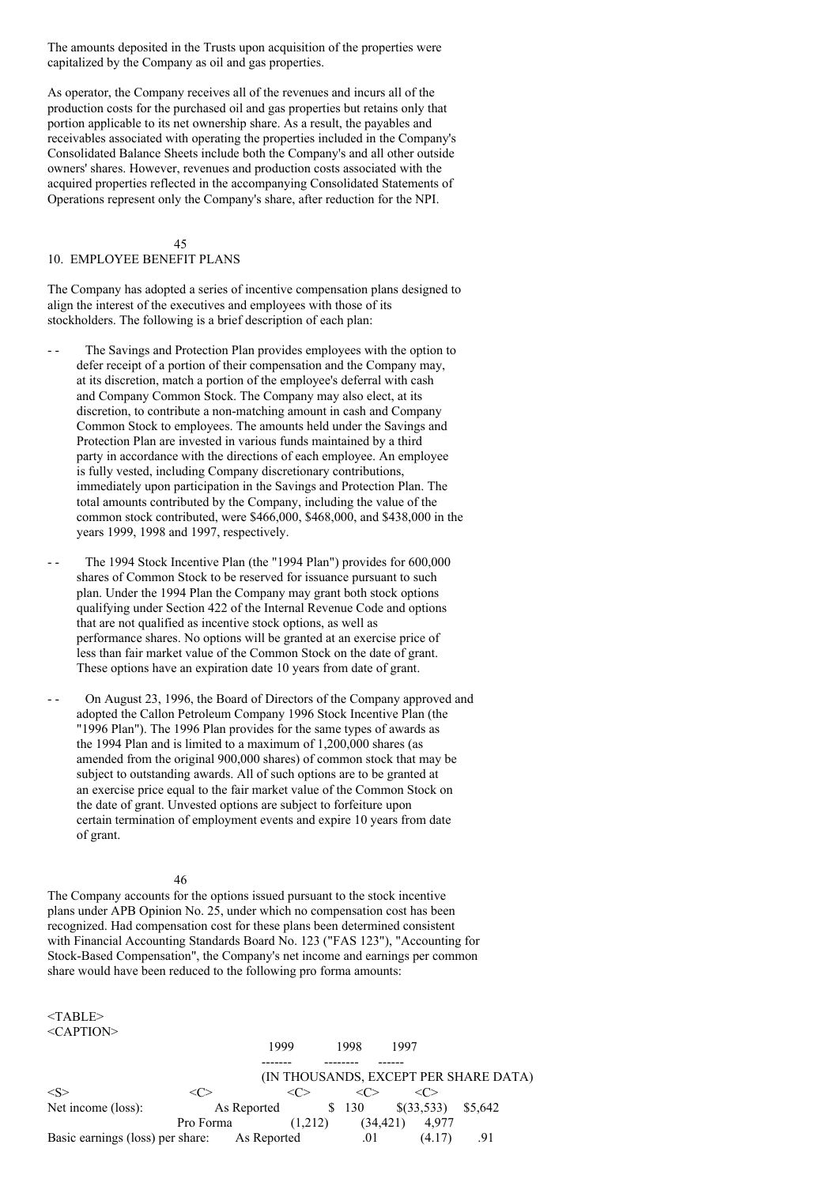The amounts deposited in the Trusts upon acquisition of the properties were capitalized by the Company as oil and gas properties.

As operator, the Company receives all of the revenues and incurs all of the production costs for the purchased oil and gas properties but retains only that portion applicable to its net ownership share. As a result, the payables and receivables associated with operating the properties included in the Company's Consolidated Balance Sheets include both the Company's and all other outside owners' shares. However, revenues and production costs associated with the acquired properties reflected in the accompanying Consolidated Statements of Operations represent only the Company's share, after reduction for the NPI.

 $\overline{45}$ 

### 10. EMPLOYEE BENEFIT PLANS

The Company has adopted a series of incentive compensation plans designed to align the interest of the executives and employees with those of its stockholders. The following is a brief description of each plan:

- -- The Savings and Protection Plan provides employees with the option to defer receipt of a portion of their compensation and the Company may, at its discretion, match a portion of the employee's deferral with cash and Company Common Stock. The Company may also elect, at its discretion, to contribute a non-matching amount in cash and Company Common Stock to employees. The amounts held under the Savings and Protection Plan are invested in various funds maintained by a third party in accordance with the directions of each employee. An employee is fully vested, including Company discretionary contributions, immediately upon participation in the Savings and Protection Plan. The total amounts contributed by the Company, including the value of the common stock contributed, were \$466,000, \$468,000, and \$438,000 in the years 1999, 1998 and 1997, respectively.
- - The 1994 Stock Incentive Plan (the "1994 Plan") provides for 600,000 shares of Common Stock to be reserved for issuance pursuant to such plan. Under the 1994 Plan the Company may grant both stock options qualifying under Section 422 of the Internal Revenue Code and options that are not qualified as incentive stock options, as well as performance shares. No options will be granted at an exercise price of less than fair market value of the Common Stock on the date of grant. These options have an expiration date 10 years from date of grant.
- On August 23, 1996, the Board of Directors of the Company approved and adopted the Callon Petroleum Company 1996 Stock Incentive Plan (the "1996 Plan"). The 1996 Plan provides for the same types of awards as the 1994 Plan and is limited to a maximum of 1,200,000 shares (as amended from the original 900,000 shares) of common stock that may be subject to outstanding awards. All of such options are to be granted at an exercise price equal to the fair market value of the Common Stock on the date of grant. Unvested options are subject to forfeiture upon certain termination of employment events and expire 10 years from date of grant.

#### 46

The Company accounts for the options issued pursuant to the stock incentive plans under APB Opinion No. 25, under which no compensation cost has been recognized. Had compensation cost for these plans been determined consistent with Financial Accounting Standards Board No. 123 ("FAS 123"), "Accounting for Stock-Based Compensation", the Company's net income and earnings per common share would have been reduced to the following pro forma amounts:

<TABLE> <CAPTION>

|                                              |           | 1999        |         | 1998      | 1997 |        |                                       |  |
|----------------------------------------------|-----------|-------------|---------|-----------|------|--------|---------------------------------------|--|
|                                              |           |             |         |           |      |        |                                       |  |
|                                              |           |             |         |           |      |        | (IN THOUSANDS, EXCEPT PER SHARE DATA) |  |
| $\langle S \rangle$                          | 7 C       |             |         |           |      |        |                                       |  |
| Net income (loss):                           |           | As Reported |         | \$ 130    |      |        | $\{(33,533)$ $\$5,642$                |  |
|                                              | Pro Forma |             | (1,212) | (34, 421) |      | 4.977  |                                       |  |
| Basic earnings (loss) per share: As Reported |           |             |         | .01       |      | (4.17) |                                       |  |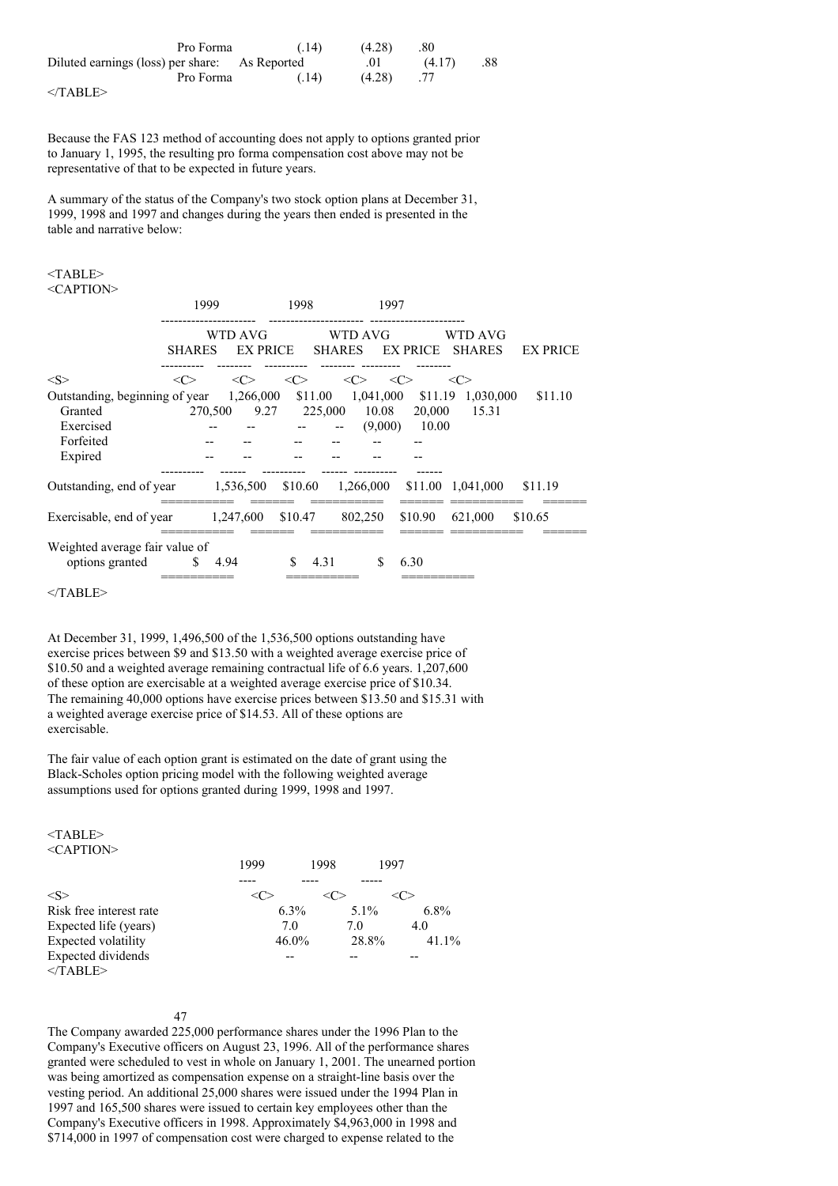| Pro Forma                                      | (.14) | (4.28) | .80    |     |
|------------------------------------------------|-------|--------|--------|-----|
| Diluted earnings (loss) per share: As Reported |       | .01    | (4.17) | .88 |
| Pro Forma                                      | (.14) | (4.28) |        |     |
|                                                |       |        |        |     |

 $<$ /TABLE>

Because the FAS 123 method of accounting does not apply to options granted prior to January 1, 1995, the resulting pro forma compensation cost above may not be representative of that to be expected in future years.

A summary of the status of the Company's two stock option plans at December 31, 1999, 1998 and 1997 and changes during the years then ended is presented in the table and narrative below:

# $<$ TABLE $>$

<CAPTION>

|                                                                                | 1999               |                      | 1998                | 1997                     |                 |                          |                 |
|--------------------------------------------------------------------------------|--------------------|----------------------|---------------------|--------------------------|-----------------|--------------------------|-----------------|
|                                                                                | <b>SHARES</b>      | WTD AVG<br>EX PRICE  |                     | WTD AVG<br><b>SHARES</b> | EX PRICE        | WTD AVG<br><b>SHARES</b> | <b>EX PRICE</b> |
| < S >                                                                          | <<>                | <<>                  | $\langle C \rangle$ | <<>                      | <<>             | $<\!\!C\!\!>$            |                 |
| Outstanding, beginning of year                                                 |                    | 1,266,000            | \$11.00             | 1,041,000                | \$11.19         | 1,030,000                | \$11.10         |
| Granted                                                                        |                    | 270,500 9.27 225,000 |                     | 10.08                    | 20,000          | 15.31                    |                 |
| Exercised                                                                      |                    |                      |                     | $\overline{\phantom{a}}$ | $(9,000)$ 10.00 |                          |                 |
| Forfeited                                                                      |                    |                      |                     |                          |                 |                          |                 |
| Expired                                                                        |                    |                      |                     |                          |                 |                          |                 |
|                                                                                |                    |                      |                     |                          |                 |                          |                 |
| Outstanding, end of year 1,536,500 \$10.60 1,266,000 \$11.00 1,041,000 \$11.19 |                    |                      |                     |                          |                 |                          |                 |
|                                                                                |                    |                      |                     |                          |                 |                          |                 |
| Exercisable, end of year                                                       | 1,247,600 \$10.47  |                      |                     | 802,250                  | \$10.90         | 621,000                  | \$10.65         |
| Weighted average fair value of<br>options granted                              | $\frac{1}{2}$ 4.94 |                      | \$.<br>4.31         | \$.                      | 6.30            |                          |                 |

 $<$ /TABLE>

At December 31, 1999, 1,496,500 of the 1,536,500 options outstanding have exercise prices between \$9 and \$13.50 with a weighted average exercise price of \$10.50 and a weighted average remaining contractual life of 6.6 years. 1,207,600 of these option are exercisable at a weighted average exercise price of \$10.34. The remaining 40,000 options have exercise prices between \$13.50 and \$15.31 with a weighted average exercise price of \$14.53. All of these options are exercisable.

The fair value of each option grant is estimated on the date of grant using the Black-Scholes option pricing model with the following weighted average assumptions used for options granted during 1999, 1998 and 1997.

<TABLE>  $\langle C \Delta P T I \Omega N \rangle$ 

| $\sim$ 11 $\sim$                                      |      |          |         |          |
|-------------------------------------------------------|------|----------|---------|----------|
|                                                       | 1999 | 1998     | 1997    |          |
|                                                       |      |          |         |          |
| <s:< td=""><td></td><td></td><td></td><td></td></s:<> |      |          |         |          |
| Risk free interest rate                               |      | $6.3\%$  | $5.1\%$ | $6.8\%$  |
| Expected life (years)                                 |      | 7.0      | 7.0     | 4.0      |
| <b>Expected volatility</b>                            |      | $46.0\%$ | 28.8%   | $41.1\%$ |
| Expected dividends                                    |      |          |         |          |
| $<$ /TABLE>                                           |      |          |         |          |
|                                                       |      |          |         |          |

#### 47

The Company awarded 225,000 performance shares under the 1996 Plan to the Company's Executive officers on August 23, 1996. All of the performance shares granted were scheduled to vest in whole on January 1, 2001. The unearned portion was being amortized as compensation expense on a straight-line basis over the vesting period. An additional 25,000 shares were issued under the 1994 Plan in 1997 and 165,500 shares were issued to certain key employees other than the Company's Executive officers in 1998. Approximately \$4,963,000 in 1998 and \$714,000 in 1997 of compensation cost were charged to expense related to the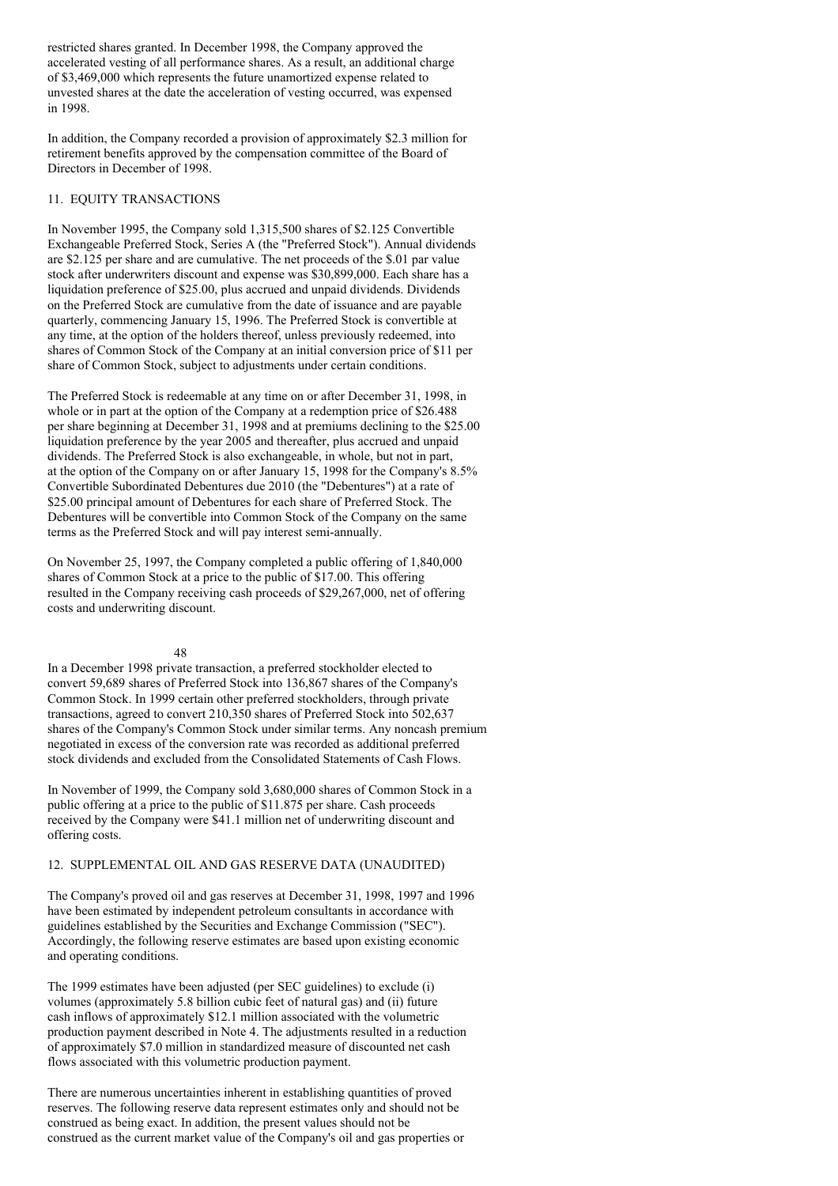restricted shares granted. In December 1998, the Company approved the accelerated vesting of all performance shares. As a result, an additional charge of \$3,469,000 which represents the future unamortized expense related to unvested shares at the date the acceleration of vesting occurred, was expensed in 1998.

In addition, the Company recorded a provision of approximately \$2.3 million for retirement benefits approved by the compensation committee of the Board of Directors in December of 1998.

#### 11. EQUITY TRANSACTIONS

In November 1995, the Company sold 1,315,500 shares of \$2.125 Convertible Exchangeable Preferred Stock, Series A (the "Preferred Stock"). Annual dividends are \$2.125 per share and are cumulative. The net proceeds of the \$.01 par value stock after underwriters discount and expense was \$30,899,000. Each share has a liquidation preference of \$25.00, plus accrued and unpaid dividends. Dividends on the Preferred Stock are cumulative from the date of issuance and are payable quarterly, commencing January 15, 1996. The Preferred Stock is convertible at any time, at the option of the holders thereof, unless previously redeemed, into shares of Common Stock of the Company at an initial conversion price of \$11 per share of Common Stock, subject to adjustments under certain conditions.

The Preferred Stock is redeemable at any time on or after December 31, 1998, in whole or in part at the option of the Company at a redemption price of \$26.488 per share beginning at December 31, 1998 and at premiums declining to the \$25.00 liquidation preference by the year 2005 and thereafter, plus accrued and unpaid dividends. The Preferred Stock is also exchangeable, in whole, but not in part, at the option of the Company on or after January 15, 1998 for the Company's 8.5% Convertible Subordinated Debentures due 2010 (the "Debentures") at a rate of \$25.00 principal amount of Debentures for each share of Preferred Stock. The Debentures will be convertible into Common Stock of the Company on the same terms as the Preferred Stock and will pay interest semi-annually.

On November 25, 1997, the Company completed a public offering of 1,840,000 shares of Common Stock at a price to the public of \$17.00. This offering resulted in the Company receiving cash proceeds of \$29,267,000, net of offering costs and underwriting discount.

#### 48

In a December 1998 private transaction, a preferred stockholder elected to convert 59,689 shares of Preferred Stock into 136,867 shares of the Company's Common Stock. In 1999 certain other preferred stockholders, through private transactions, agreed to convert 210,350 shares of Preferred Stock into 502,637 shares of the Company's Common Stock under similar terms. Any noncash premium negotiated in excess of the conversion rate was recorded as additional preferred stock dividends and excluded from the Consolidated Statements of Cash Flows.

In November of 1999, the Company sold 3,680,000 shares of Common Stock in a public offering at a price to the public of \$11.875 per share. Cash proceeds received by the Company were \$41.1 million net of underwriting discount and offering costs.

### 12. SUPPLEMENTAL OIL AND GAS RESERVE DATA (UNAUDITED)

The Company's proved oil and gas reserves at December 31, 1998, 1997 and 1996 have been estimated by independent petroleum consultants in accordance with guidelines established by the Securities and Exchange Commission ("SEC"). Accordingly, the following reserve estimates are based upon existing economic and operating conditions.

The 1999 estimates have been adjusted (per SEC guidelines) to exclude (i) volumes (approximately 5.8 billion cubic feet of natural gas) and (ii) future cash inflows of approximately \$12.1 million associated with the volumetric production payment described in Note 4. The adjustments resulted in a reduction of approximately \$7.0 million in standardized measure of discounted net cash flows associated with this volumetric production payment.

There are numerous uncertainties inherent in establishing quantities of proved reserves. The following reserve data represent estimates only and should not be construed as being exact. In addition, the present values should not be construed as the current market value of the Company's oil and gas properties or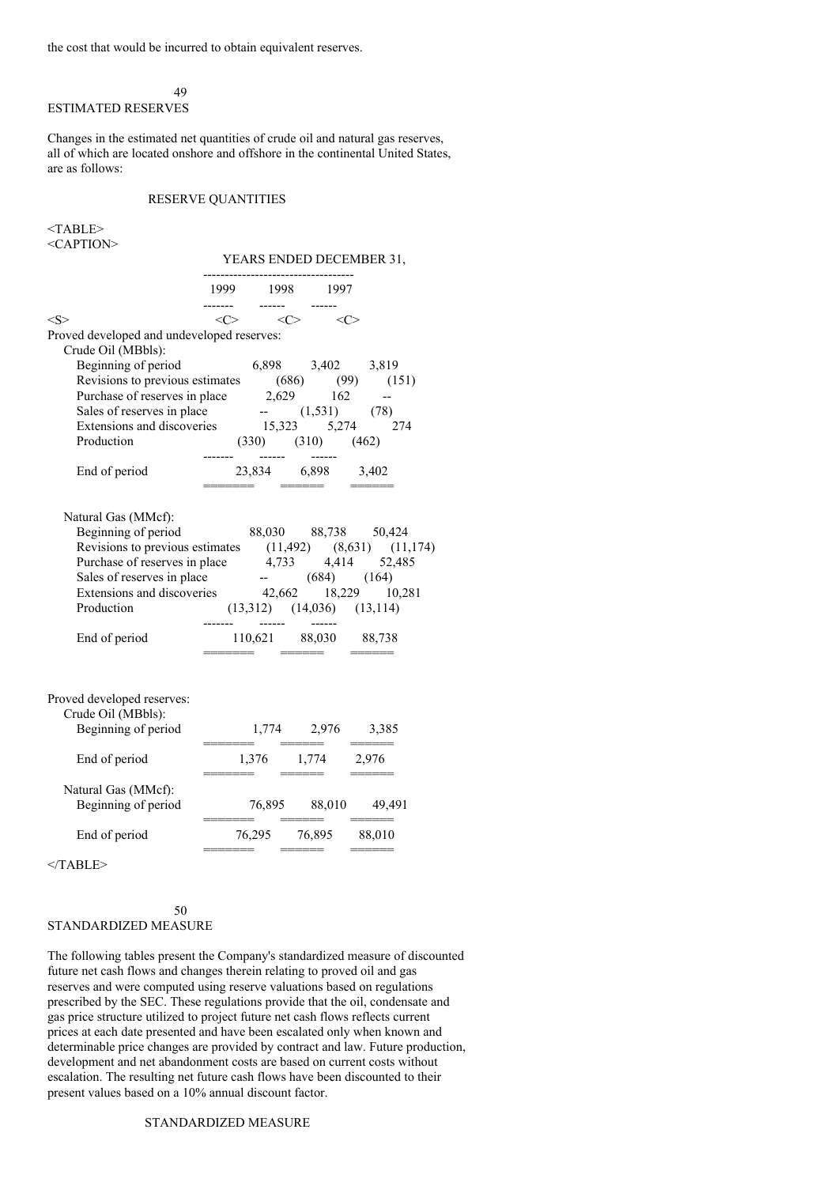the cost that would be incurred to obtain equivalent reserves.

49

# ESTIMATED RESERVES

Changes in the estimated net quantities of crude oil and natural gas reserves, all of which are located onshore and offshore in the continental United States, are as follows:

### RESERVE QUANTITIES

<TABLE> <CAPTION>

#### YEARS ENDED DECEMBER 31,

|                                                                                                                                                                                                                                                                                                                                                                                                                                                                                                                          |  | ------------------------<br>1999 1998 1997                   |                      |
|--------------------------------------------------------------------------------------------------------------------------------------------------------------------------------------------------------------------------------------------------------------------------------------------------------------------------------------------------------------------------------------------------------------------------------------------------------------------------------------------------------------------------|--|--------------------------------------------------------------|----------------------|
| $<\!\!S\!\!>$                                                                                                                                                                                                                                                                                                                                                                                                                                                                                                            |  | $\langle C \rangle$ $\langle C \rangle$ $\langle C \rangle$  |                      |
| Proved developed and undeveloped reserves:<br>Crude Oil (MBbls):                                                                                                                                                                                                                                                                                                                                                                                                                                                         |  |                                                              |                      |
| rude Oil (MBbls):<br>Beginning of period 6,898 3,402 3,819<br>Revisions to previous estimates (686) (99) (151)<br>Purchase of reserves in place 2,629 162 --<br>Sales of reserves in place -- (1,531) (78)<br>Extensions and discoveries                                                                                                                                                                                                                                                                                 |  |                                                              |                      |
|                                                                                                                                                                                                                                                                                                                                                                                                                                                                                                                          |  | $(330)$ $(310)$ $(462)$                                      |                      |
| Production<br>$\begin{array}{ccc}\n & & & \\ & & & \\ & & & \\ & & & \\ \hline\n& & & & \\ & & & \\ & & & \\ \hline\n& & & & \\ & & & \\ & & & & \\ \hline\n& & & & \\ & & & & \\ & & & & \\ & & & & \\ \hline\n& & & & \\ & & & & \\ & & & & \\ & & & & \\ & & & & \\ & & & & \\ \hline\n& & & & & \\ & & & & \\ & & & & & \\ \hline\n& & & & & \\ & & & & & \\ & & & & & \\ & & & & & \\ & & & & & \\ \hline\n& & & & & \\ & & & & & \\ & & & & & \\ \hline\n& & & & & & \\ & & &$<br>End of period 23,834 6,898 3,402 |  | ======= ====== ======                                        |                      |
| Natural Gas (MMcf):<br>Beginning of period 88,030 88,738 50,424<br>Revisions to previous estimates $(11,492)$ $(8,631)$ $(11,174)$<br>Purchase of reserves in place $4,733$ $4,414$ $52,485$<br>Sales of reserves in place $(684)$ $(164)$<br>Extensions and discoveries $42,662$ $18,229$ $10,281$<br>Production (13,312) (14,036) (13,114)                                                                                                                                                                             |  |                                                              |                      |
| End of period<br>$\begin{array}{ccc}\n & 110,621 & 88,030 & 88,738 \\  & & 110,621 & 88,030 & 88,738 \\  & & & \n\end{array}$                                                                                                                                                                                                                                                                                                                                                                                            |  |                                                              |                      |
| Proved developed reserves:<br>Crude Oil (MBbls):<br>Beginning of period                                                                                                                                                                                                                                                                                                                                                                                                                                                  |  | $\frac{1,774}{\text{}}$ 2,976 3,385                          |                      |
| End of period                                                                                                                                                                                                                                                                                                                                                                                                                                                                                                            |  |                                                              |                      |
| Natural Gas (MMcf):<br>Beginning of period                                                                                                                                                                                                                                                                                                                                                                                                                                                                               |  | =======        ======         ======                         | 76,895 88,010 49,491 |
| End of period                                                                                                                                                                                                                                                                                                                                                                                                                                                                                                            |  | 76,295 76,895 88,010<br>=======        ======         ====== |                      |
| $<$ /TABLE>                                                                                                                                                                                                                                                                                                                                                                                                                                                                                                              |  |                                                              |                      |

#### 50 STANDARDIZED MEASURE

The following tables present the Company's standardized measure of discounted future net cash flows and changes therein relating to proved oil and gas reserves and were computed using reserve valuations based on regulations prescribed by the SEC. These regulations provide that the oil, condensate and gas price structure utilized to project future net cash flows reflects current prices at each date presented and have been escalated only when known and determinable price changes are provided by contract and law. Future production, development and net abandonment costs are based on current costs without escalation. The resulting net future cash flows have been discounted to their present values based on a 10% annual discount factor.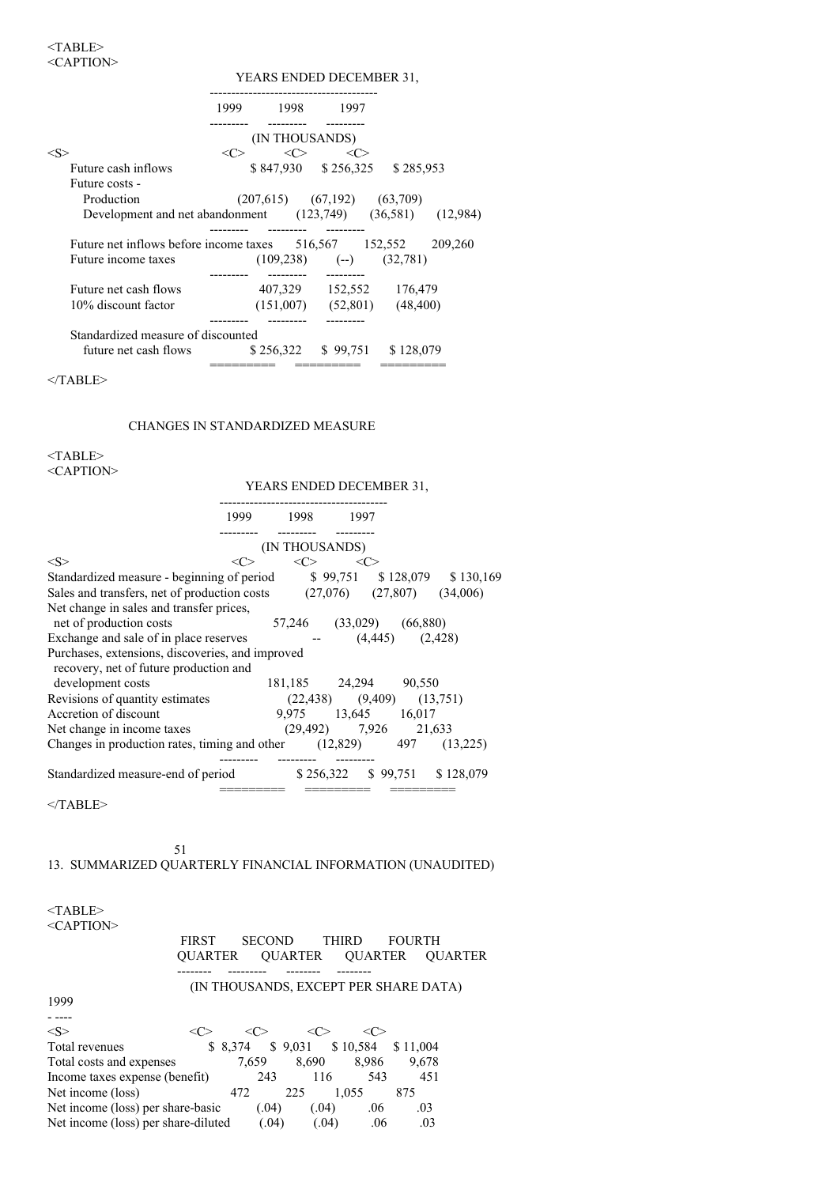|                                                                | YEARS ENDED DECEMBER 31, |                |                                         |                                   |  |  |
|----------------------------------------------------------------|--------------------------|----------------|-----------------------------------------|-----------------------------------|--|--|
|                                                                |                          | 1999 1998 1997 |                                         |                                   |  |  |
|                                                                |                          | (IN THOUSANDS) |                                         |                                   |  |  |
| $<\!\!S\!\!>$                                                  | <<>                      |                | $\langle C \rangle$ $\langle C \rangle$ |                                   |  |  |
| Future cash inflows                                            |                          |                |                                         | \$847,930 \$256,325 \$285,953     |  |  |
| Future costs -                                                 |                          |                |                                         |                                   |  |  |
| Production                                                     |                          |                | $(207,615)$ $(67,192)$ $(63,709)$       |                                   |  |  |
| Development and net abandonment (123,749) (36,581) (12,984)    |                          |                |                                         |                                   |  |  |
| Future net inflows before income taxes 516,567 152,552 209,260 |                          |                |                                         |                                   |  |  |
| Future income taxes                                            |                          |                | $(109,238)$ $(-)$ $(32,781)$            |                                   |  |  |
| Future net cash flows                                          |                          |                |                                         | 407,329 152,552 176,479           |  |  |
| 10% discount factor                                            |                          |                |                                         | $(151,007)$ $(52,801)$ $(48,400)$ |  |  |
| Standardized measure of discounted                             |                          |                |                                         |                                   |  |  |
| future net cash flows \$256,322 \$99,751 \$128,079             |                          |                |                                         |                                   |  |  |
|                                                                |                          |                |                                         |                                   |  |  |

 $<$ /TABLE>

## CHANGES IN STANDARDIZED MEASURE

<TABLE>

<CAPTION>

|                                                                                            | 1999 1998 1997                  |                             |    |                                 |
|--------------------------------------------------------------------------------------------|---------------------------------|-----------------------------|----|---------------------------------|
|                                                                                            |                                 | (IN THOUSANDS)              |    |                                 |
| <s></s>                                                                                    | <c></c>                         | $\langle C \rangle$         | << |                                 |
| Standardized measure - beginning of period \$99,751 \$128,079 \$130,169                    |                                 |                             |    |                                 |
| Sales and transfers, net of production costs $(27,076)$ $(27,807)$ $(34,006)$              |                                 |                             |    |                                 |
| Net change in sales and transfer prices,                                                   |                                 |                             |    |                                 |
| net of production costs                                                                    |                                 | 57,246 (33,029) (66,880)    |    |                                 |
| Exchange and sale of in place reserves                                                     |                                 | $ (4,445)$ $(2,428)$        |    |                                 |
| Purchases, extensions, discoveries, and improved<br>recovery, net of future production and |                                 |                             |    |                                 |
| development costs                                                                          |                                 | 181,185 24,294 90,550       |    |                                 |
| Revisions of quantity estimates                                                            | $(22,438)$ $(9,409)$ $(13,751)$ |                             |    |                                 |
| Accretion of discount                                                                      |                                 | 9,975 13,645 16,017         |    |                                 |
| Net change in income taxes                                                                 |                                 | $(29,492)$ $7,926$ $21,633$ |    |                                 |
| Changes in production rates, timing and other $(12,829)$ 497 $(13,225)$                    |                                 |                             |    |                                 |
| Standardized measure-end of period                                                         |                                 |                             |    | $$256,322$ $$99,751$ $$128,079$ |
|                                                                                            |                                 |                             |    |                                 |

 $<$  /TABLE>  $\,$ 

51

# 13. SUMMARIZED QUARTERLY FINANCIAL INFORMATION (UNAUDITED)

| $<$ TABLE>                          |                |               |         |                              |                                       |                |
|-------------------------------------|----------------|---------------|---------|------------------------------|---------------------------------------|----------------|
| $<$ CAPTION $>$                     |                |               |         |                              |                                       |                |
|                                     | <b>FIRST</b>   | <b>SECOND</b> |         | <b>THIRD</b>                 | <b>FOURTH</b>                         |                |
|                                     | <b>OUARTER</b> |               | OUARTER | <b>OUARTER</b>               |                                       | <b>OUARTER</b> |
|                                     |                |               |         |                              | (IN THOUSANDS, EXCEPT PER SHARE DATA) |                |
| 1999                                |                |               |         |                              |                                       |                |
|                                     |                |               |         |                              |                                       |                |
| < S >                               | <c></c>        | <c></c>       | <c></c> | <c></c>                      |                                       |                |
| Total revenues                      |                | \$8.374       |         | $$9,031$ $$10,584$ $$11,004$ |                                       |                |
| Total costs and expenses            |                | 7.659         | 8,690   | 8,986                        | 9,678                                 |                |
| Income taxes expense (benefit)      |                | 243           | 116     | 543                          | 451                                   |                |
| Net income (loss)                   |                | 472           | 225     | 1.055                        | 875                                   |                |
| Net income (loss) per share-basic   |                | (.04)         | (.04)   | .06                          | .03                                   |                |
| Net income (loss) per share-diluted |                | (.04)         | (.04)   | .06                          | .03                                   |                |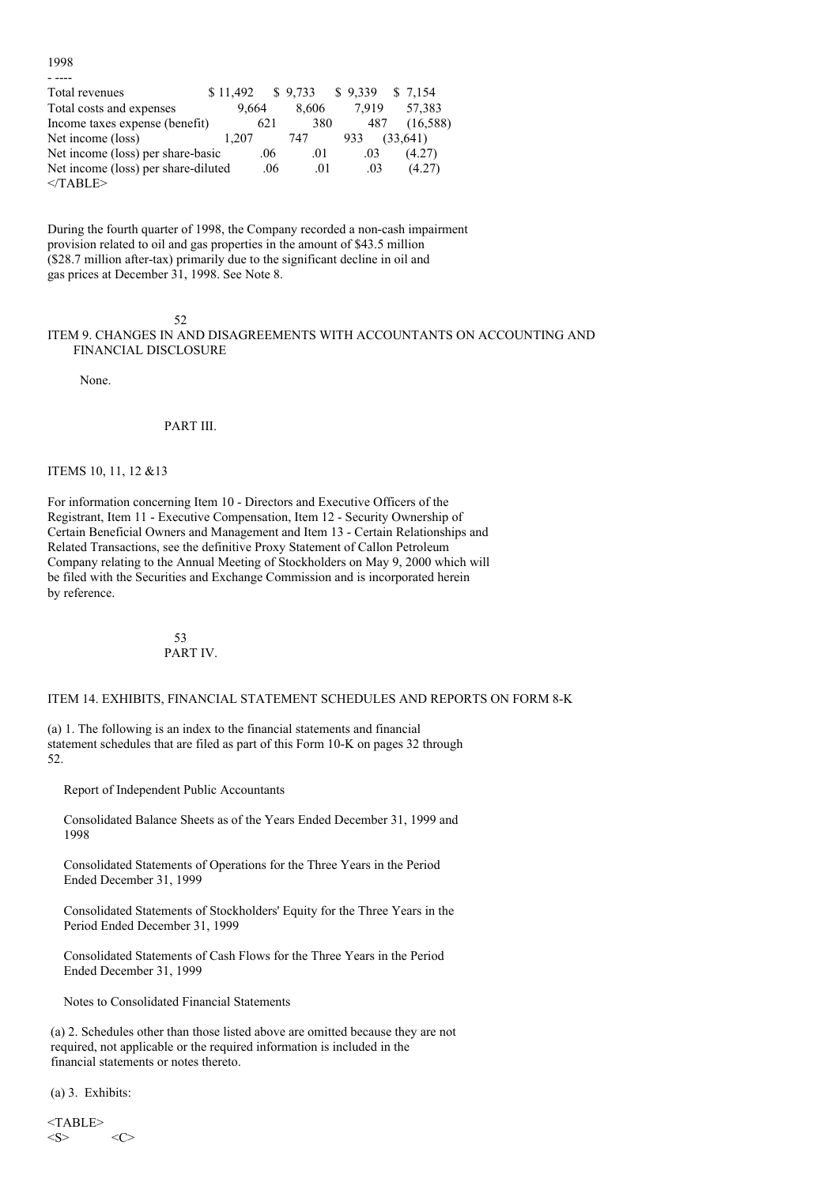1998 - ----

| Total revenues                      | \$11.492 |     | \$9,733 | \$9,339 | \$ 7.154 |
|-------------------------------------|----------|-----|---------|---------|----------|
| Total costs and expenses            | 9.664    |     | 8.606   | 7.919   | 57.383   |
| Income taxes expense (benefit)      |          | 621 | 380     | 487     | (16,588) |
| Net income (loss)                   | 1.207    |     | 747     | 933     | (33,641) |
| Net income (loss) per share-basic   |          | .06 | .01     | .03     | (4.27)   |
| Net income (loss) per share-diluted |          | .06 | .01     | .03     | (4.27)   |
| $<$ TABLE>                          |          |     |         |         |          |

During the fourth quarter of 1998, the Company recorded a non-cash impairment provision related to oil and gas properties in the amount of \$43.5 million (\$28.7 million after-tax) primarily due to the significant decline in oil and gas prices at December 31, 1998. See Note 8.

#### 52

ITEM 9. CHANGES IN AND DISAGREEMENTS WITH ACCOUNTANTS ON ACCOUNTING AND FINANCIAL DISCLOSURE

None.

PART III.

ITEMS 10, 11, 12 &13

For information concerning Item 10 - Directors and Executive Officers of the Registrant, Item 11 - Executive Compensation, Item 12 - Security Ownership of Certain Beneficial Owners and Management and Item 13 - Certain Relationships and Related Transactions, see the definitive Proxy Statement of Callon Petroleum Company relating to the Annual Meeting of Stockholders on May 9, 2000 which will be filed with the Securities and Exchange Commission and is incorporated herein by reference.

## 53 PART IV.

ITEM 14. EXHIBITS, FINANCIAL STATEMENT SCHEDULES AND REPORTS ON FORM 8-K

(a) 1. The following is an index to the financial statements and financial statement schedules that are filed as part of this Form 10-K on pages 32 through 52.

Report of Independent Public Accountants

Consolidated Balance Sheets as of the Years Ended December 31, 1999 and 1998

Consolidated Statements of Operations for the Three Years in the Period Ended December 31, 1999

Consolidated Statements of Stockholders' Equity for the Three Years in the Period Ended December 31, 1999

Consolidated Statements of Cash Flows for the Three Years in the Period Ended December 31, 1999

Notes to Consolidated Financial Statements

(a) 2. Schedules other than those listed above are omitted because they are not required, not applicable or the required information is included in the financial statements or notes thereto.

(a) 3. Exhibits:

<TABLE>  $\langle S \rangle$   $\langle C \rangle$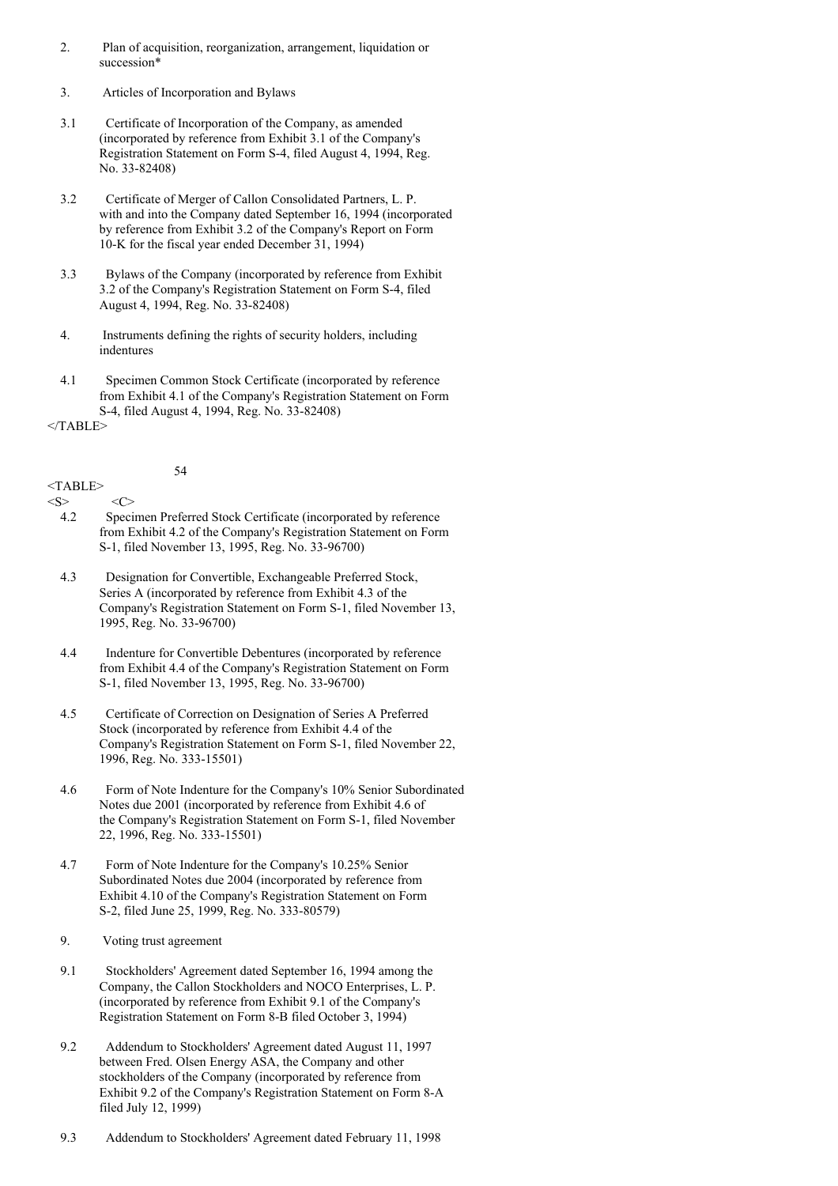- 2. Plan of acquisition, reorganization, arrangement, liquidation or succession\*
- 3. Articles of Incorporation and Bylaws
- 3.1 Certificate of Incorporation of the Company, as amended (incorporated by reference from Exhibit 3.1 of the Company's Registration Statement on Form S-4, filed August 4, 1994, Reg. No. 33-82408)
- 3.2 Certificate of Merger of Callon Consolidated Partners, L. P. with and into the Company dated September 16, 1994 (incorporated by reference from Exhibit 3.2 of the Company's Report on Form 10-K for the fiscal year ended December 31, 1994)
- 3.3 Bylaws of the Company (incorporated by reference from Exhibit 3.2 of the Company's Registration Statement on Form S-4, filed August 4, 1994, Reg. No. 33-82408)
- 4. Instruments defining the rights of security holders, including indentures
- 4.1 Specimen Common Stock Certificate (incorporated by reference from Exhibit 4.1 of the Company's Registration Statement on Form S-4, filed August 4, 1994, Reg. No. 33-82408)

 $<$ /TABLE>

54

## <TABLE>

 $\langle S \rangle$   $\langle C \rangle$ 

- 4.2 Specimen Preferred Stock Certificate (incorporated by reference from Exhibit 4.2 of the Company's Registration Statement on Form S-1, filed November 13, 1995, Reg. No. 33-96700)
- 4.3 Designation for Convertible, Exchangeable Preferred Stock, Series A (incorporated by reference from Exhibit 4.3 of the Company's Registration Statement on Form S-1, filed November 13, 1995, Reg. No. 33-96700)
- 4.4 Indenture for Convertible Debentures (incorporated by reference from Exhibit 4.4 of the Company's Registration Statement on Form S-1, filed November 13, 1995, Reg. No. 33-96700)
- 4.5 Certificate of Correction on Designation of Series A Preferred Stock (incorporated by reference from Exhibit 4.4 of the Company's Registration Statement on Form S-1, filed November 22, 1996, Reg. No. 333-15501)
- 4.6 Form of Note Indenture for the Company's 10% Senior Subordinated Notes due 2001 (incorporated by reference from Exhibit 4.6 of the Company's Registration Statement on Form S-1, filed November 22, 1996, Reg. No. 333-15501)
- 4.7 Form of Note Indenture for the Company's 10.25% Senior Subordinated Notes due 2004 (incorporated by reference from Exhibit 4.10 of the Company's Registration Statement on Form S-2, filed June 25, 1999, Reg. No. 333-80579)
- 9. Voting trust agreement
- 9.1 Stockholders' Agreement dated September 16, 1994 among the Company, the Callon Stockholders and NOCO Enterprises, L. P. (incorporated by reference from Exhibit 9.1 of the Company's Registration Statement on Form 8-B filed October 3, 1994)
- 9.2 Addendum to Stockholders' Agreement dated August 11, 1997 between Fred. Olsen Energy ASA, the Company and other stockholders of the Company (incorporated by reference from Exhibit 9.2 of the Company's Registration Statement on Form 8-A filed July 12, 1999)
- 9.3 Addendum to Stockholders' Agreement dated February 11, 1998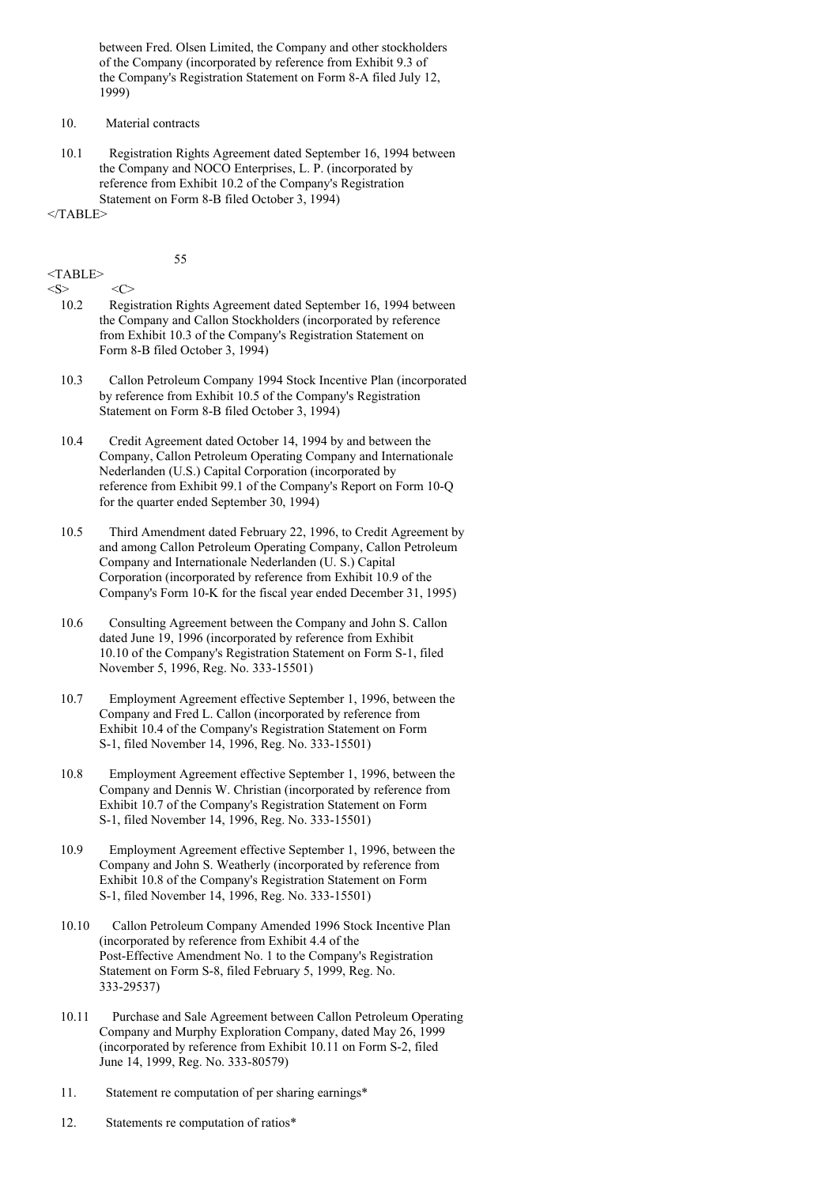between Fred. Olsen Limited, the Company and other stockholders of the Company (incorporated by reference from Exhibit 9.3 of the Company's Registration Statement on Form 8-A filed July 12, 1999)

- 10. Material contracts
- 10.1 Registration Rights Agreement dated September 16, 1994 between the Company and NOCO Enterprises, L. P. (incorporated by reference from Exhibit 10.2 of the Company's Registration Statement on Form 8-B filed October 3, 1994)

 $<$ /TABLE>

#### 55

# <TABLE>

 $\langle S \rangle$   $\langle C \rangle$ 

- 10.2 Registration Rights Agreement dated September 16, 1994 between the Company and Callon Stockholders (incorporated by reference from Exhibit 10.3 of the Company's Registration Statement on Form 8-B filed October 3, 1994)
- 10.3 Callon Petroleum Company 1994 Stock Incentive Plan (incorporated by reference from Exhibit 10.5 of the Company's Registration Statement on Form 8-B filed October 3, 1994)
- 10.4 Credit Agreement dated October 14, 1994 by and between the Company, Callon Petroleum Operating Company and Internationale Nederlanden (U.S.) Capital Corporation (incorporated by reference from Exhibit 99.1 of the Company's Report on Form 10-Q for the quarter ended September 30, 1994)
- 10.5 Third Amendment dated February 22, 1996, to Credit Agreement by and among Callon Petroleum Operating Company, Callon Petroleum Company and Internationale Nederlanden (U. S.) Capital Corporation (incorporated by reference from Exhibit 10.9 of the Company's Form 10-K for the fiscal year ended December 31, 1995)
- 10.6 Consulting Agreement between the Company and John S. Callon dated June 19, 1996 (incorporated by reference from Exhibit 10.10 of the Company's Registration Statement on Form S-1, filed November 5, 1996, Reg. No. 333-15501)
- 10.7 Employment Agreement effective September 1, 1996, between the Company and Fred L. Callon (incorporated by reference from Exhibit 10.4 of the Company's Registration Statement on Form S-1, filed November 14, 1996, Reg. No. 333-15501)
- 10.8 Employment Agreement effective September 1, 1996, between the Company and Dennis W. Christian (incorporated by reference from Exhibit 10.7 of the Company's Registration Statement on Form S-1, filed November 14, 1996, Reg. No. 333-15501)
- 10.9 Employment Agreement effective September 1, 1996, between the Company and John S. Weatherly (incorporated by reference from Exhibit 10.8 of the Company's Registration Statement on Form S-1, filed November 14, 1996, Reg. No. 333-15501)
- 10.10 Callon Petroleum Company Amended 1996 Stock Incentive Plan (incorporated by reference from Exhibit 4.4 of the Post-Effective Amendment No. 1 to the Company's Registration Statement on Form S-8, filed February 5, 1999, Reg. No. 333-29537)
- 10.11 Purchase and Sale Agreement between Callon Petroleum Operating Company and Murphy Exploration Company, dated May 26, 1999 (incorporated by reference from Exhibit 10.11 on Form S-2, filed June 14, 1999, Reg. No. 333-80579)
- 11. Statement re computation of per sharing earnings\*
- 12. Statements re computation of ratios\*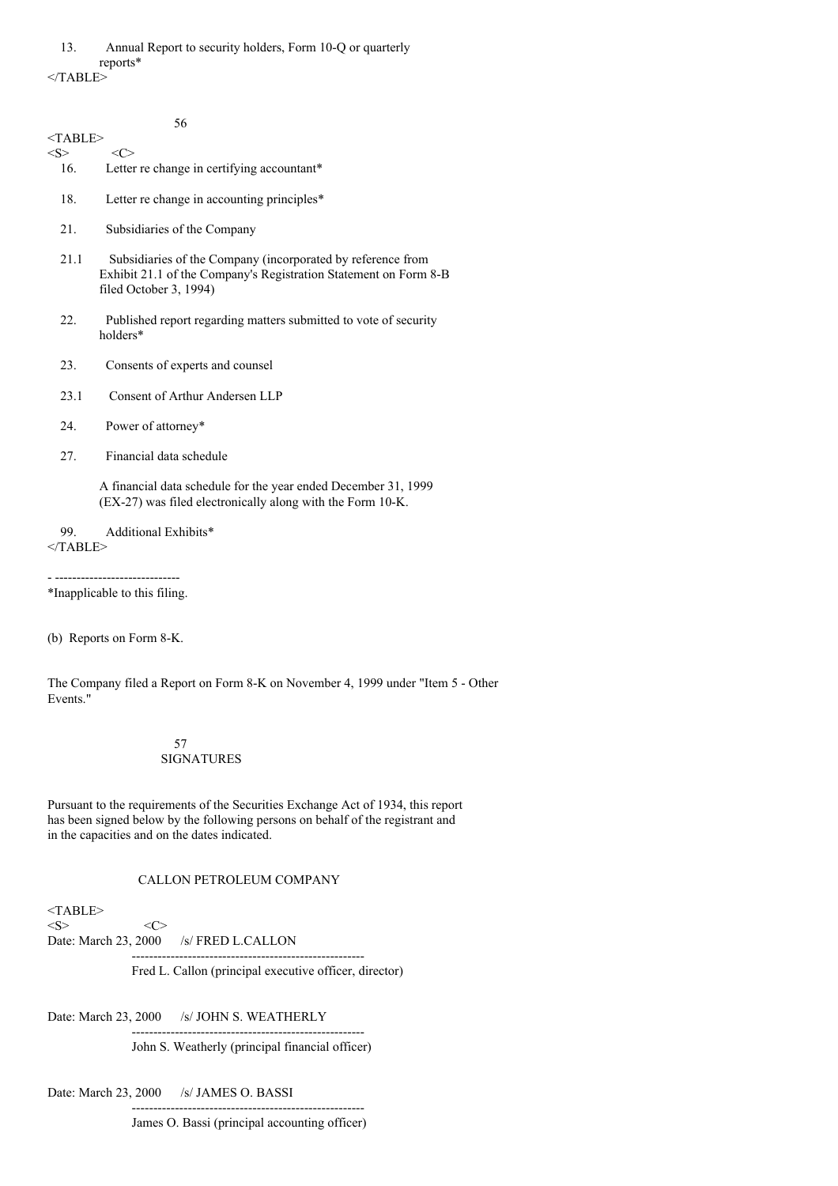56 <TABLE>  $\langle S \rangle$   $\langle C \rangle$ 16. Letter re change in certifying accountant\* 18. Letter re change in accounting principles\* 21. Subsidiaries of the Company 21.1 Subsidiaries of the Company (incorporated by reference from Exhibit 21.1 of the Company's Registration Statement on Form 8-B filed October 3, 1994) 22. Published report regarding matters submitted to vote of security holders\* 23. Consents of experts and counsel 23.1 Consent of Arthur Andersen LLP 24. Power of attorney\* 27. Financial data schedule A financial data schedule for the year ended December 31, 1999 (EX-27) was filed electronically along with the Form 10-K. 99. Additional Exhibits\*  $<$ /TABLE> - ----------------------------- \*Inapplicable to this filing. (b) Reports on Form 8-K.

The Company filed a Report on Form 8-K on November 4, 1999 under "Item 5 - Other Events."

### 57 SIGNATURES

Pursuant to the requirements of the Securities Exchange Act of 1934, this report has been signed below by the following persons on behalf of the registrant and in the capacities and on the dates indicated.

### CALLON PETROLEUM COMPANY

 $<$ TABLE>  $\langle S \rangle$   $\langle C \rangle$ Date: March 23, 2000 /s/ FRED L.CALLON ------------------------------------------------------

Fred L. Callon (principal executive officer, director)

Date: March 23, 2000 /s/ JOHN S. WEATHERLY

------------------------------------------------------ John S. Weatherly (principal financial officer)

Date: March 23, 2000 /s/ JAMES O. BASSI

------------------------------------------------------ James O. Bassi (principal accounting officer)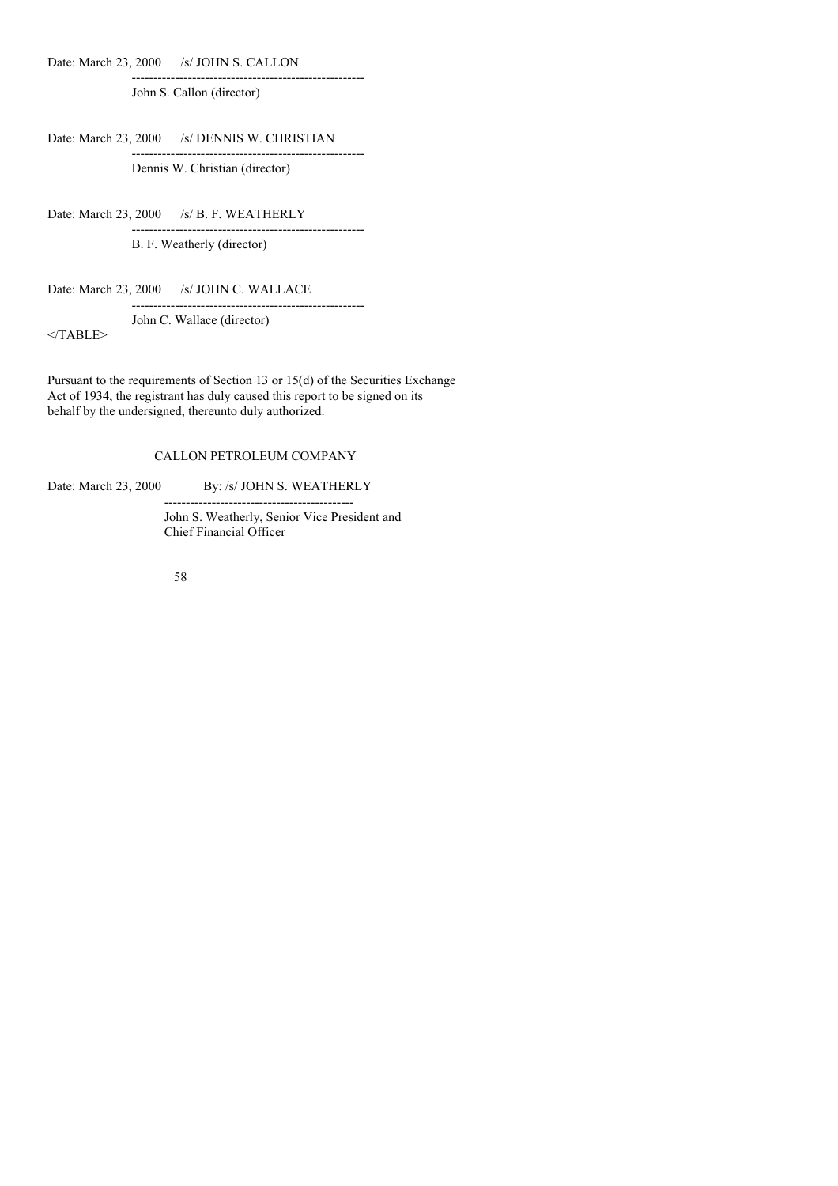Date: March 23, 2000 /s/ JOHN S. CALLON

John S. Callon (director)

Date: March 23, 2000 /s/ DENNIS W. CHRISTIAN

Dennis W. Christian (director)

------------------------------------------------------

------------------------------------------------------

Date: March 23, 2000 /s/ B. F. WEATHERLY ------------------------------------------------------

B. F. Weatherly (director)

Date: March 23, 2000 /s/ JOHN C. WALLACE

John C. Wallace (director)

 $<$ /TABLE>

Pursuant to the requirements of Section 13 or 15(d) of the Securities Exchange Act of 1934, the registrant has duly caused this report to be signed on its behalf by the undersigned, thereunto duly authorized.

## CALLON PETROLEUM COMPANY

Date: March 23, 2000 By: /s/ JOHN S. WEATHERLY --------------------------------------------

> John S. Weatherly, Senior Vice President and Chief Financial Officer

------------------------------------------------------

58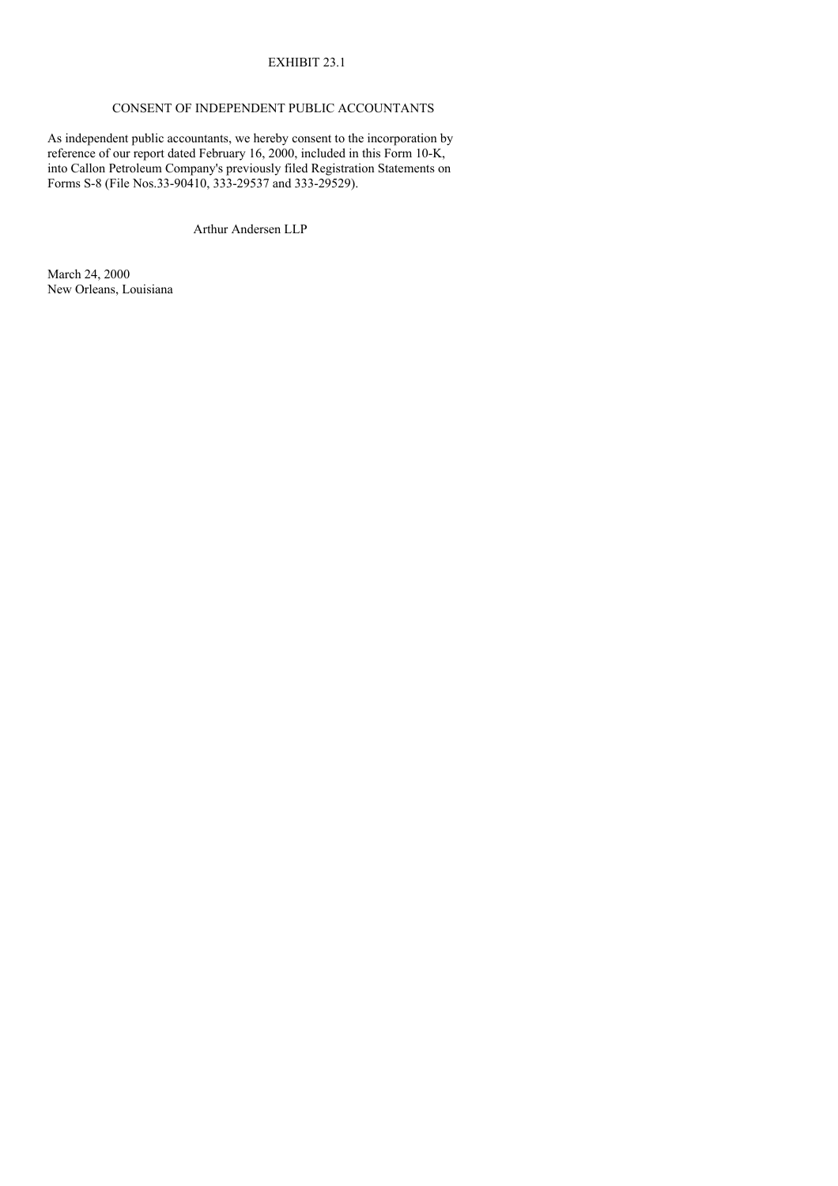## EXHIBIT 23.1

## CONSENT OF INDEPENDENT PUBLIC ACCOUNTANTS

As independent public accountants, we hereby consent to the incorporation by reference of our report dated February 16, 2000, included in this Form 10-K, into Callon Petroleum Company's previously filed Registration Statements on Forms S-8 (File Nos.33-90410, 333-29537 and 333-29529).

Arthur Andersen LLP

March 24, 2000 New Orleans, Louisiana